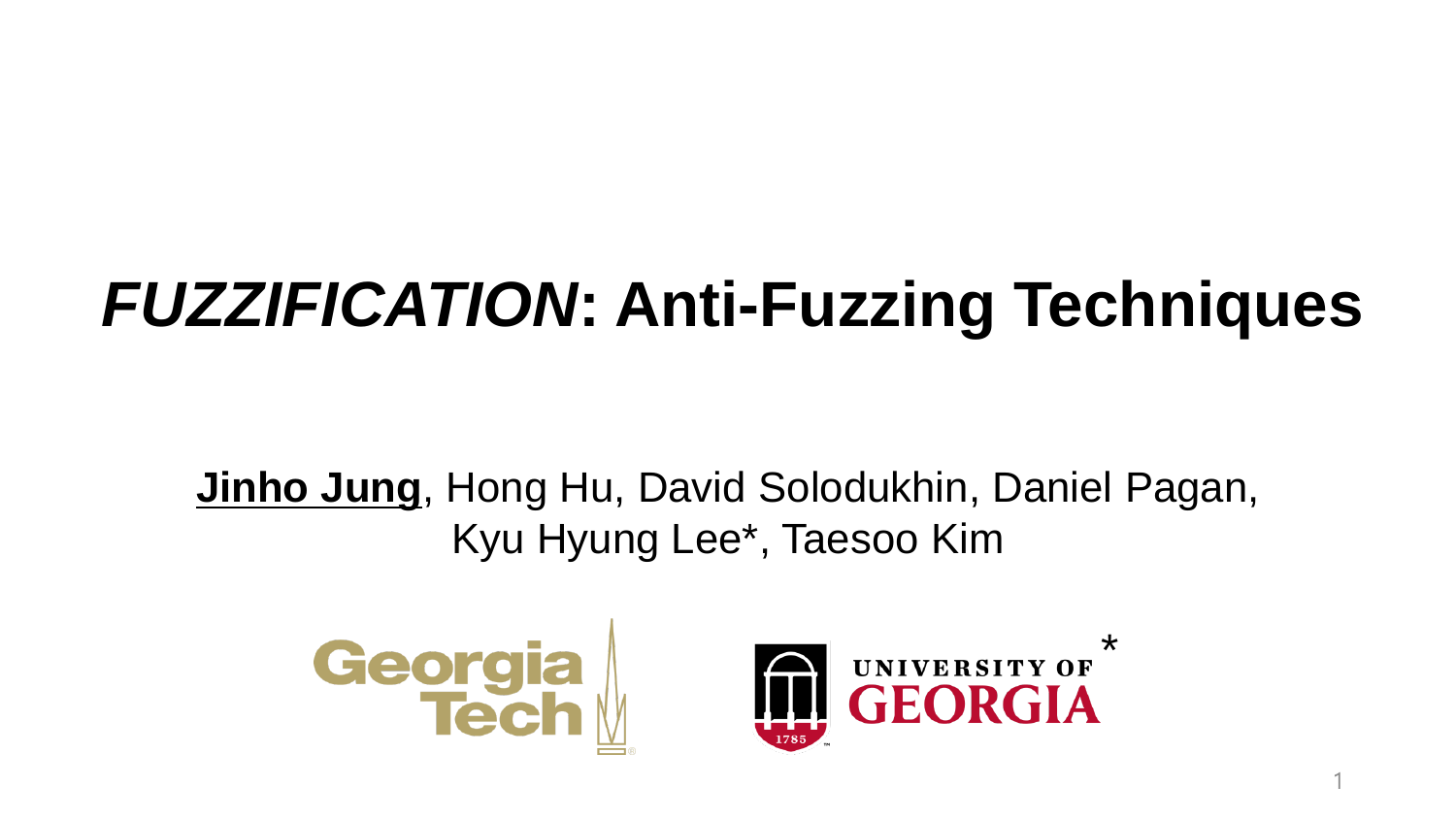# *FUZZIFICATION***: Anti-Fuzzing Techniques**

**Jinho Jung**, Hong Hu, David Solodukhin, Daniel Pagan, Kyu Hyung Lee\*, Taesoo Kim





1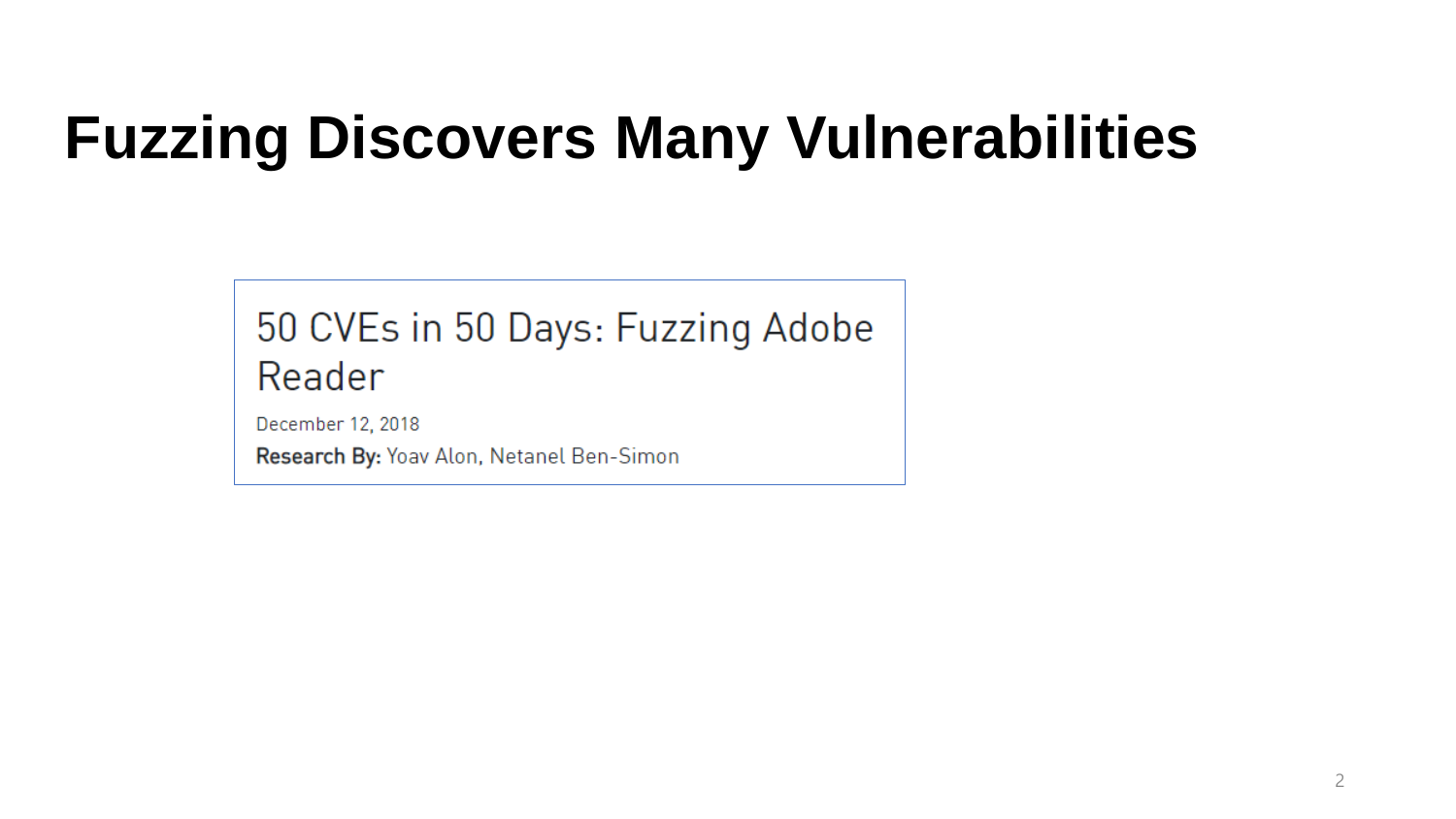## **Fuzzing Discovers Many Vulnerabilities**

#### 50 CVEs in 50 Days: Fuzzing Adobe Reader

December 12, 2018

Research By: Yoav Alon, Netanel Ben-Simon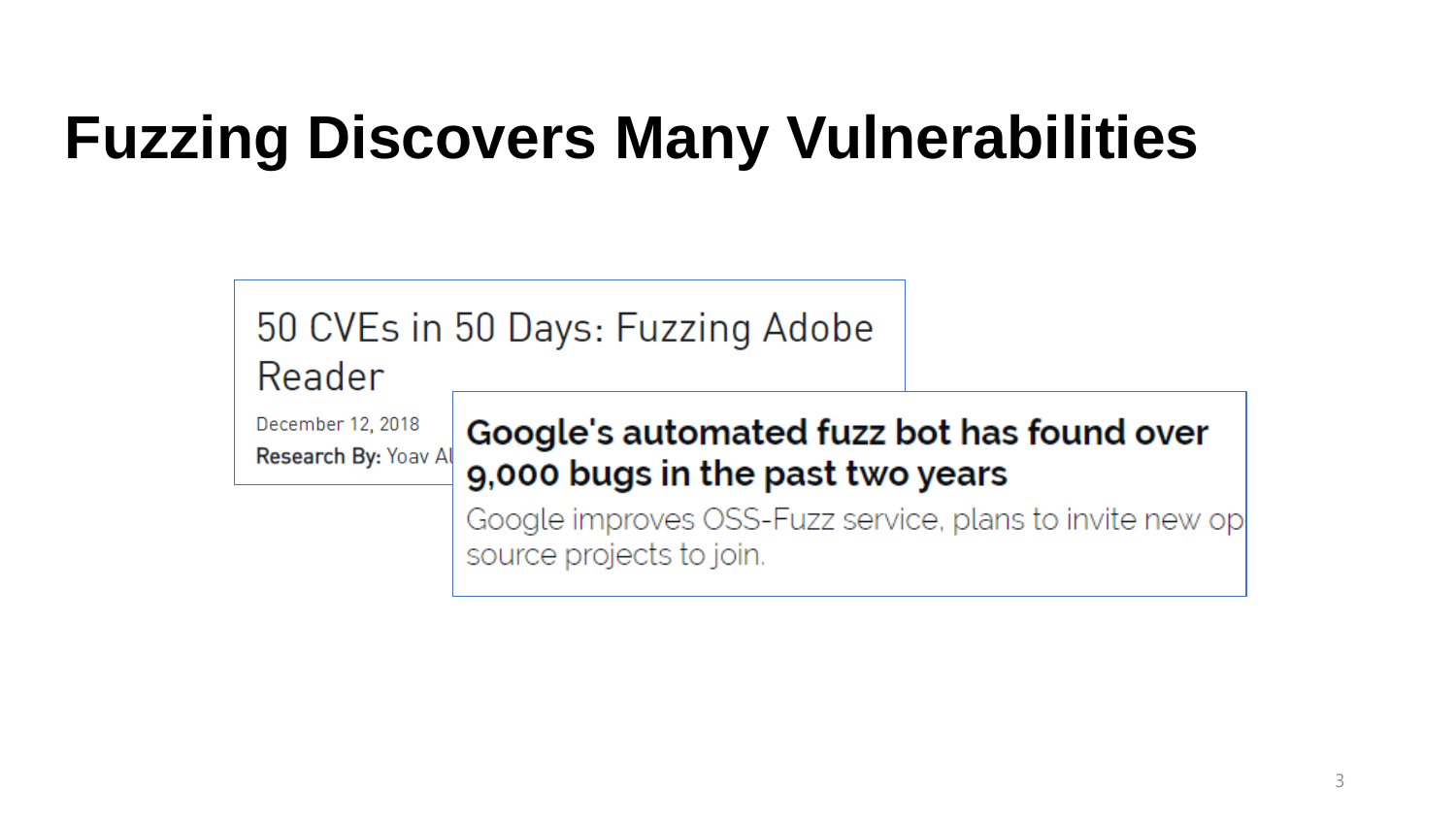## **Fuzzing Discovers Many Vulnerabilities**

| Reader                                    | 50 CVEs in 50 Days: Fuzzing Adobe                                                    |  |
|-------------------------------------------|--------------------------------------------------------------------------------------|--|
| December 12, 2018<br>Research By: Yoav Al | Google's automated fuzz bot has found over<br>9,000 bugs in the past two years       |  |
|                                           | Google improves OSS-Fuzz service, plans to invite new op<br>source projects to join. |  |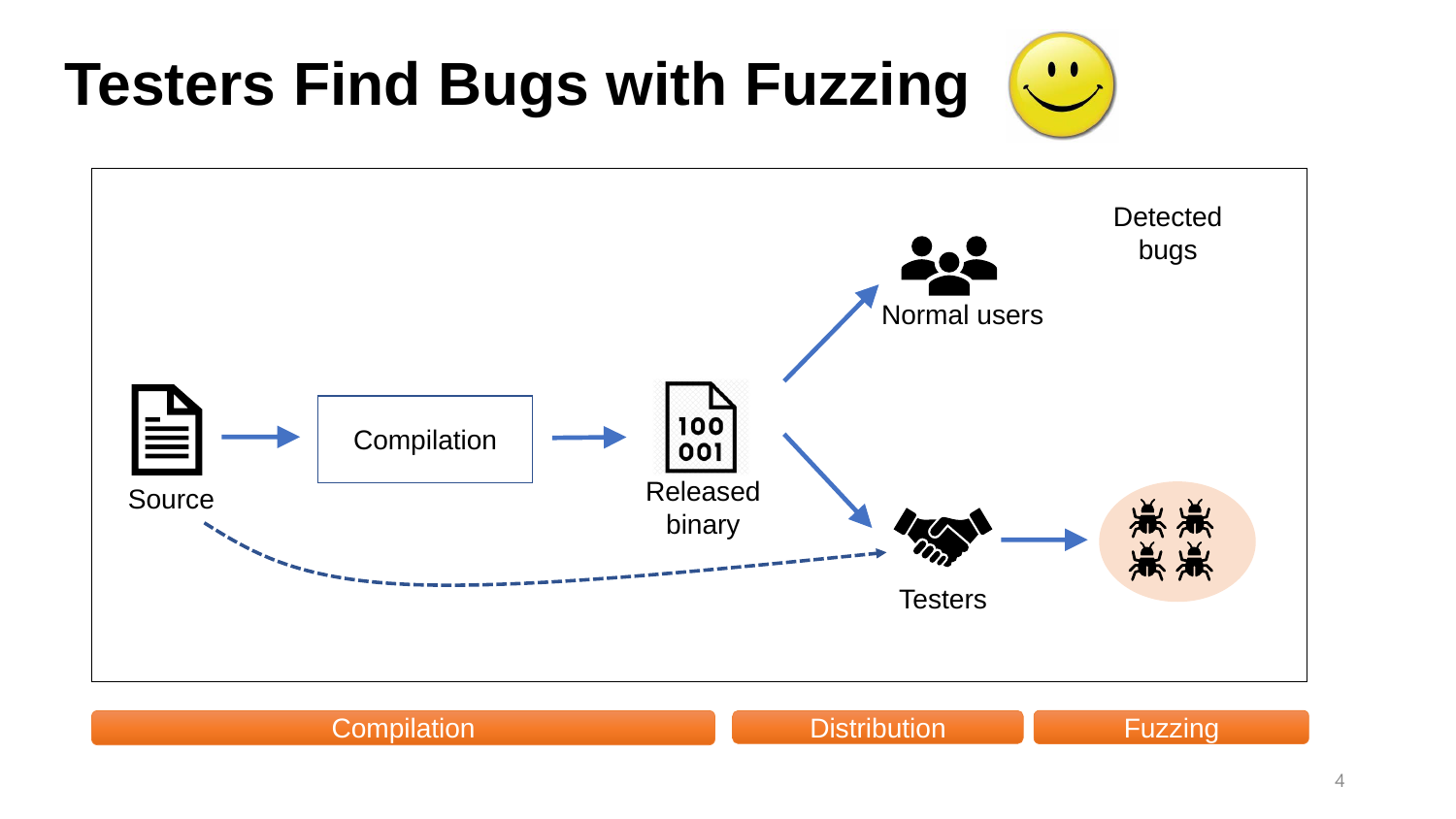#### **Testers Find Bugs with Fuzzing**



**Compilation Compilation Compilation Compilation** Compilation Compilation Compilation Compilation Compilation Comp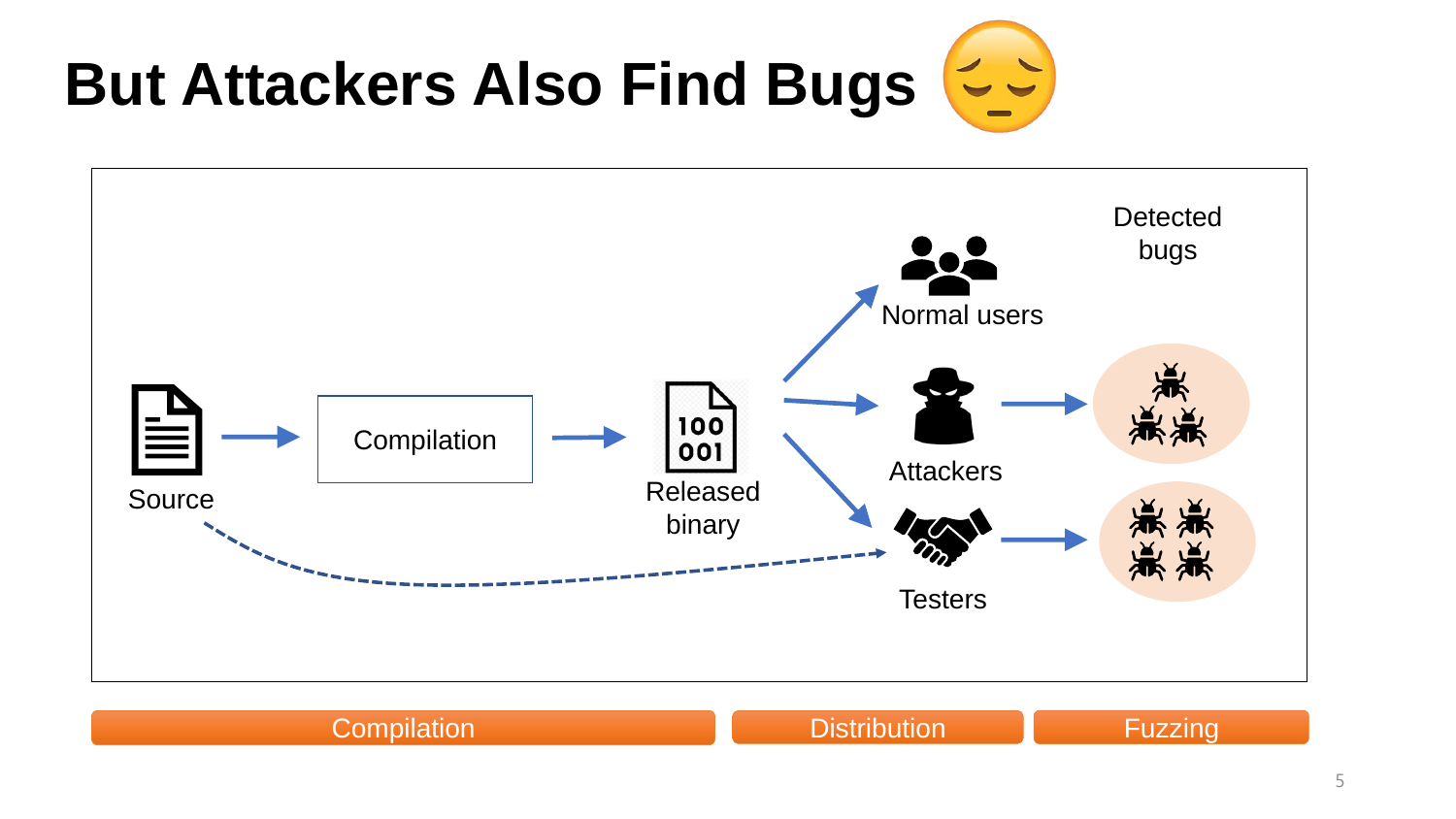# **But Attackers Also Find Bugs**



#### **Compilation Compilation Compilation Compilation** Compilation Compilation Compilation Compilation Compilation Comp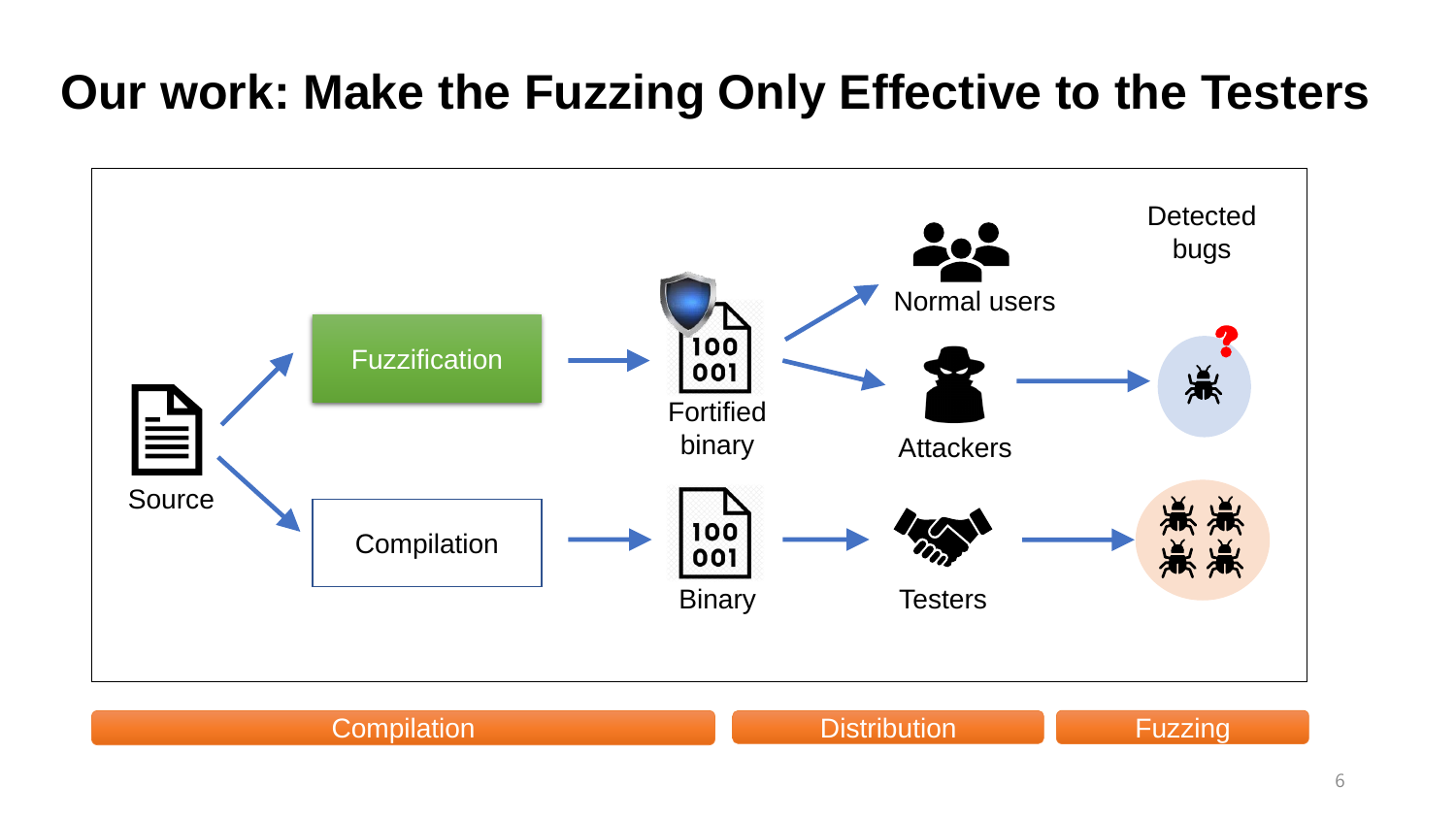#### **Our work: Make the Fuzzing Only Effective to the Testers**



#### 6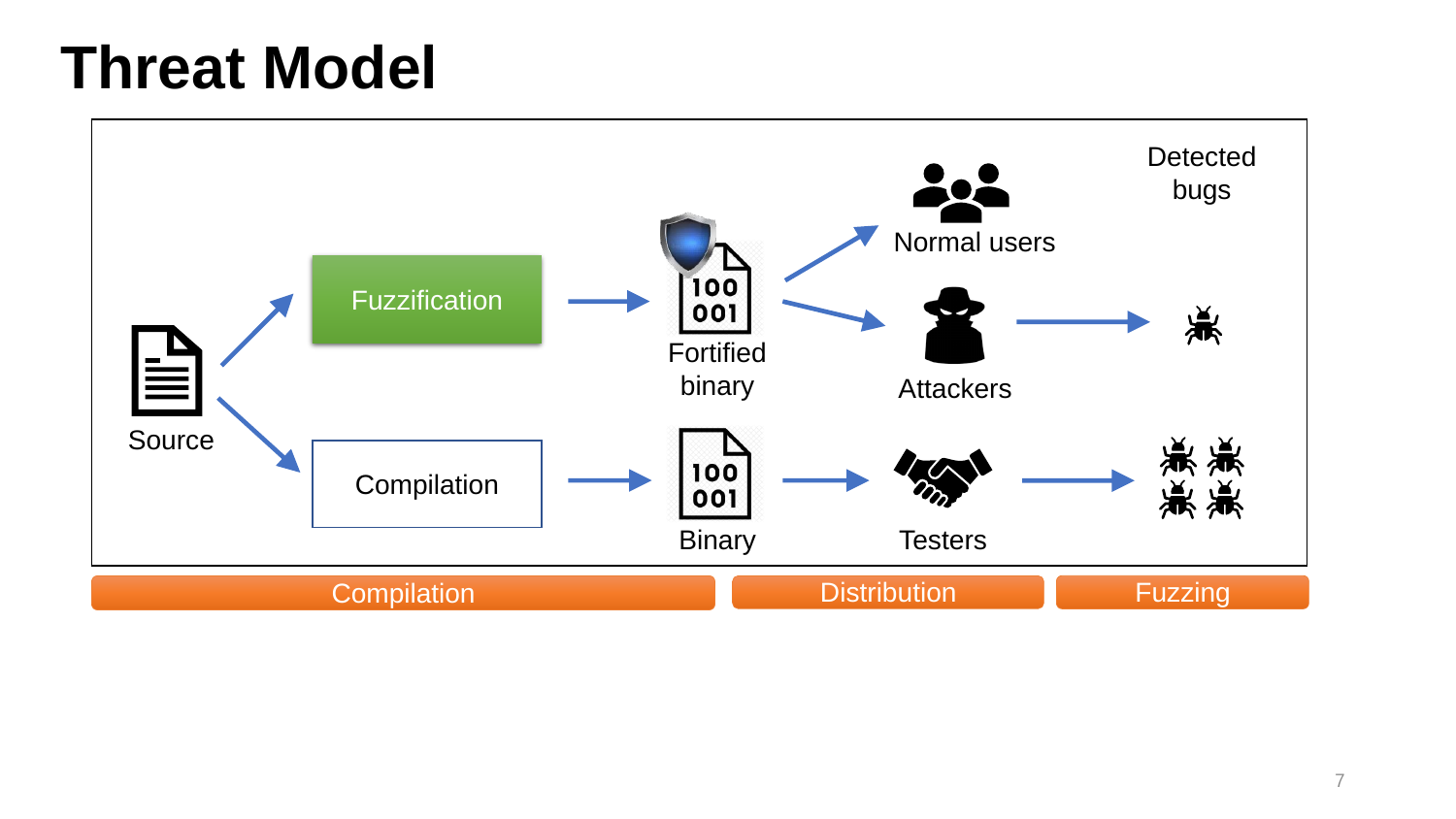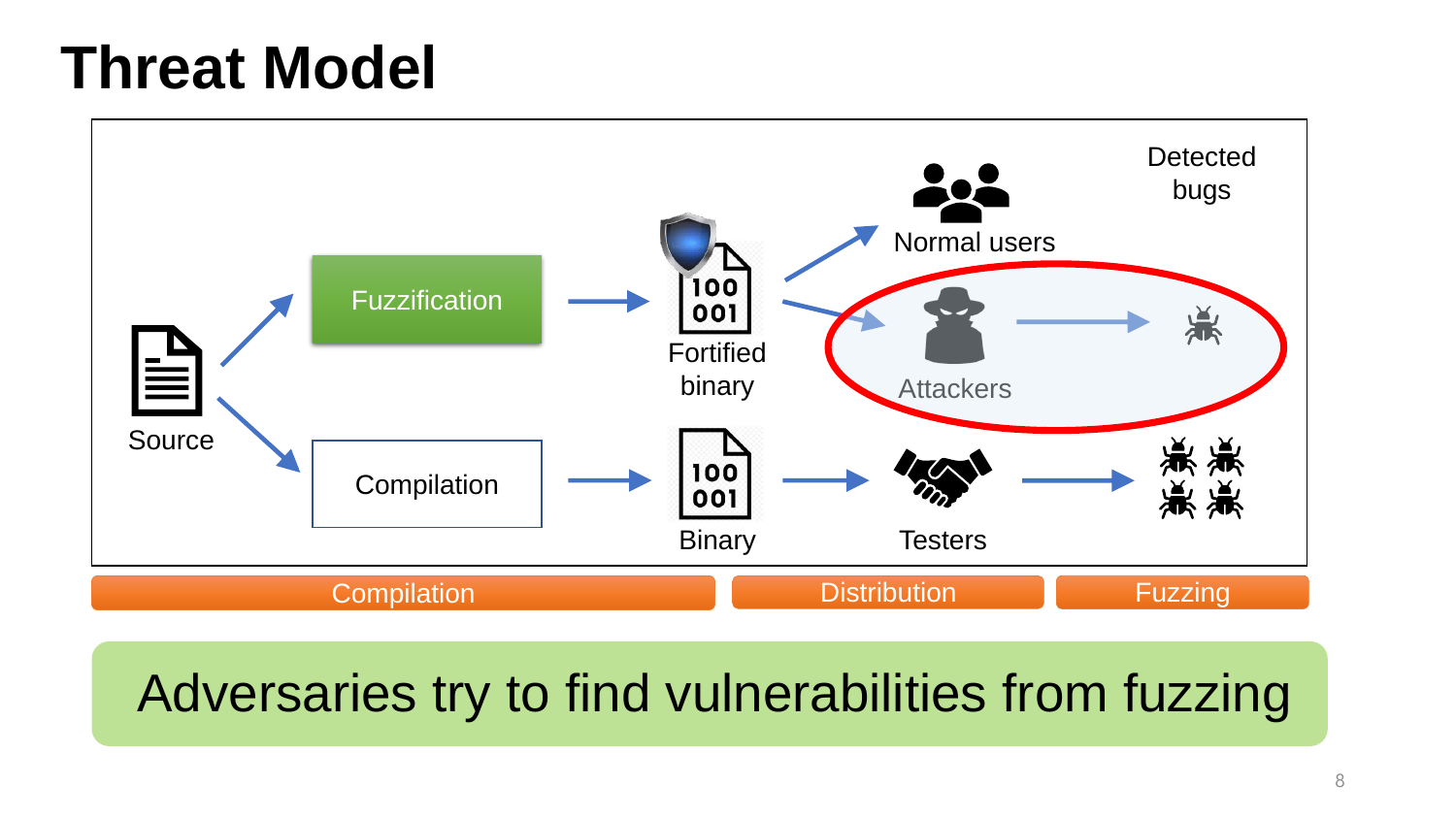

#### Adversaries try to find vulnerabilities from fuzzing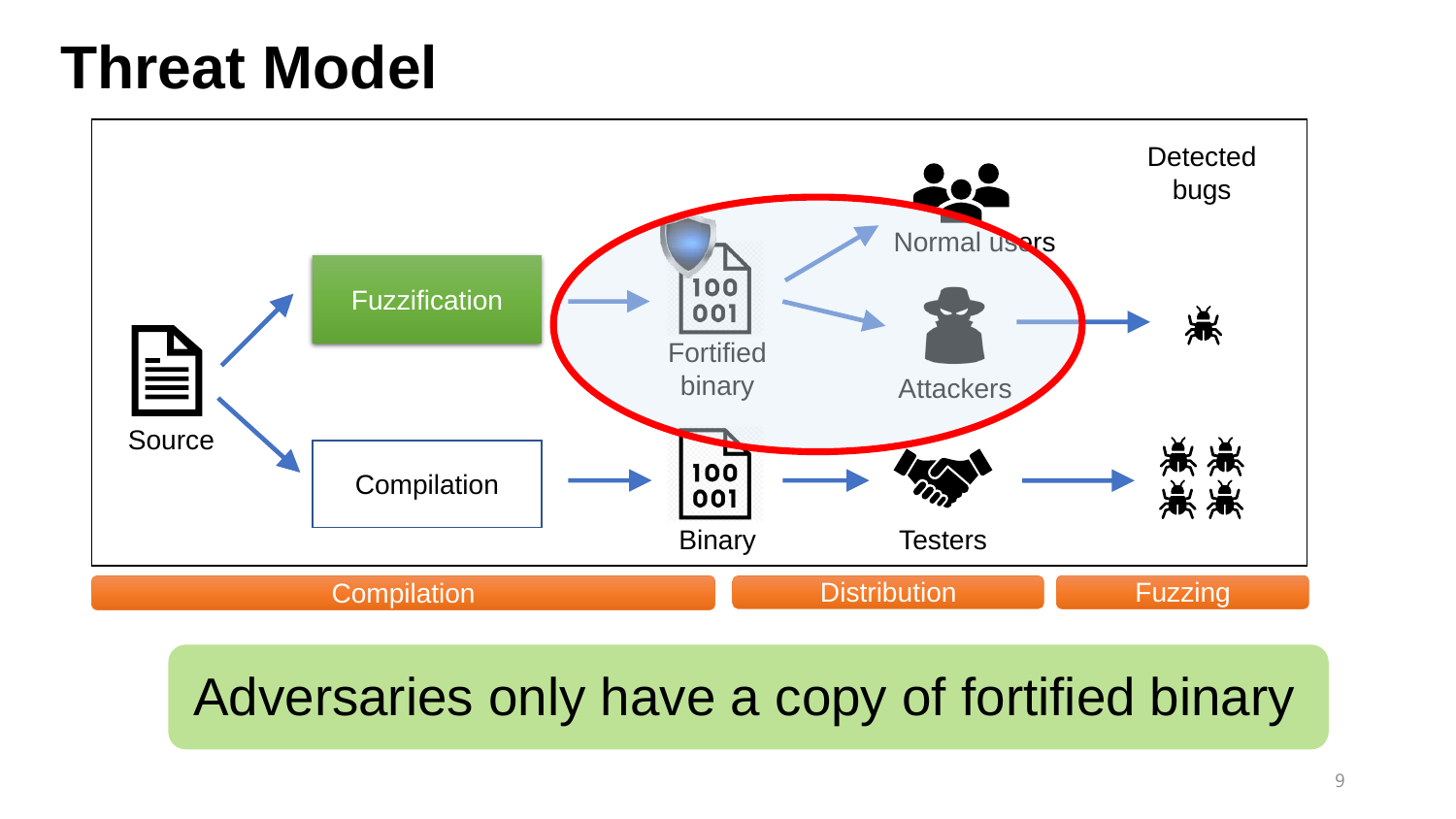

Adversaries only have a copy of fortified binary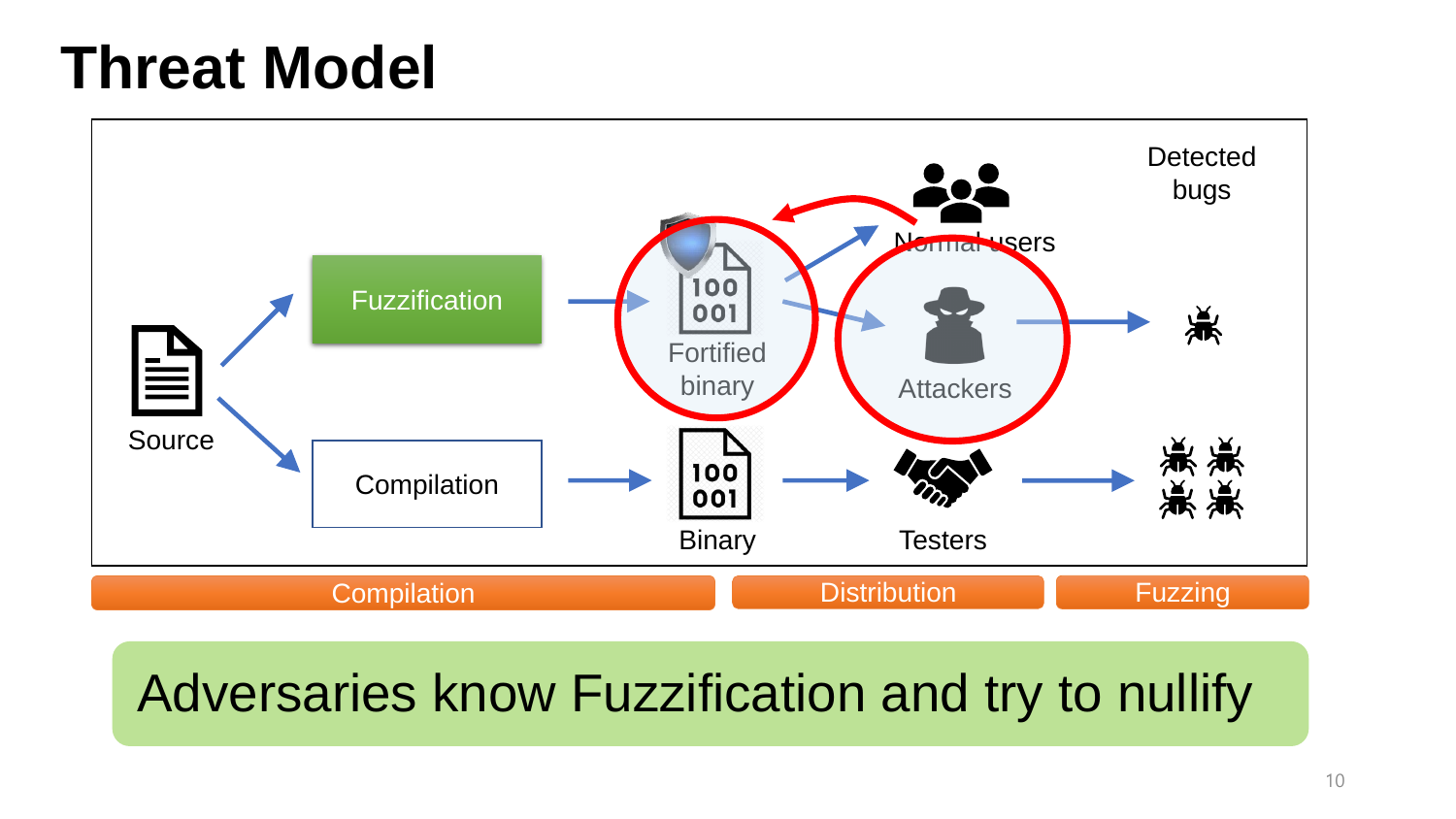

#### Adversaries know Fuzzification and try to nullify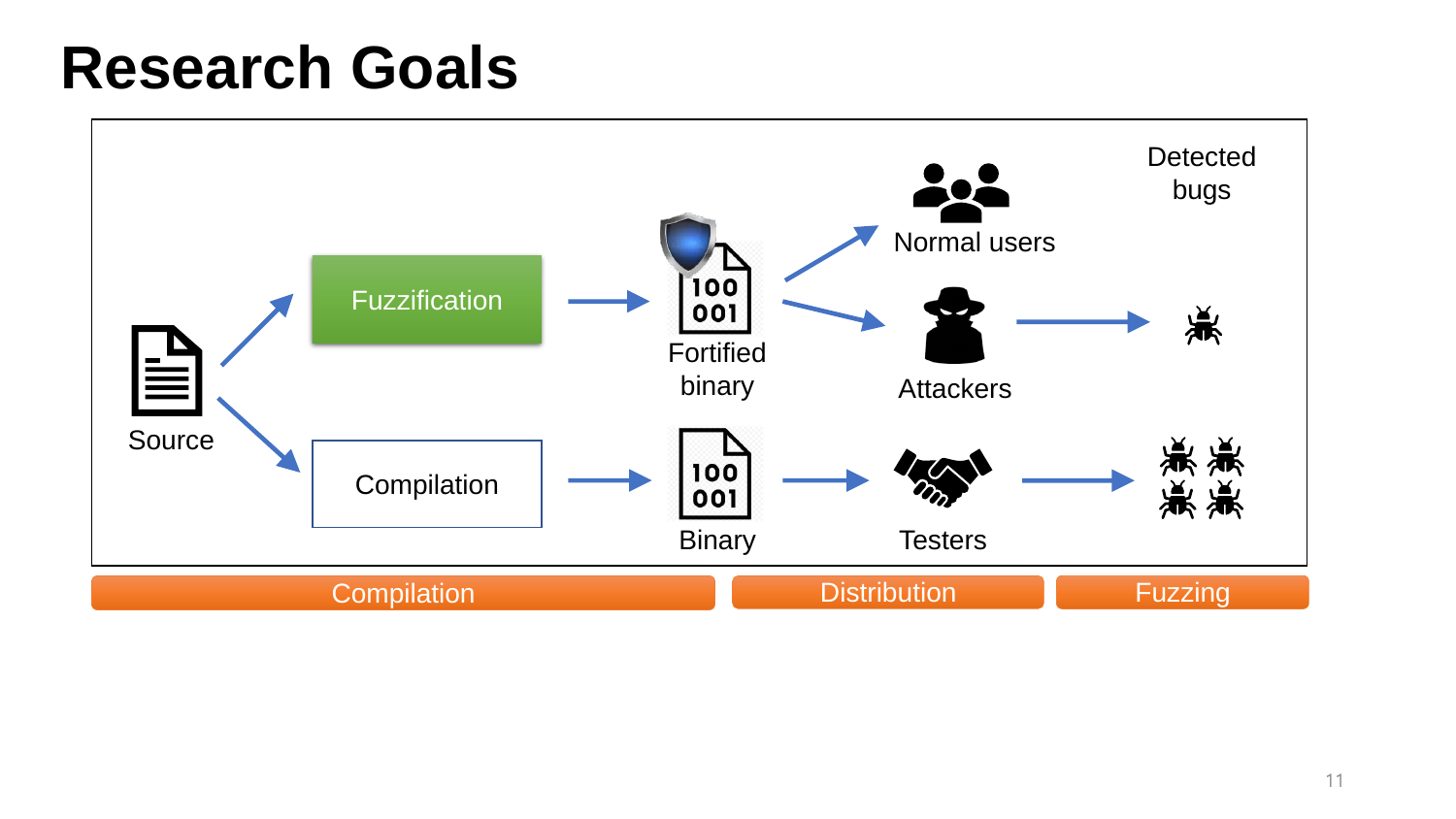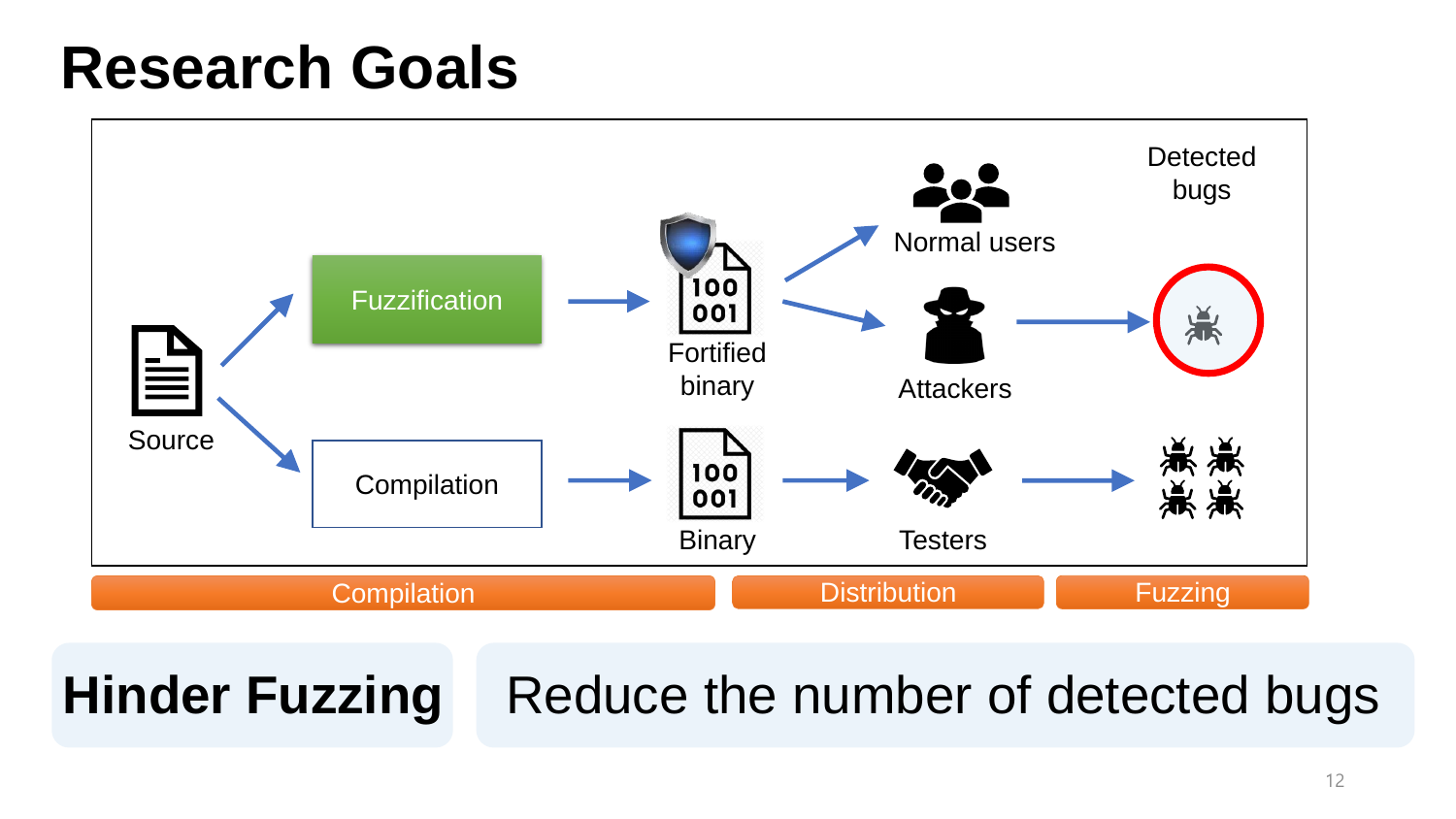

#### **Hinder Fuzzing** Reduce the number of detected bugs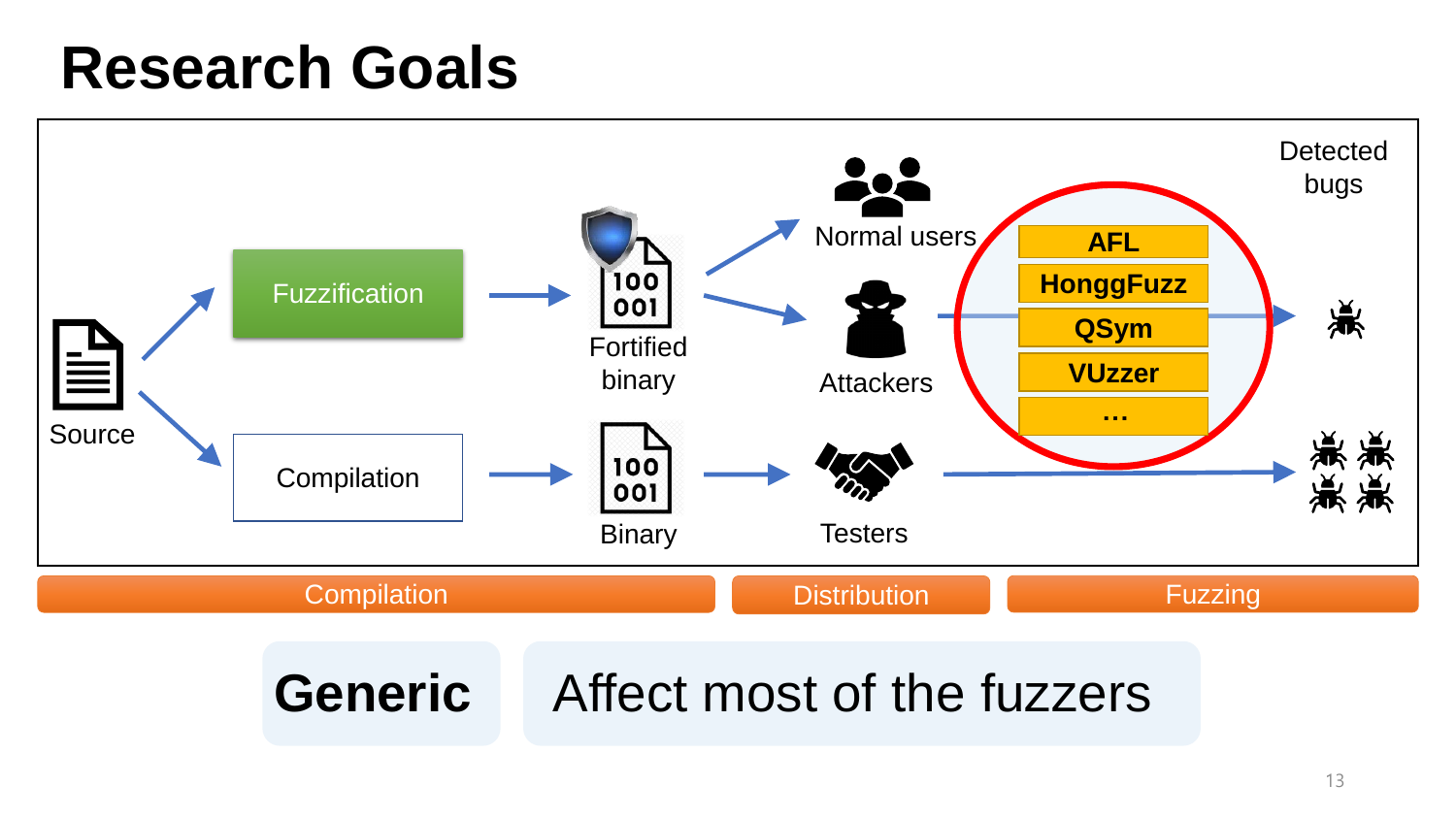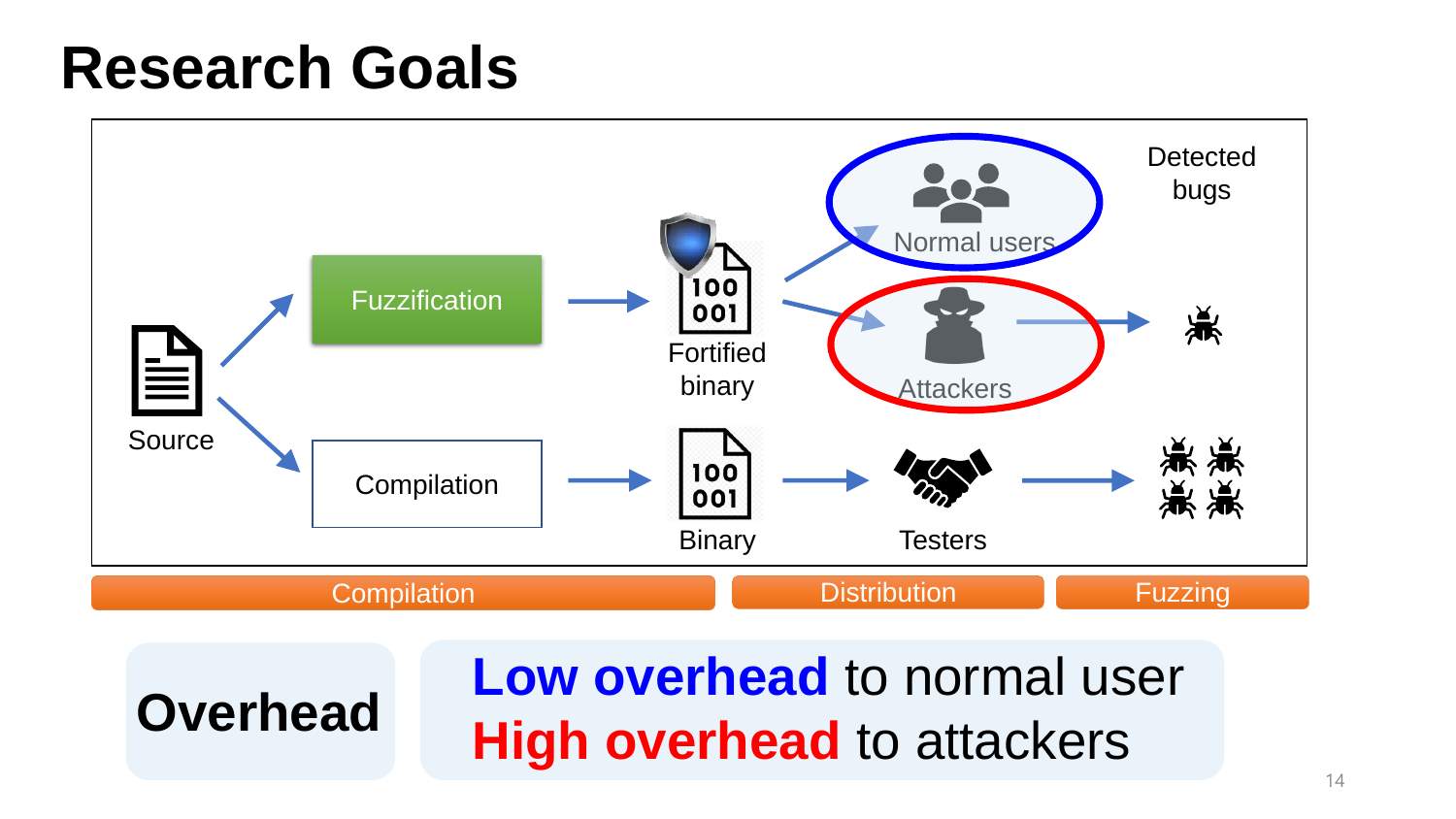



#### **Low overhead** to normal user **Overhead High overhead** to attackers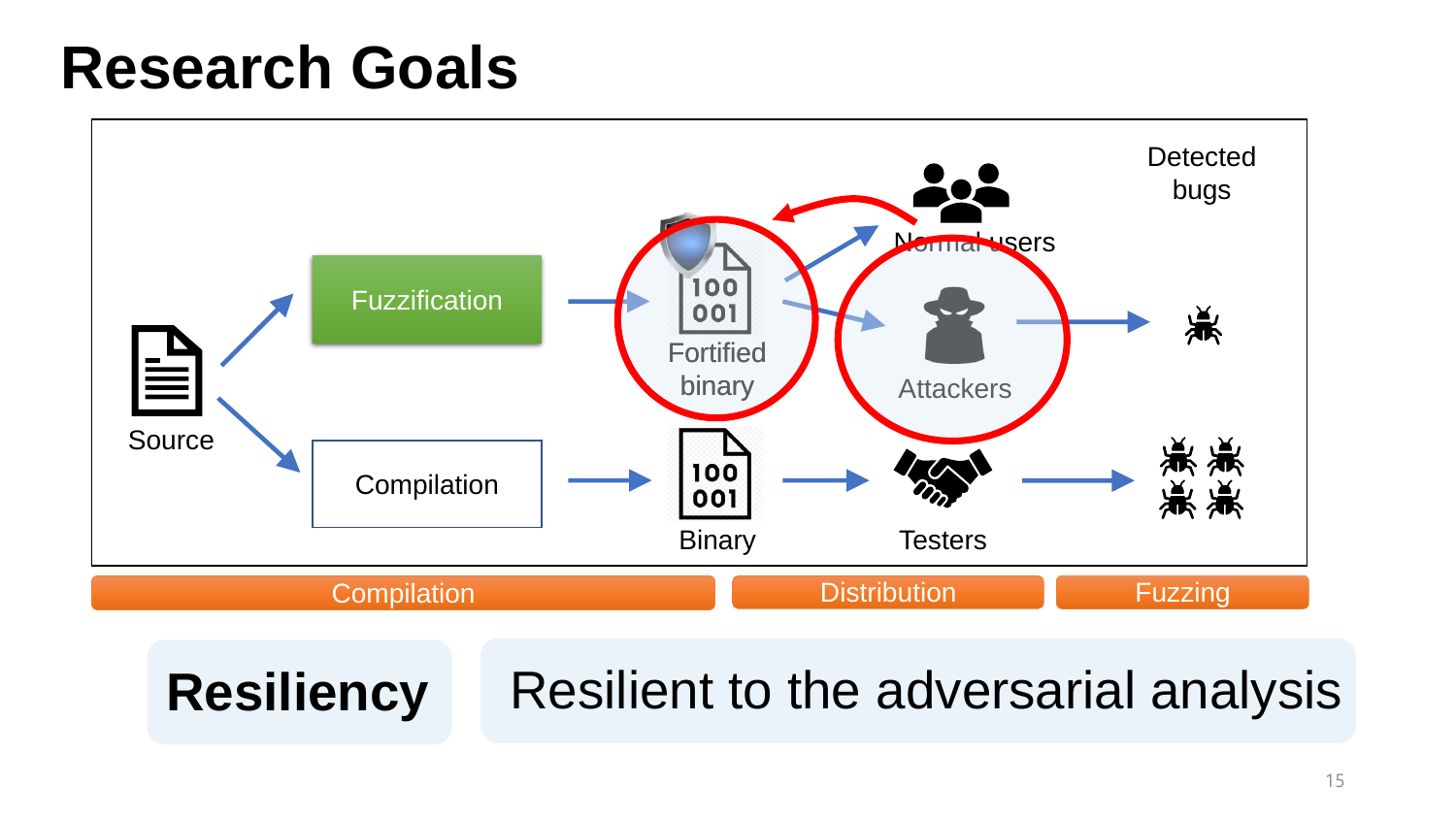

**Resiliency** Resilient to the adversarial analysis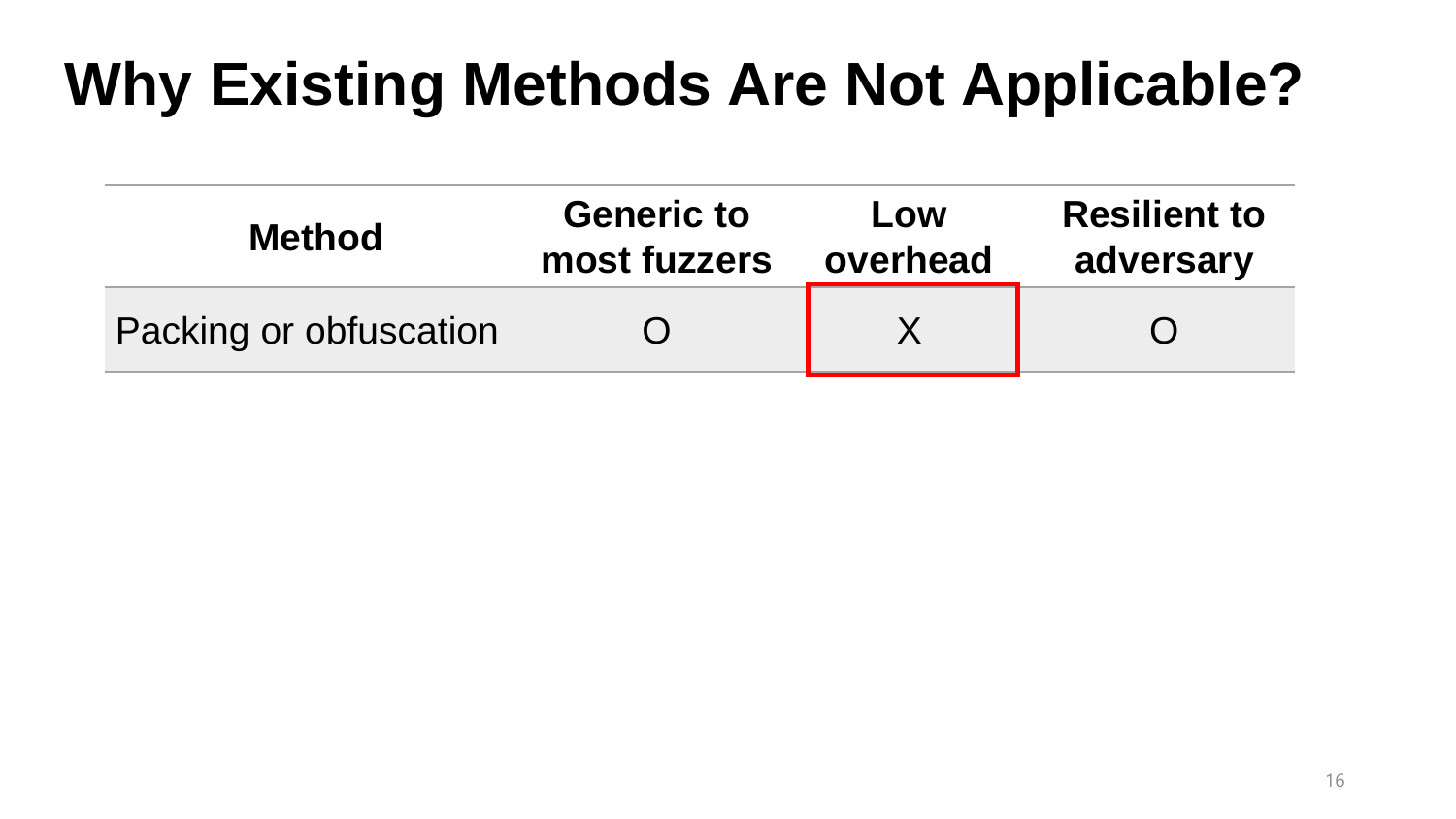| <b>Method</b>          | <b>Generic to</b> | Low      | <b>Resilient to</b> |
|------------------------|-------------------|----------|---------------------|
|                        | most fuzzers      | overhead | adversary           |
| Packing or obfuscation |                   |          |                     |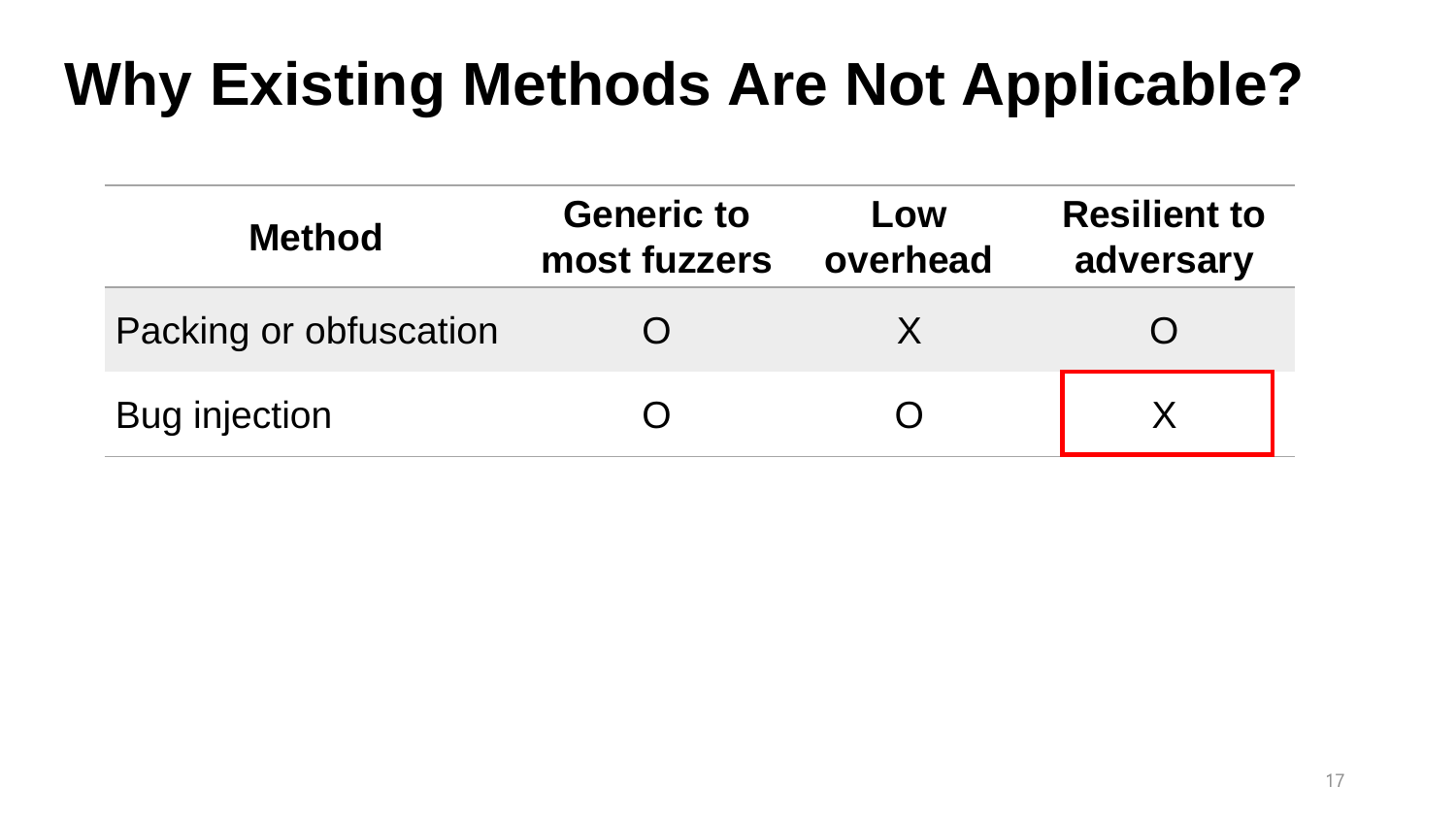| <b>Method</b>          | <b>Generic to</b><br>most fuzzers | Low<br>overhead | <b>Resilient to</b><br>adversary |
|------------------------|-----------------------------------|-----------------|----------------------------------|
| Packing or obfuscation |                                   |                 |                                  |
| <b>Bug injection</b>   |                                   |                 |                                  |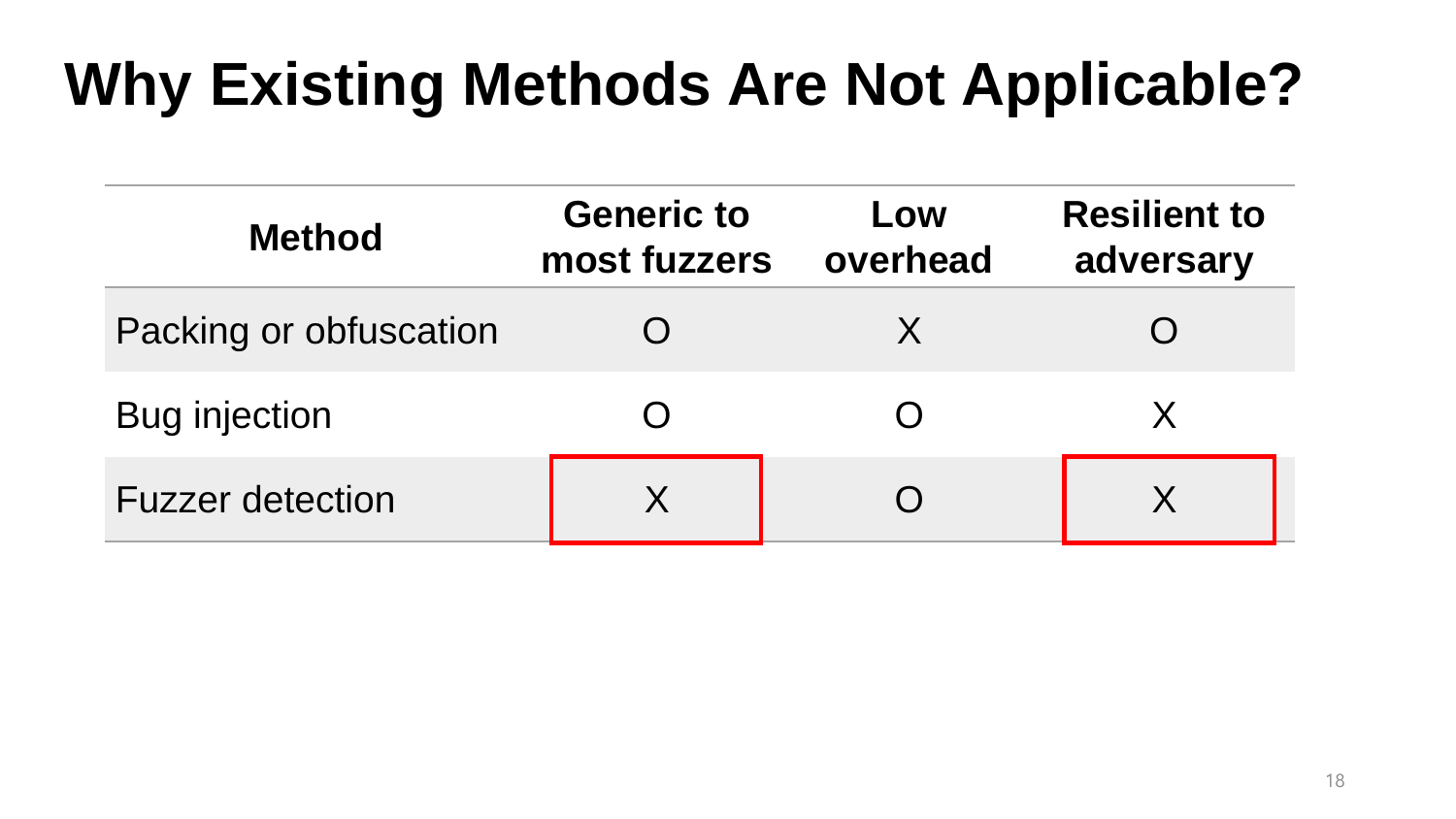| <b>Method</b>           | <b>Generic to</b><br>most fuzzers | Low<br>overhead | <b>Resilient to</b><br>adversary |
|-------------------------|-----------------------------------|-----------------|----------------------------------|
| Packing or obfuscation  |                                   | X               |                                  |
| <b>Bug injection</b>    |                                   |                 |                                  |
| <b>Fuzzer detection</b> | X                                 |                 |                                  |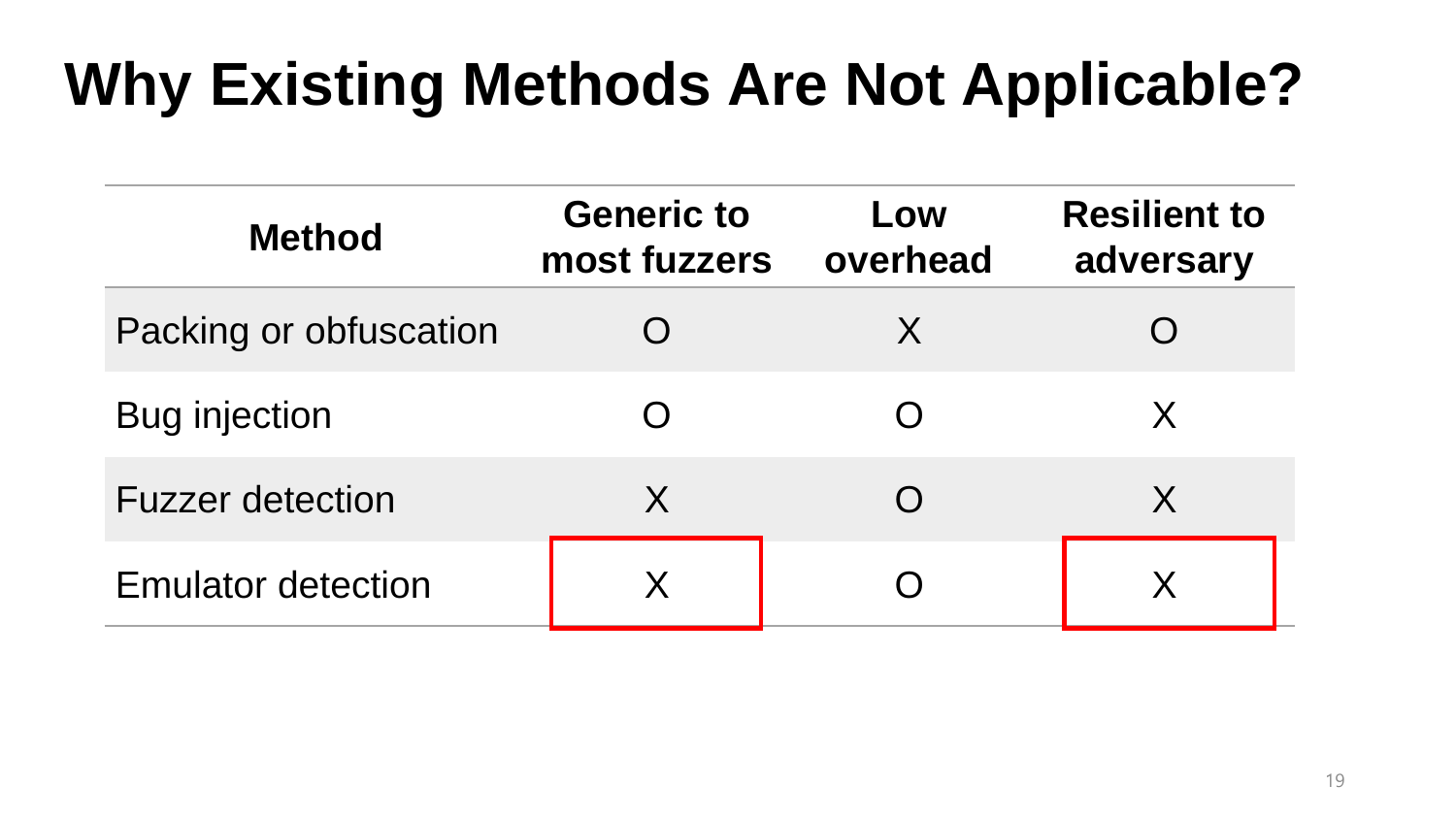| <b>Method</b>             | <b>Generic to</b><br>most fuzzers | Low<br>overhead | <b>Resilient to</b><br>adversary |
|---------------------------|-----------------------------------|-----------------|----------------------------------|
| Packing or obfuscation    |                                   | X               |                                  |
| <b>Bug injection</b>      | $\bigcap$                         |                 | X                                |
| <b>Fuzzer detection</b>   | X                                 |                 | X                                |
| <b>Emulator detection</b> | X                                 |                 |                                  |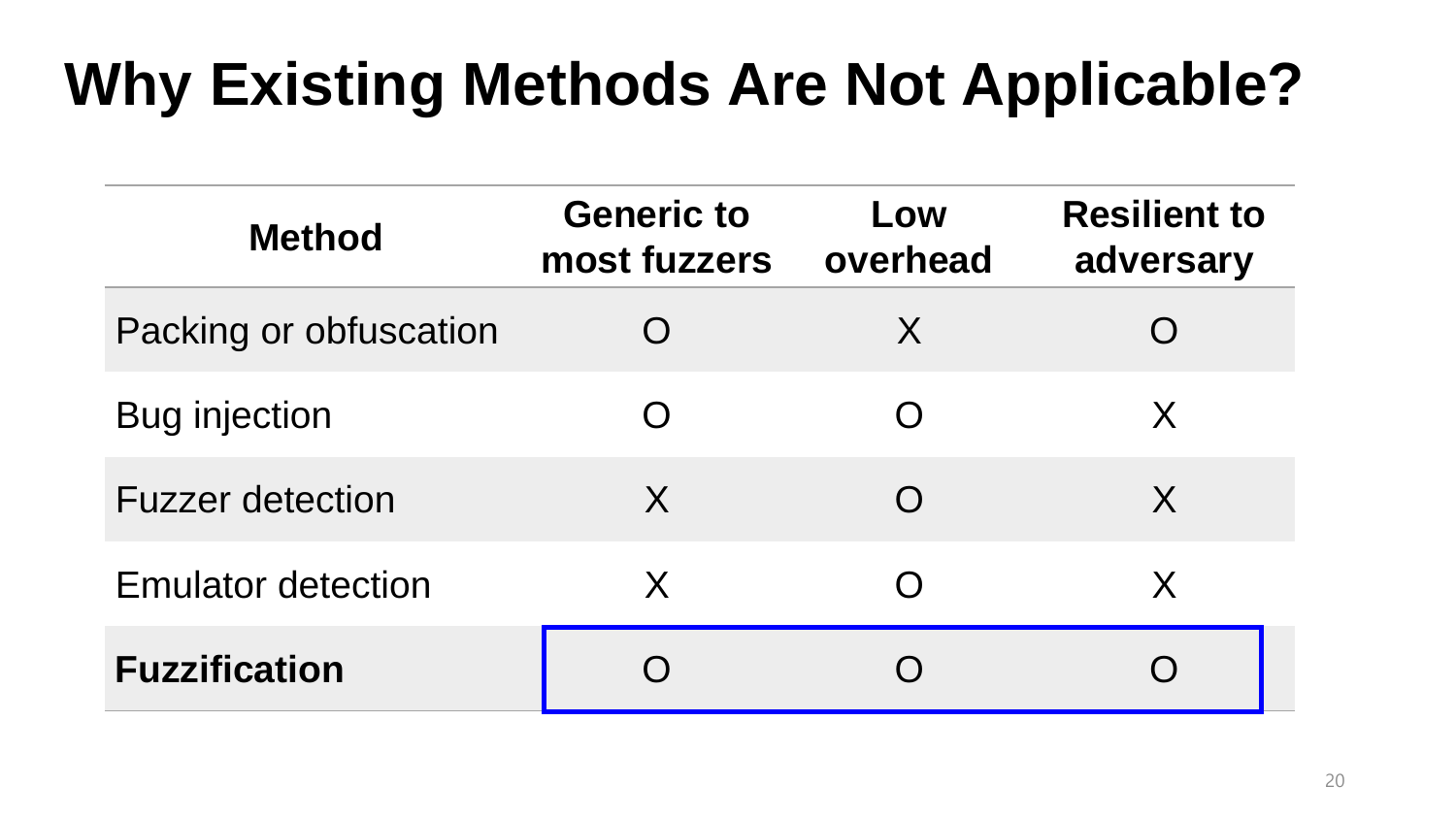| <b>Method</b>             | <b>Generic to</b><br>most fuzzers | Low<br>overhead | <b>Resilient to</b><br>adversary |
|---------------------------|-----------------------------------|-----------------|----------------------------------|
| Packing or obfuscation    | $\bigcap$                         | X               |                                  |
| <b>Bug injection</b>      | $\bigcap$                         | $\bigcap$       | X                                |
| <b>Fuzzer detection</b>   | X                                 | $\bigcap$       | X                                |
| <b>Emulator detection</b> | X                                 | $\bigcap$       | X                                |
| <b>Fuzzification</b>      |                                   |                 |                                  |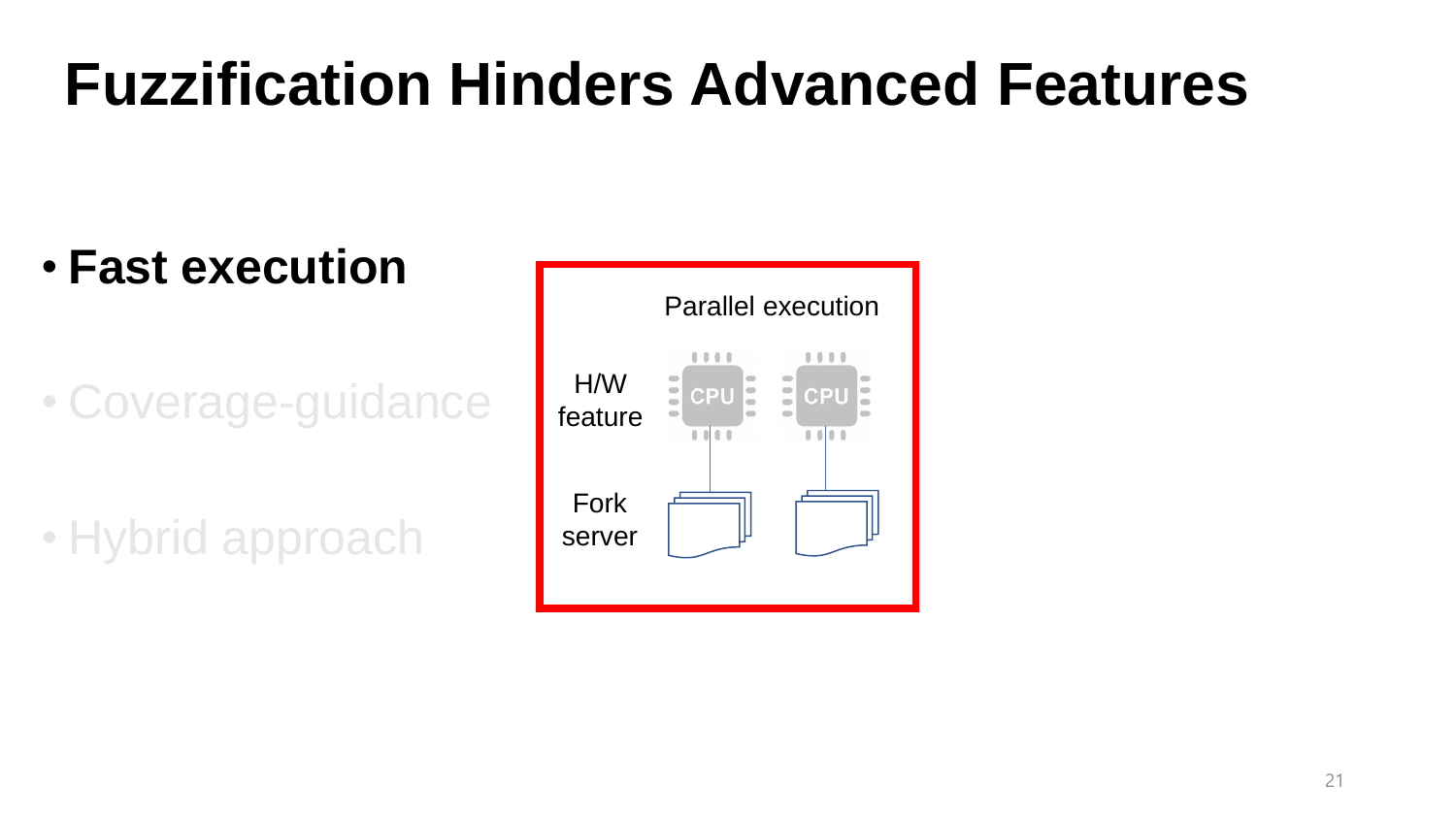#### • **Fast execution**

• Coverage-guidance

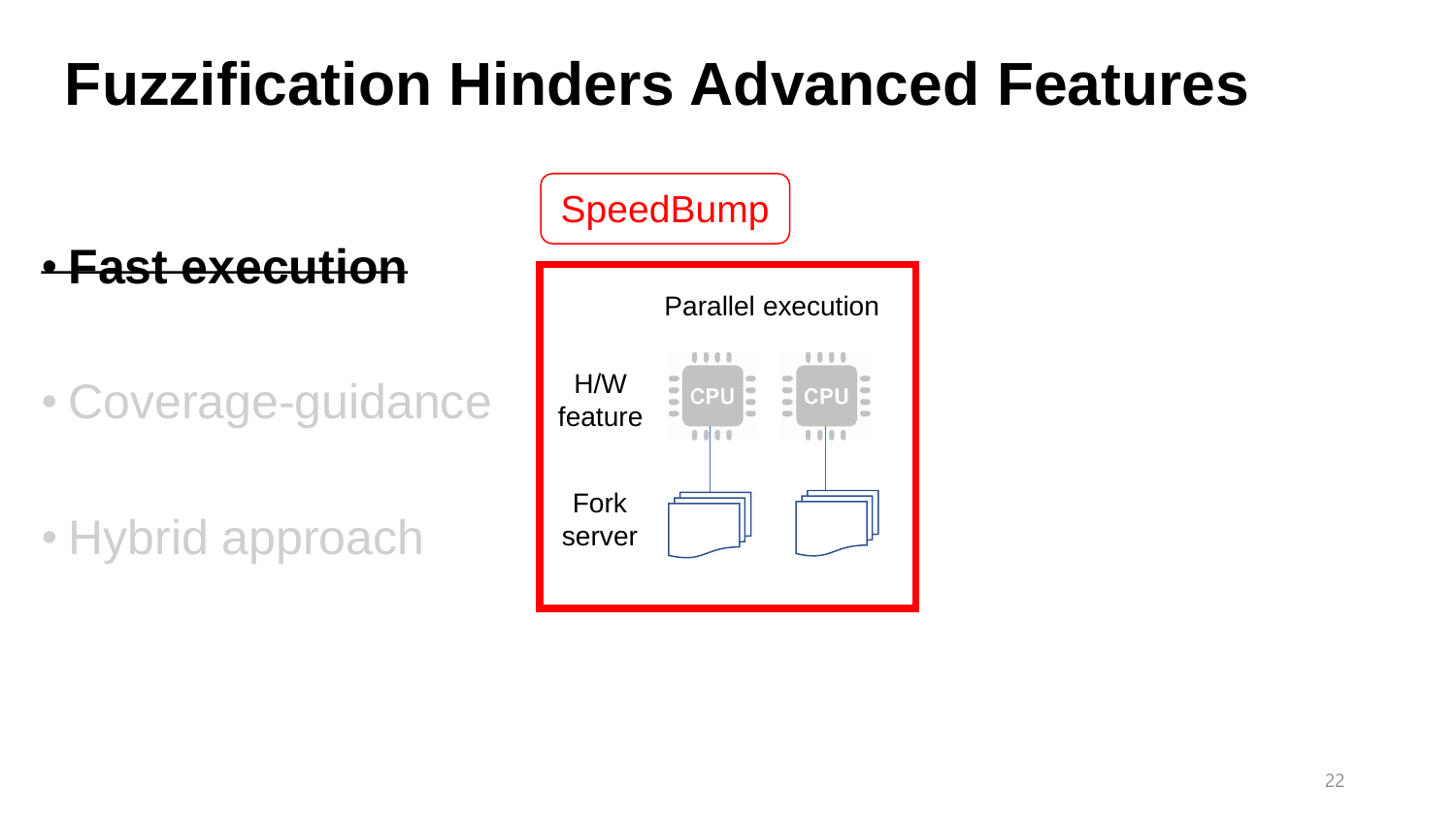• **Fast execution**

• Coverage-guidance

| SpeedBump      |                                             |  |  |  |  |
|----------------|---------------------------------------------|--|--|--|--|
|                | <b>Parallel execution</b>                   |  |  |  |  |
| H/W<br>feature | CPU<br>CPU<br>$\overline{\phantom{a}}$<br>œ |  |  |  |  |
| Fork<br>server |                                             |  |  |  |  |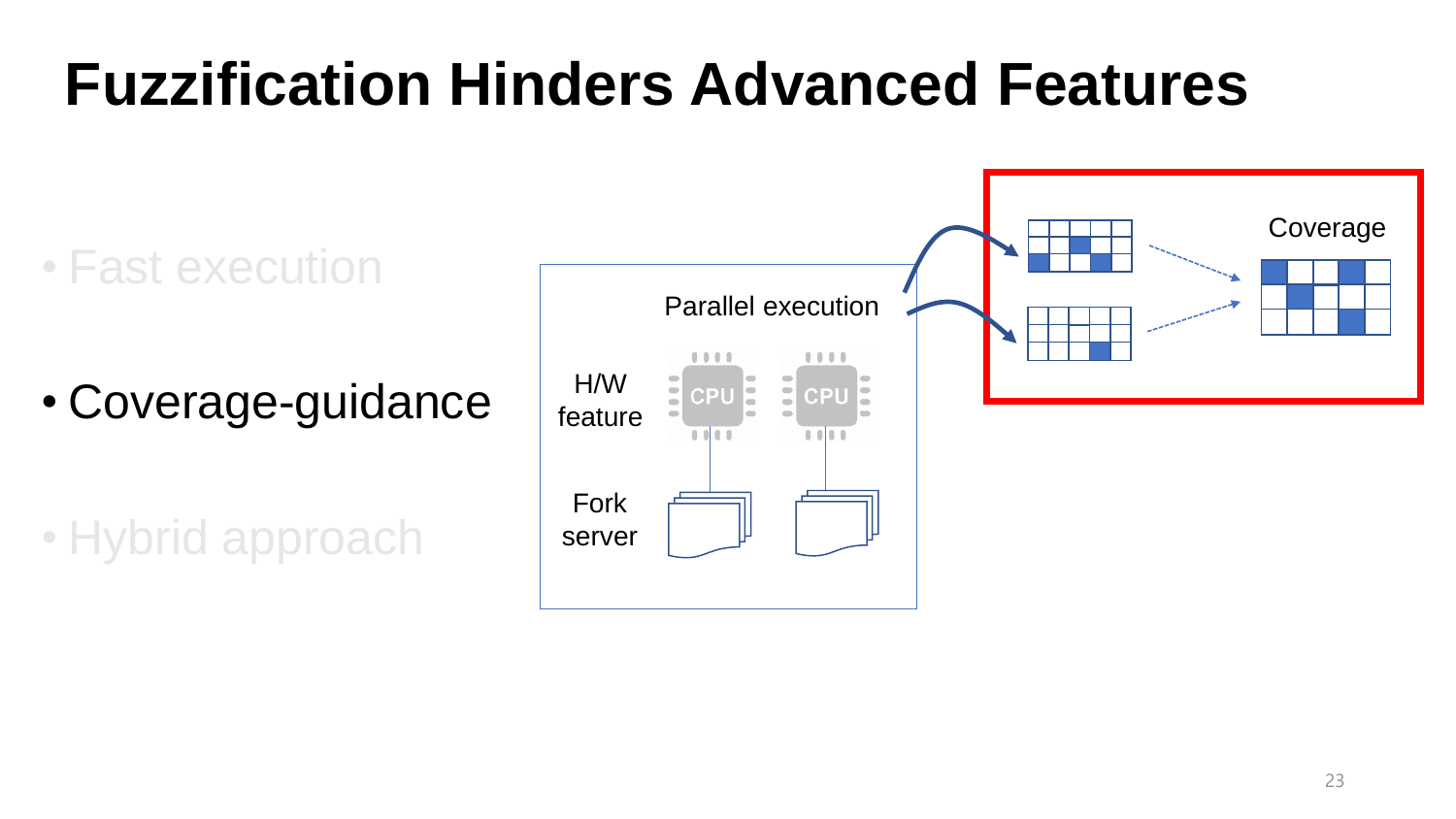• Fast execution

• Coverage-guidance

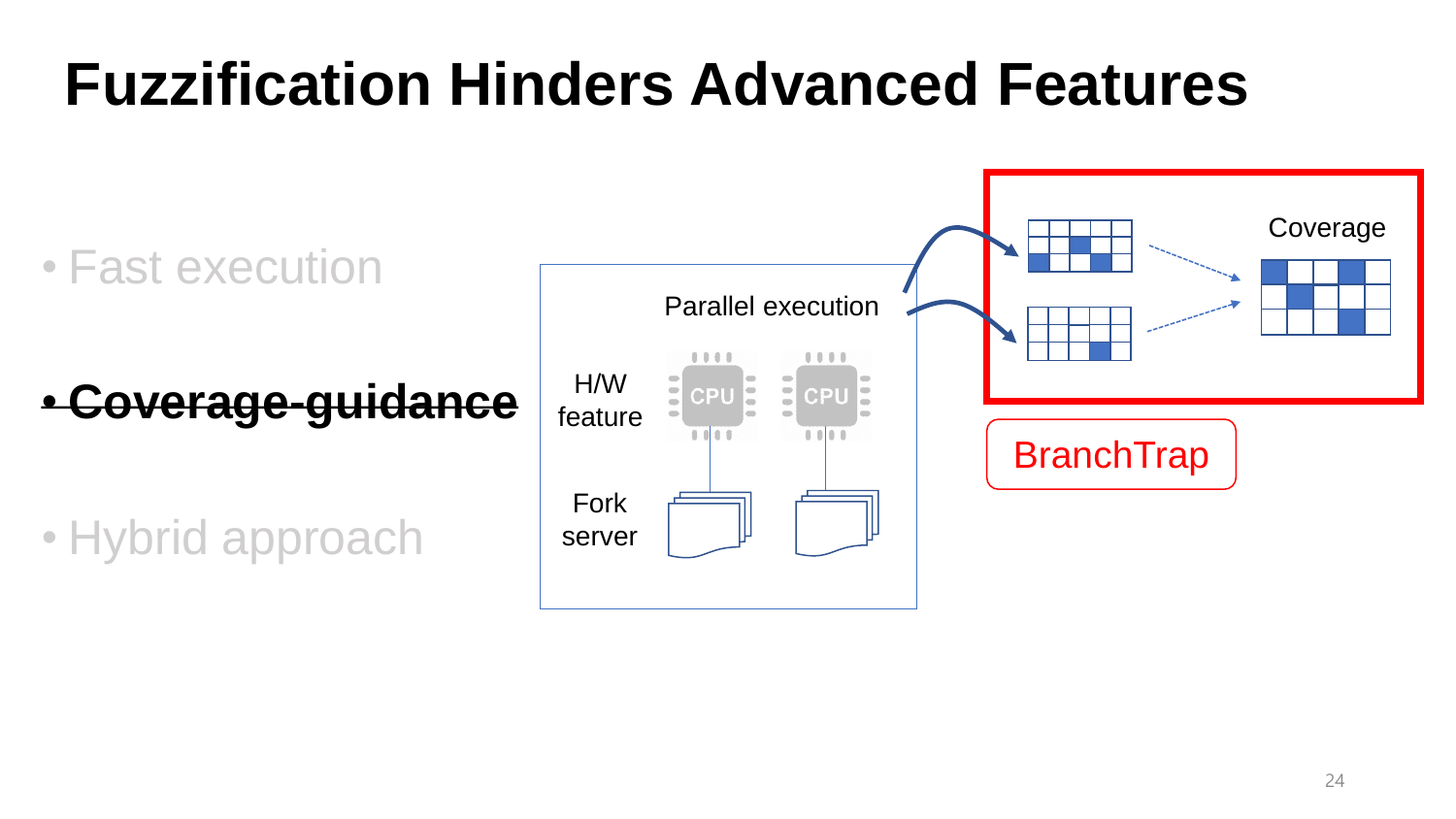• Fast execution

• **Coverage-guidance**

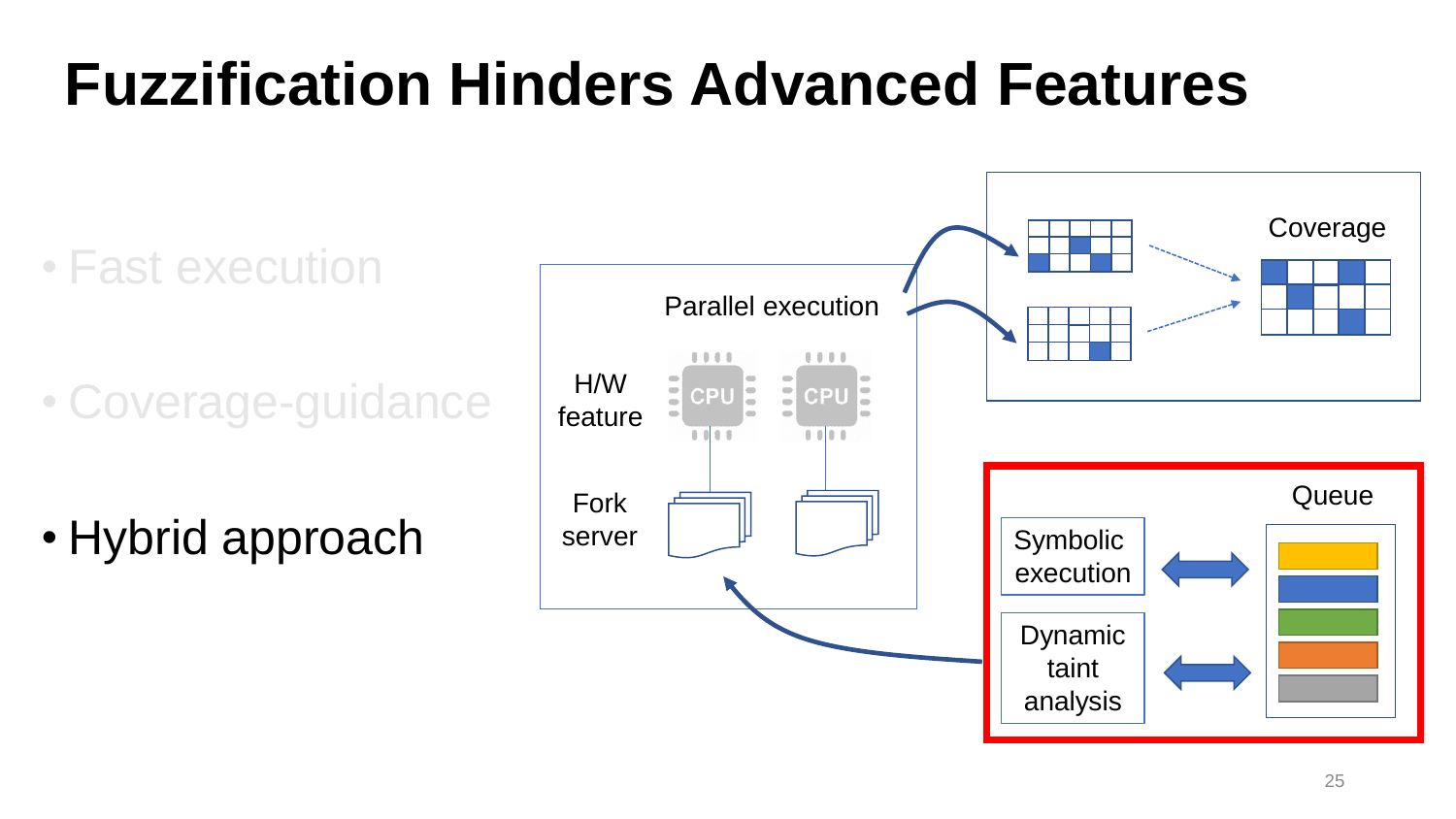• Fast execution

• Coverage-guidance

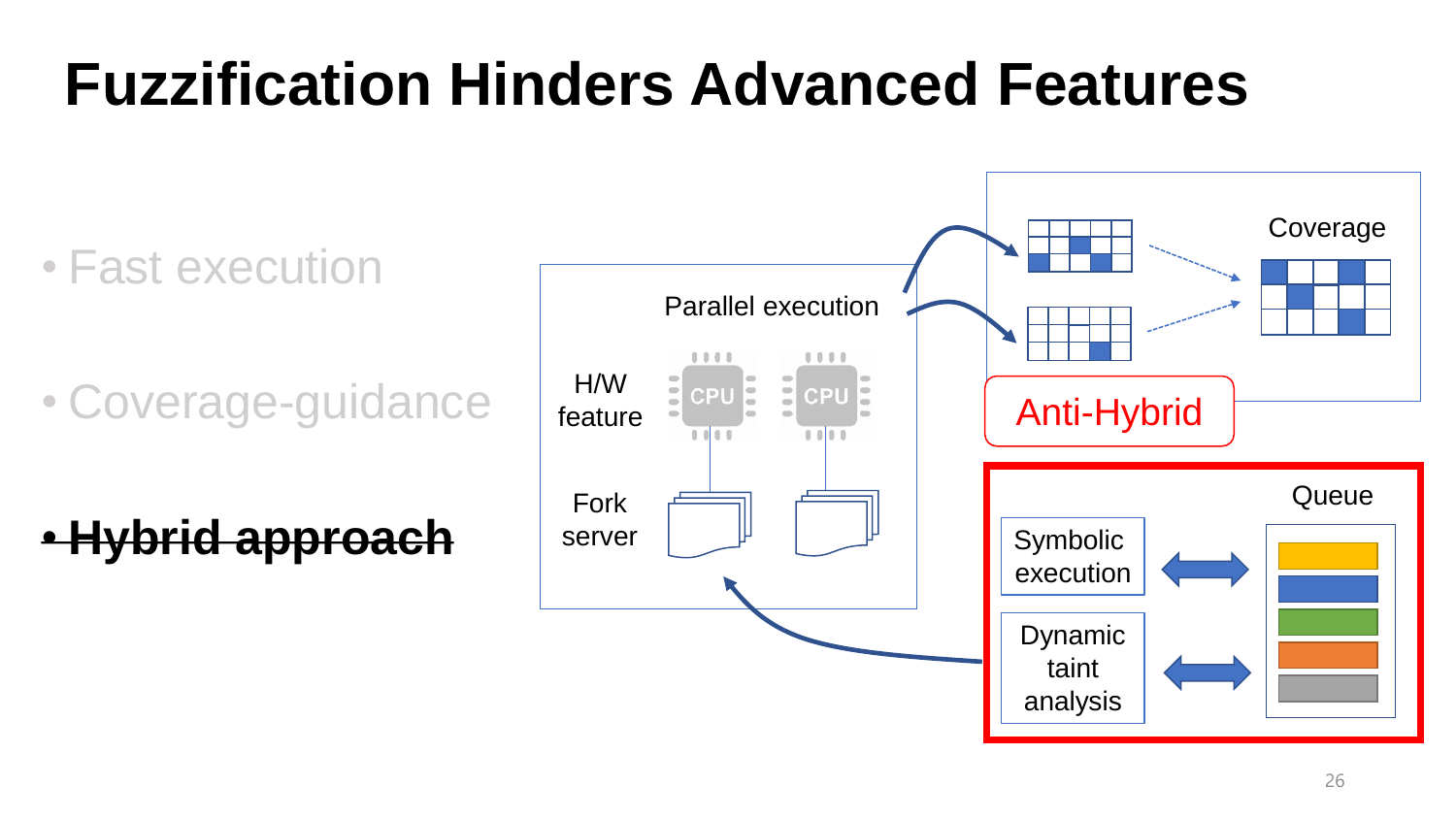• Fast execution

• Coverage-guidance

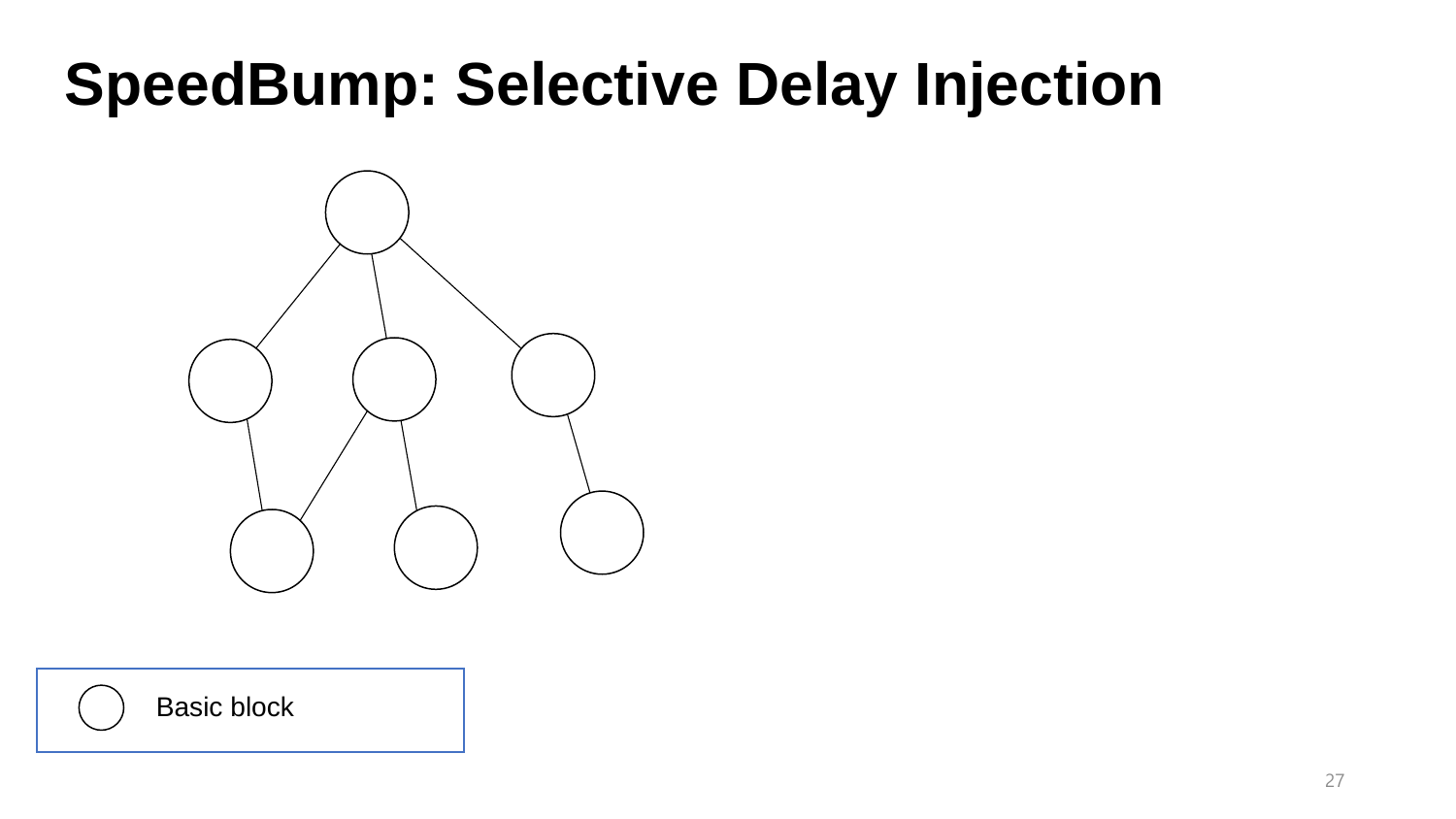

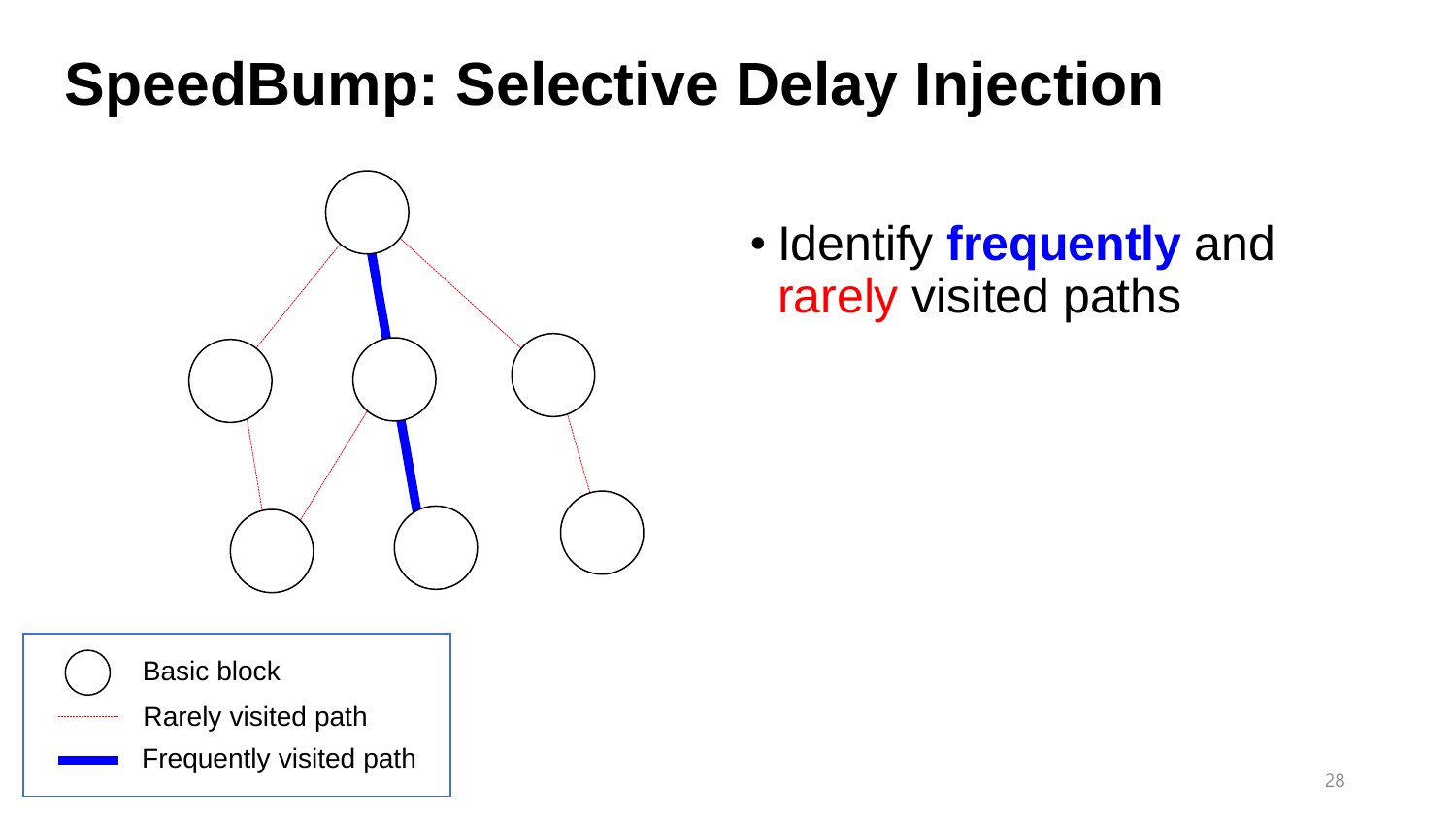

• Identify **frequently** and rarely visited paths

- Basic block
- Rarely visited path
	- Frequently visited path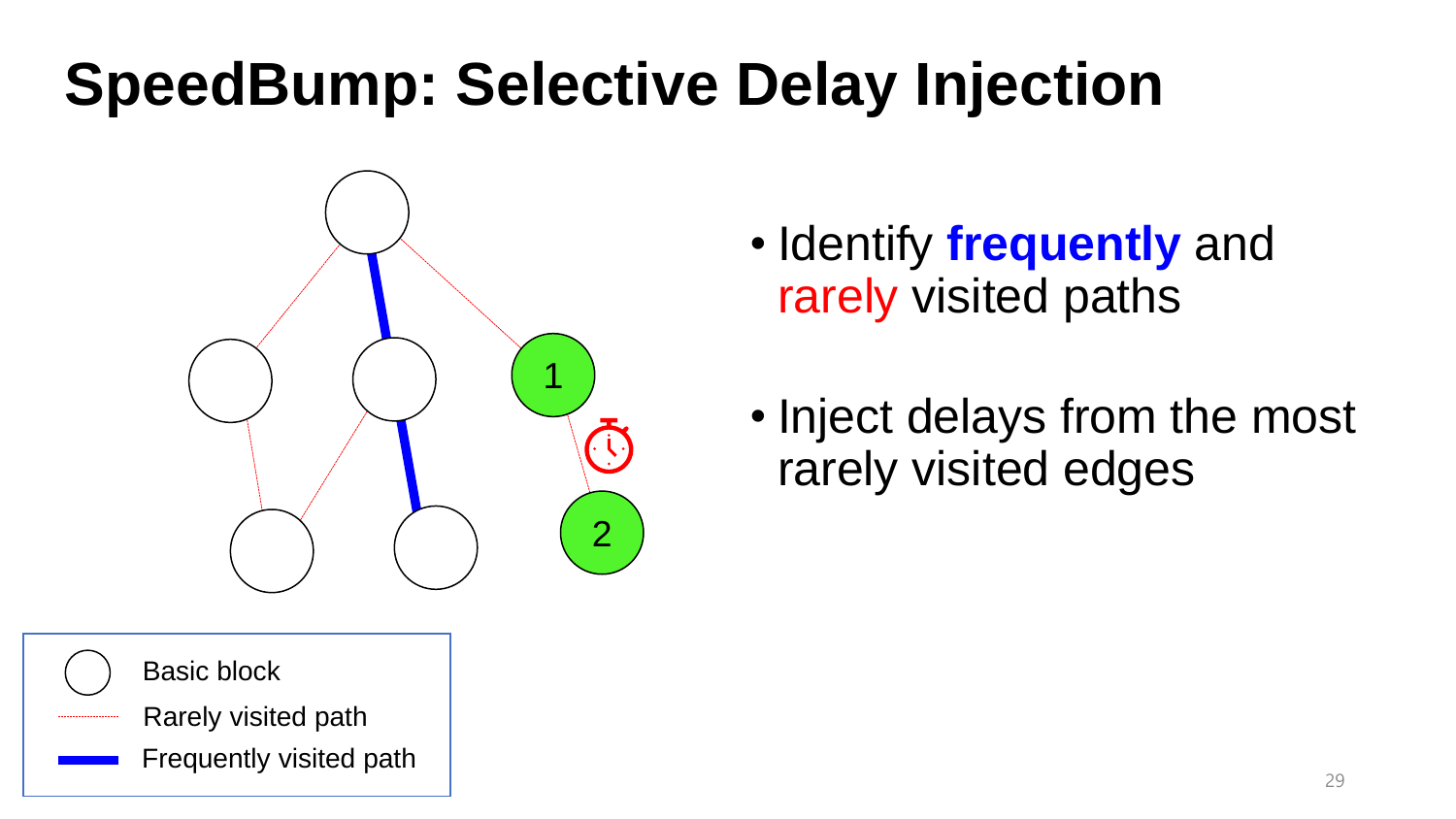



• Inject delays from the most rarely visited edges

Basic block

- Rarely visited path
	- Frequently visited path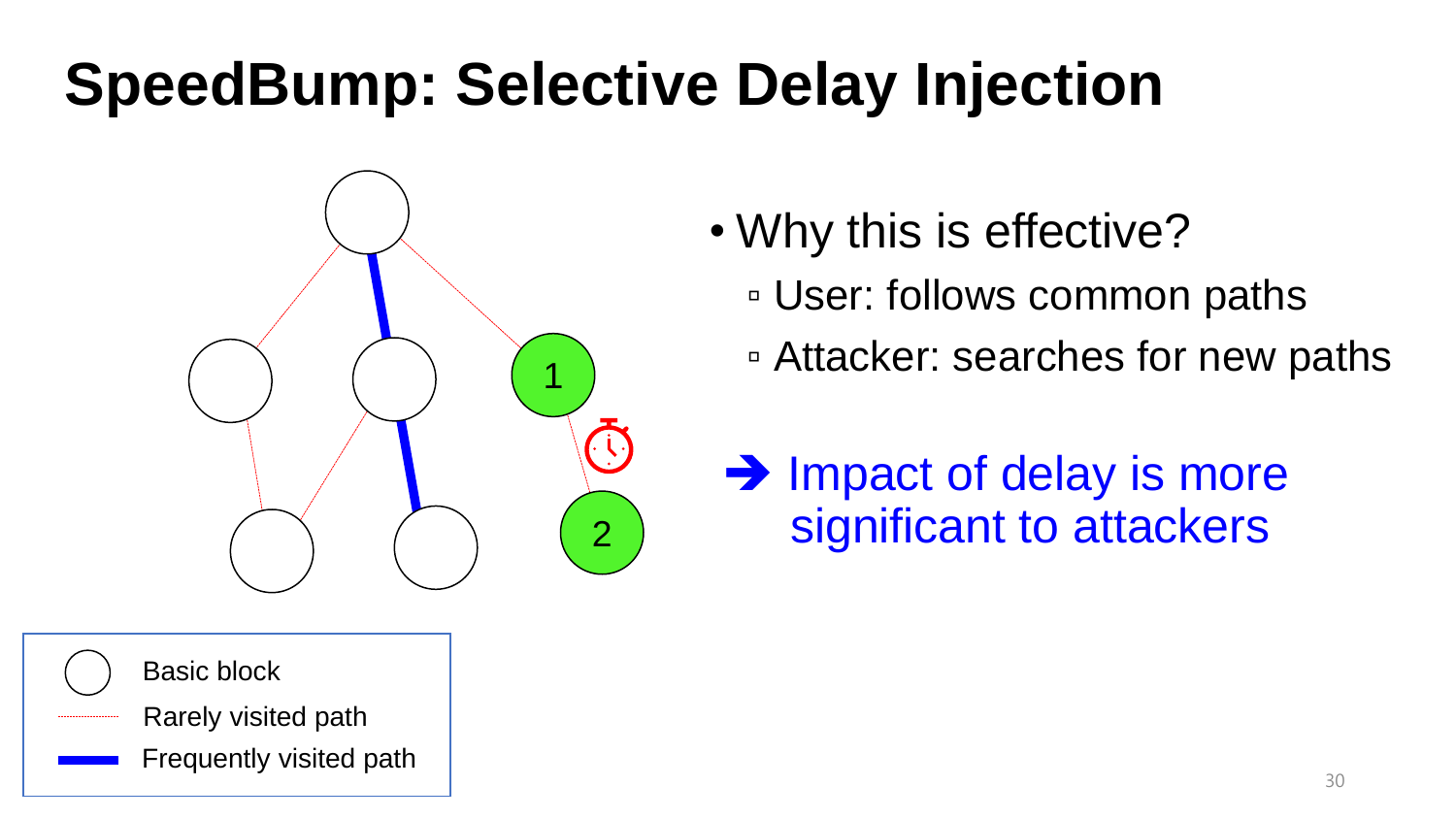



- Rarely visited path
- Frequently visited path
- Why this is effective?
	- User: follows common paths
	- Attacker: searches for new paths
	- **→ Impact of delay is more** significant to attackers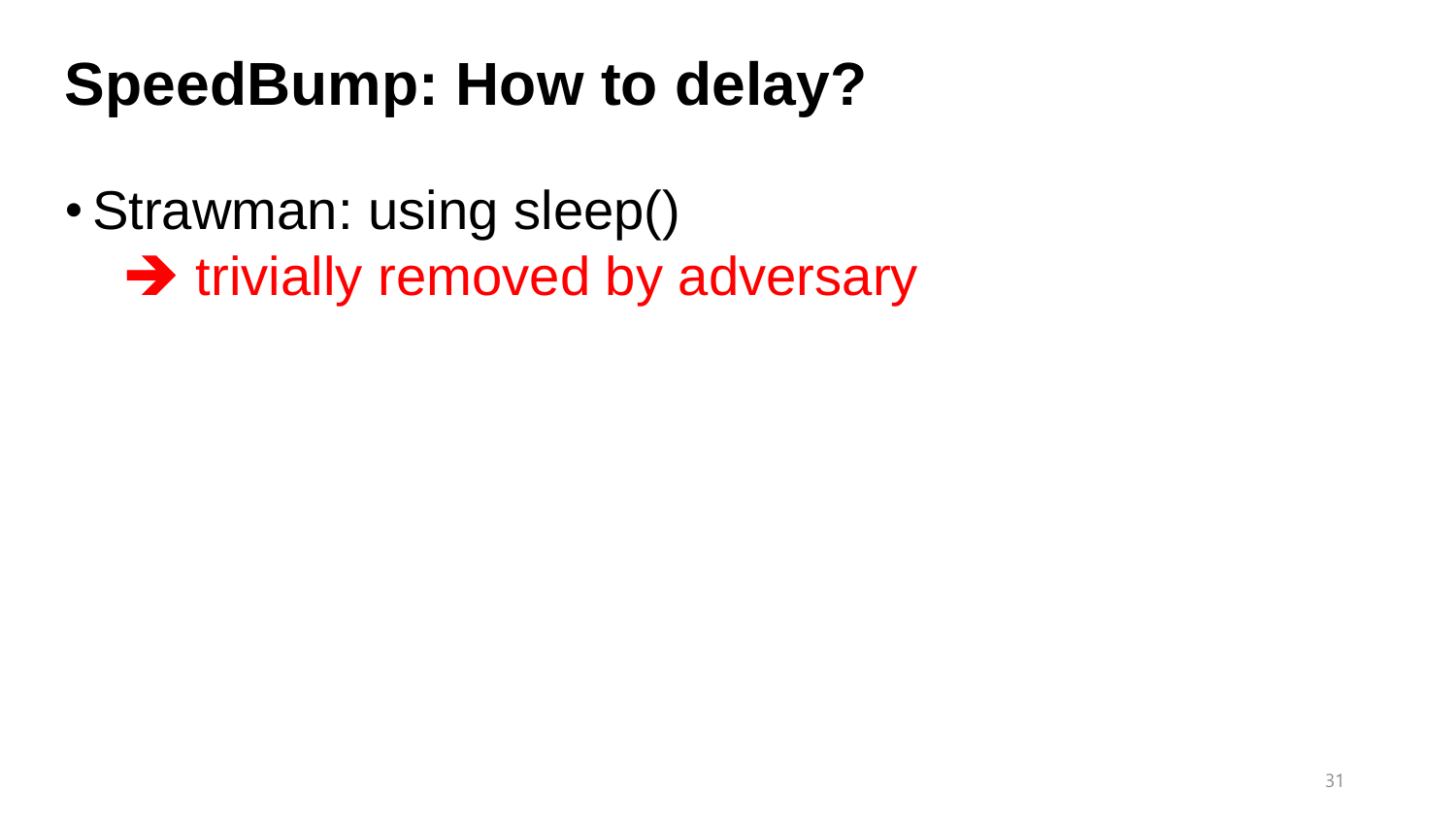## **SpeedBump: How to delay?**

- •Strawman: using sleep()
	- **→ trivially removed by adversary**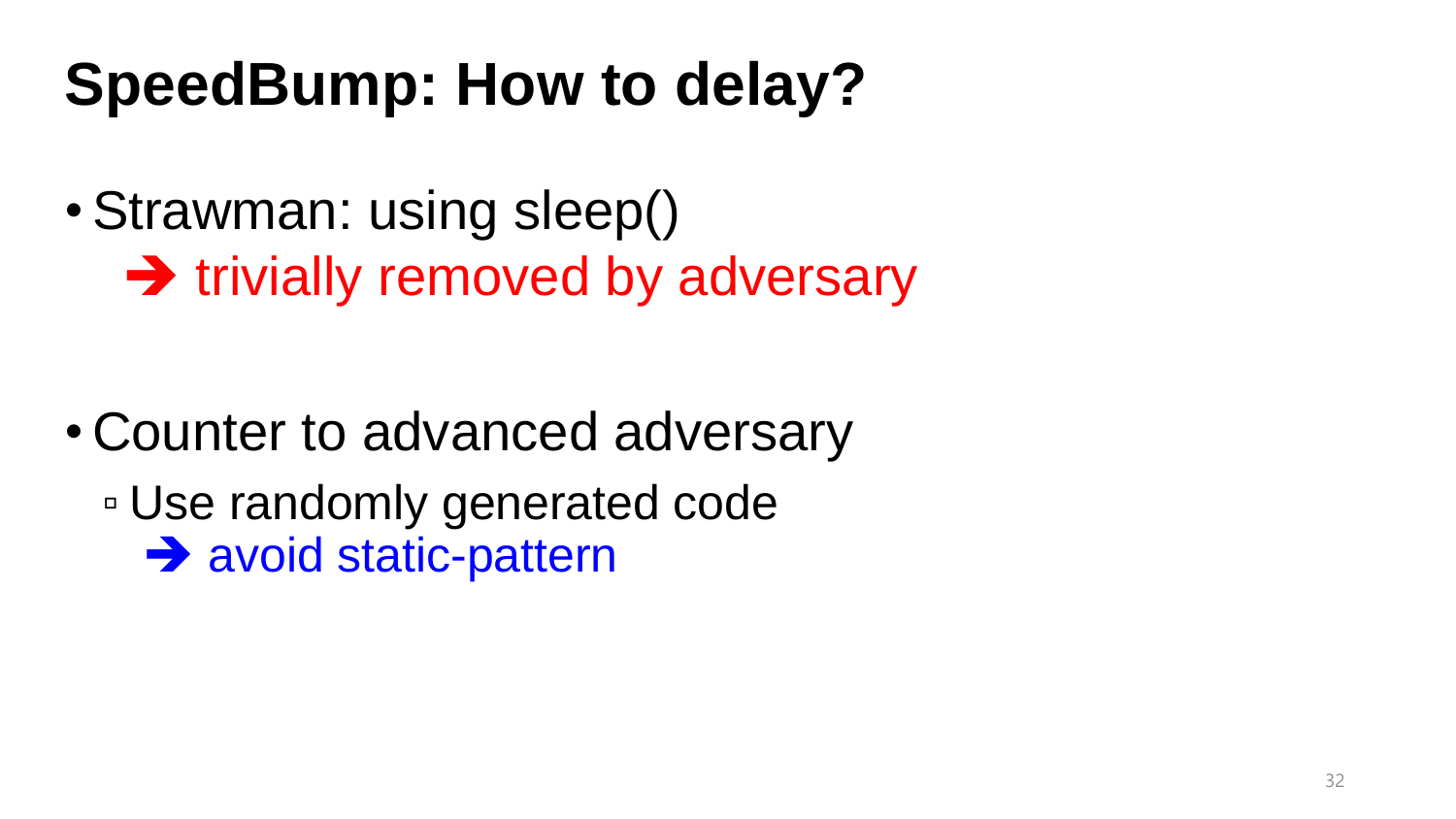## **SpeedBump: How to delay?**

- •Strawman: using sleep()
	- **→ trivially removed by adversary**

- Counter to advanced adversary
	- Use randomly generated code **→ avoid static-pattern**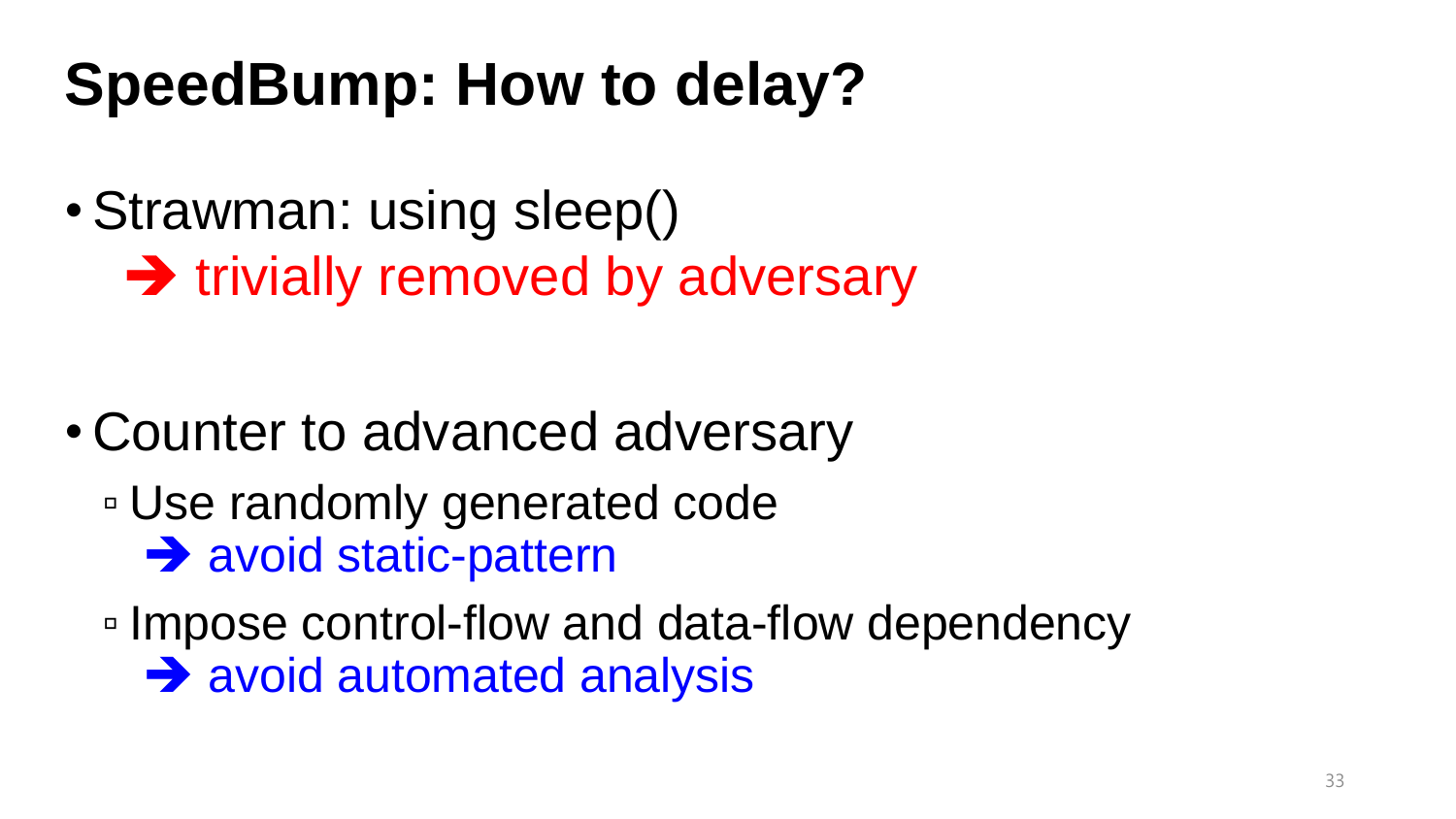## **SpeedBump: How to delay?**

•Strawman: using sleep()

**→ trivially removed by adversary** 

- Counter to advanced adversary
	- Use randomly generated code **→ avoid static-pattern**

▫ Impose control-flow and data-flow dependency **→ avoid automated analysis**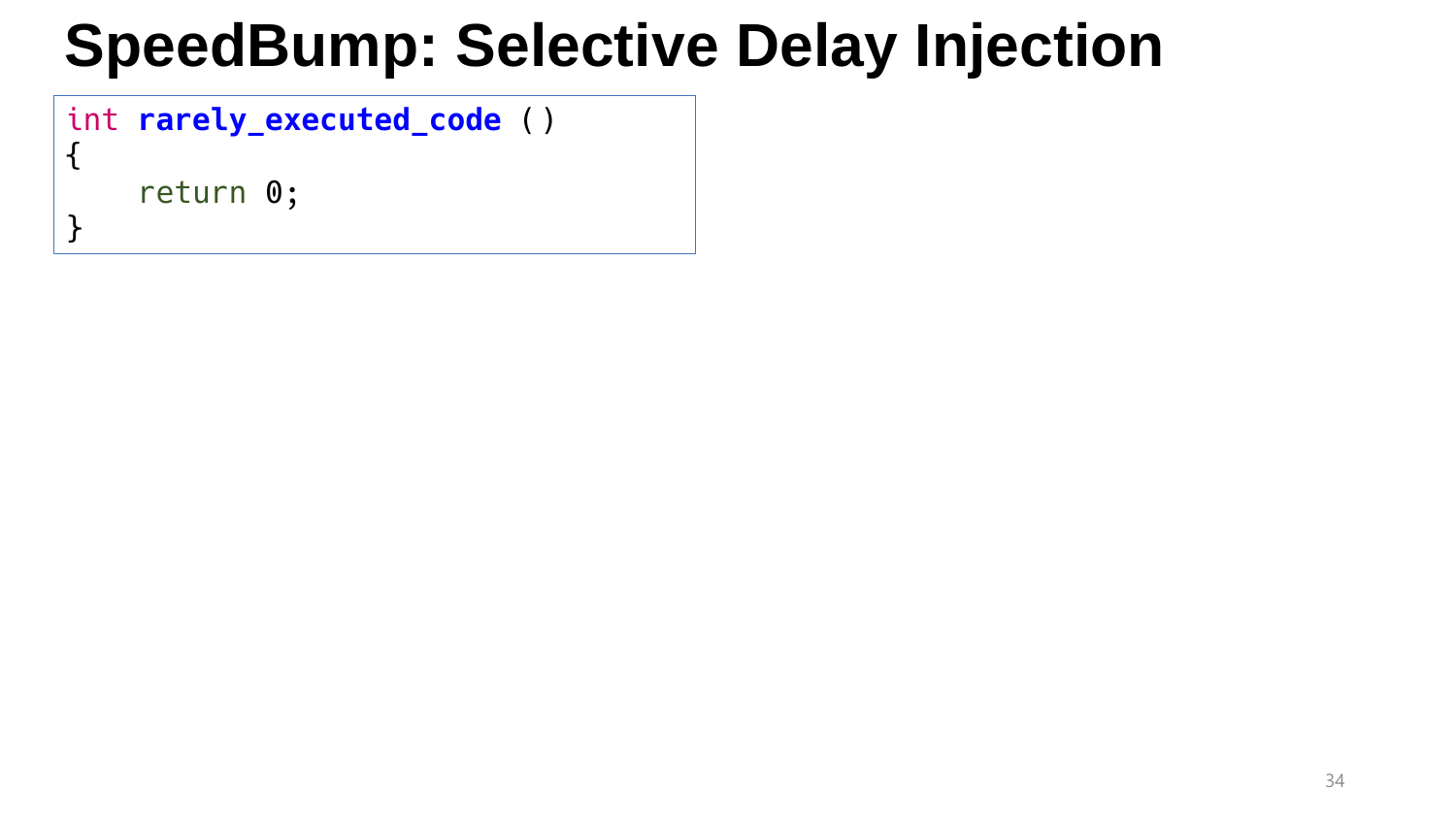#### int **rarely\_executed\_code** ()

return 0;

{

}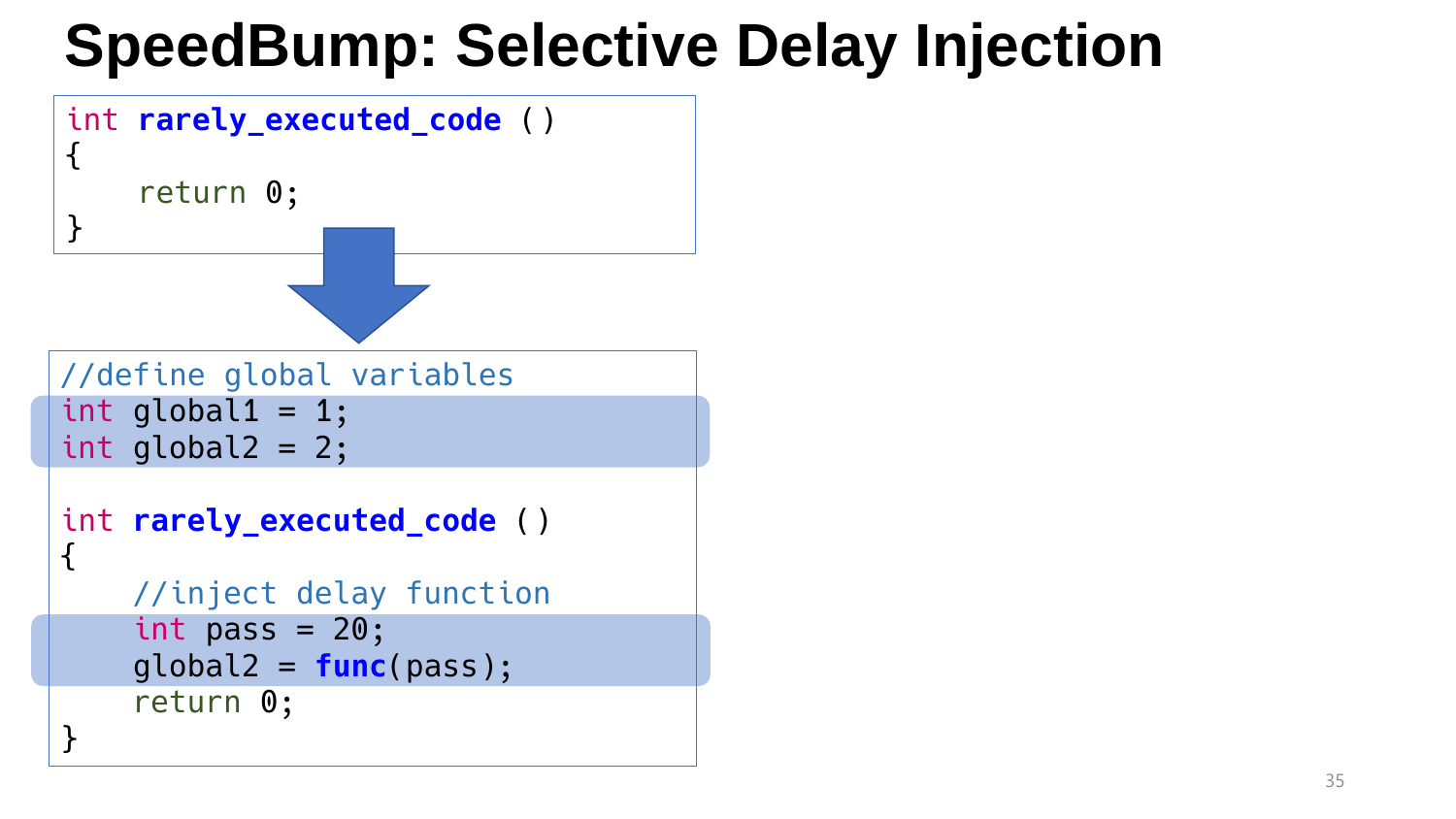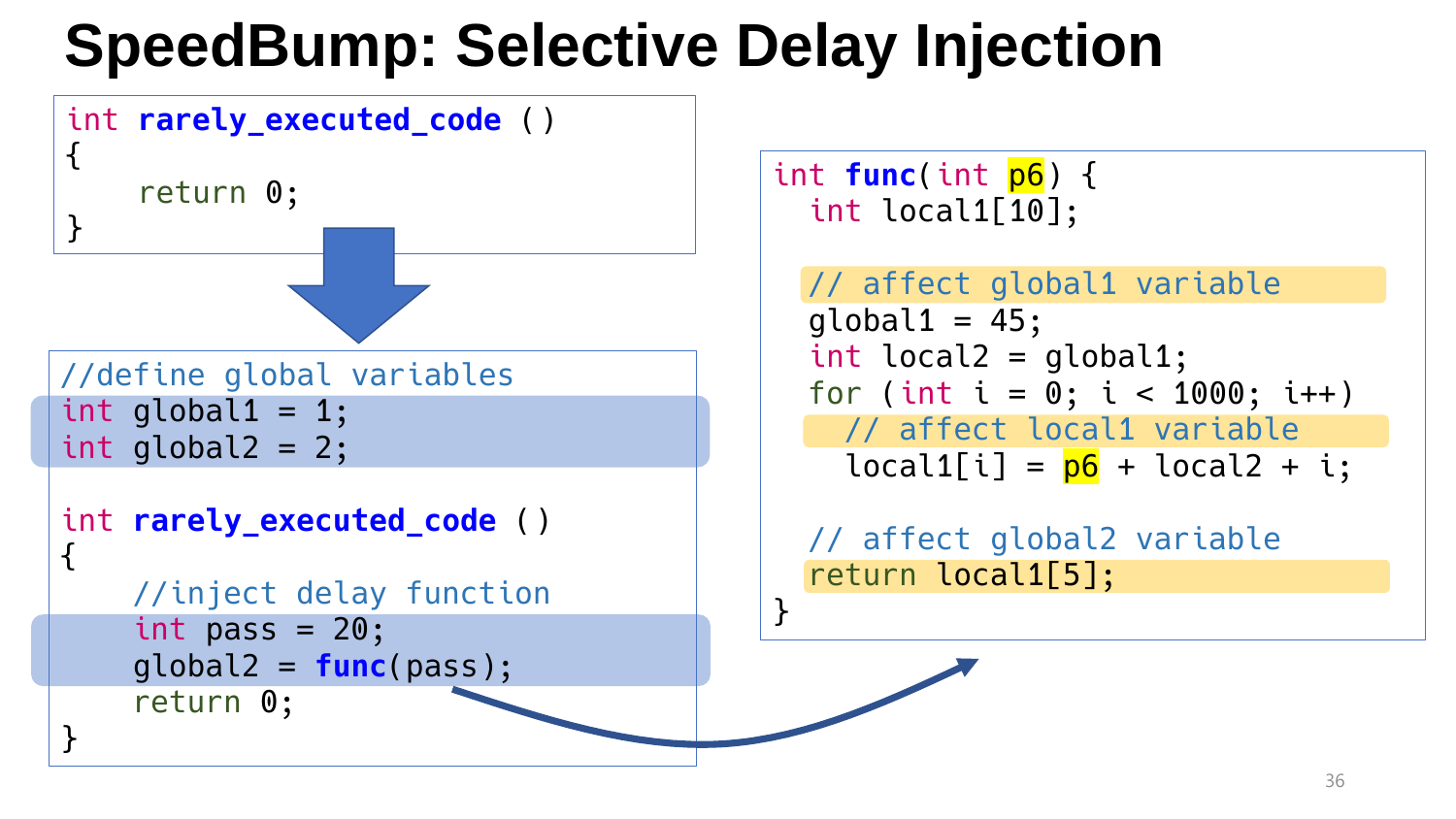

```
int func(int p6) {
  int local1[10];
```
}

```
// affect global1 variable
global1 = 45;int local2 = global1;
for (int i = 0; i < 1000; i++)// affect local1 variable
  local1[i] = p6 + local2 + i;
```
// affect global2 variable return local1[5];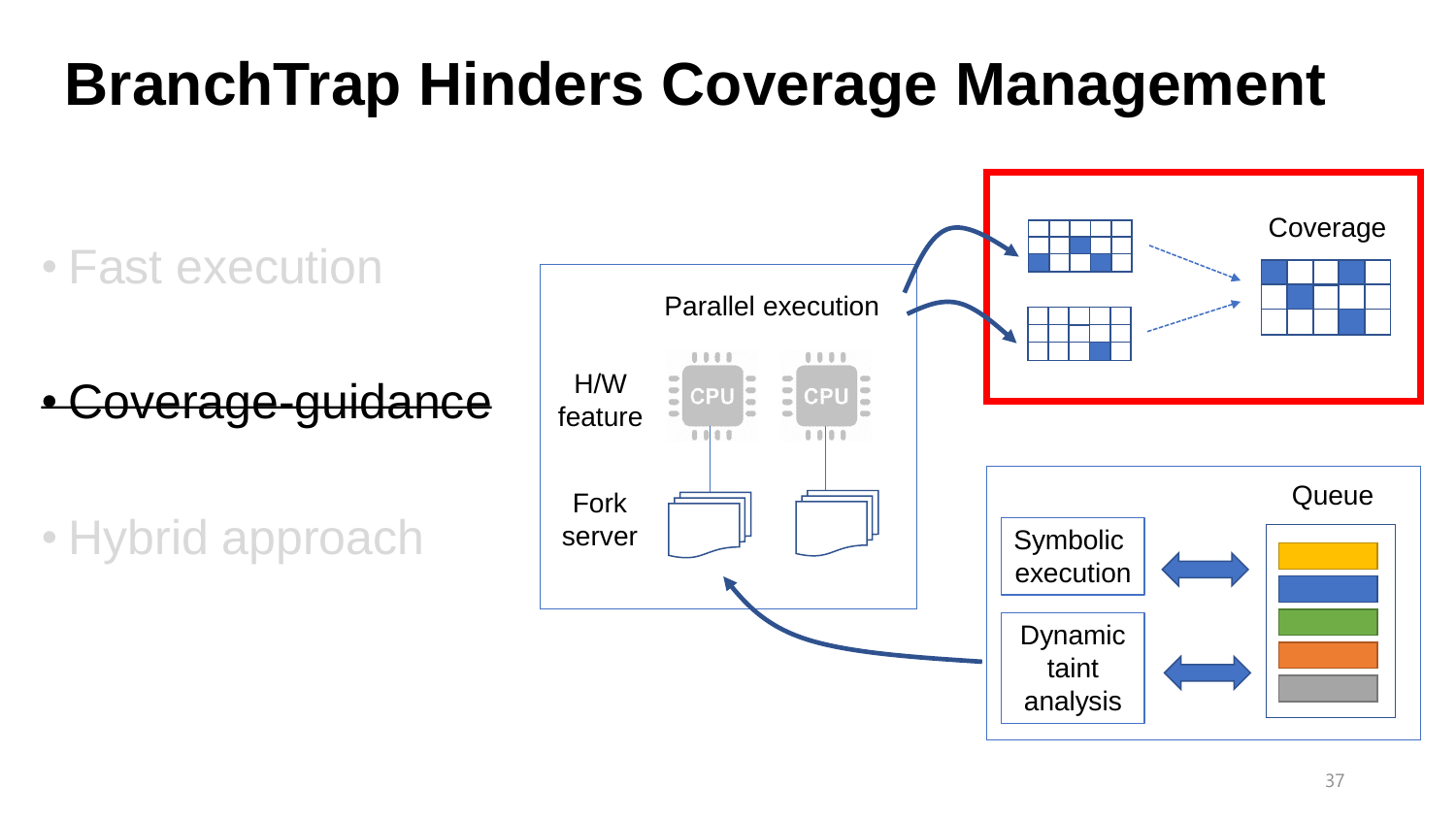## **BranchTrap Hinders Coverage Management**

• Fast execution

overage-guidance

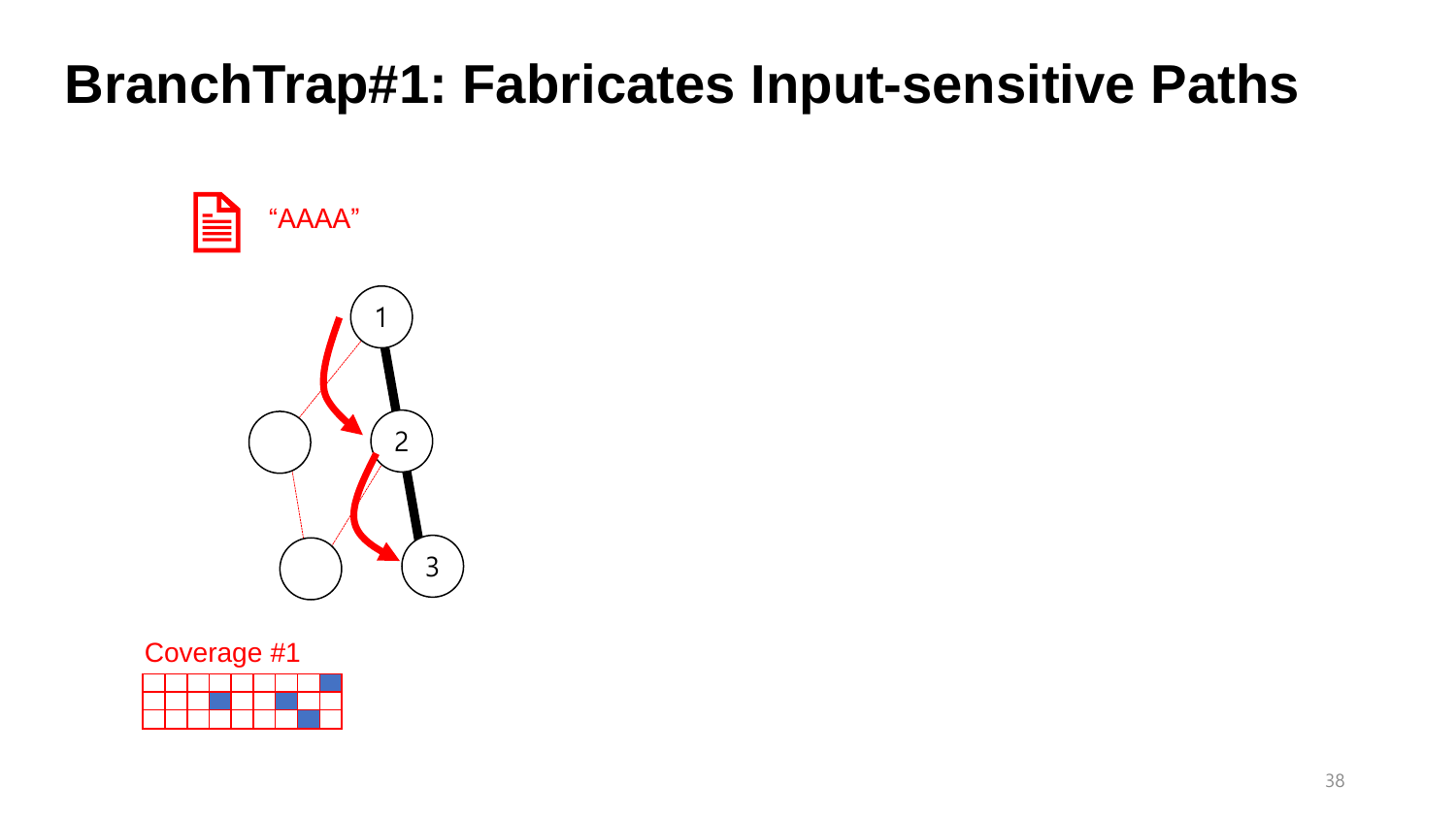

#### Coverage #1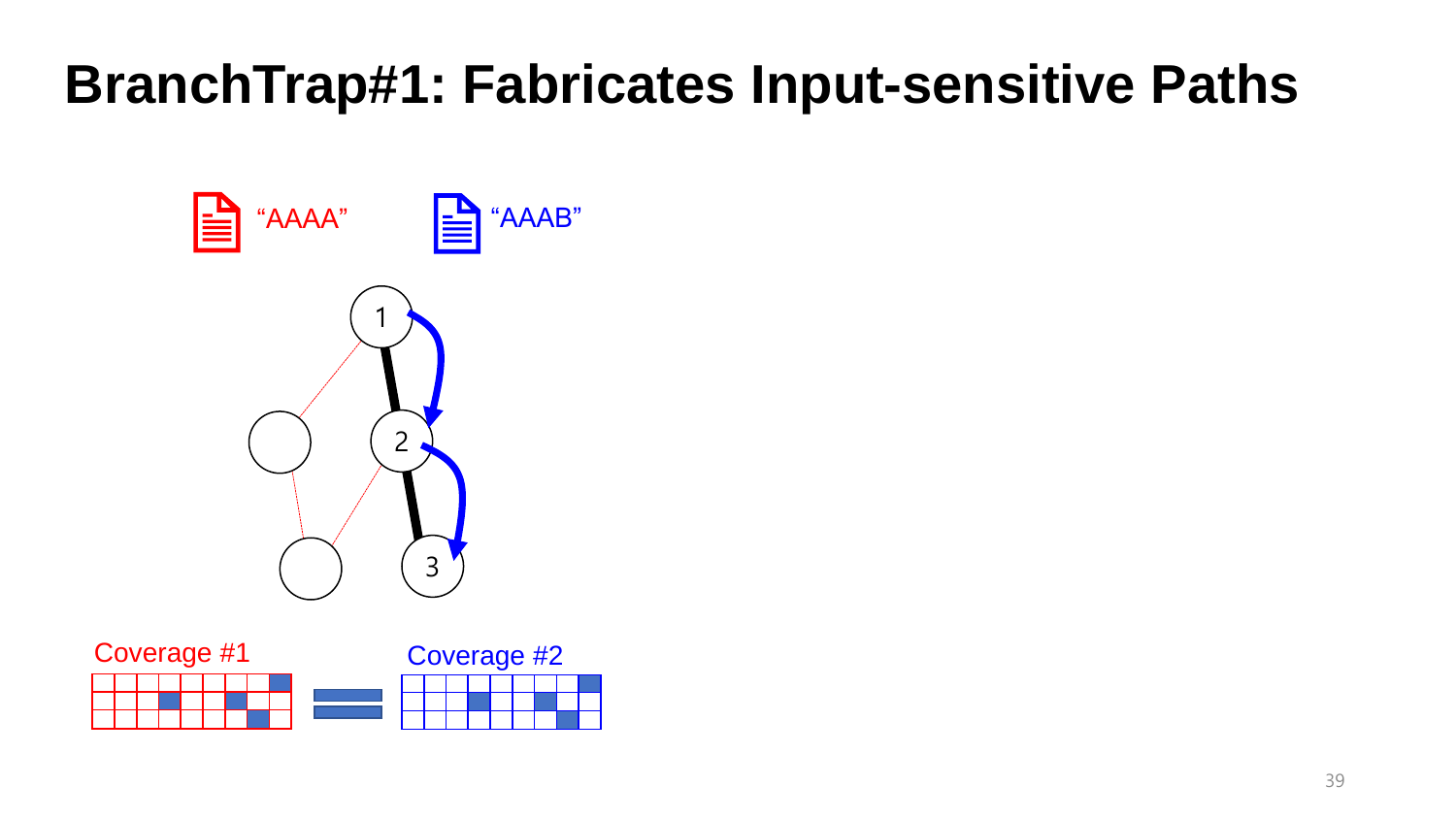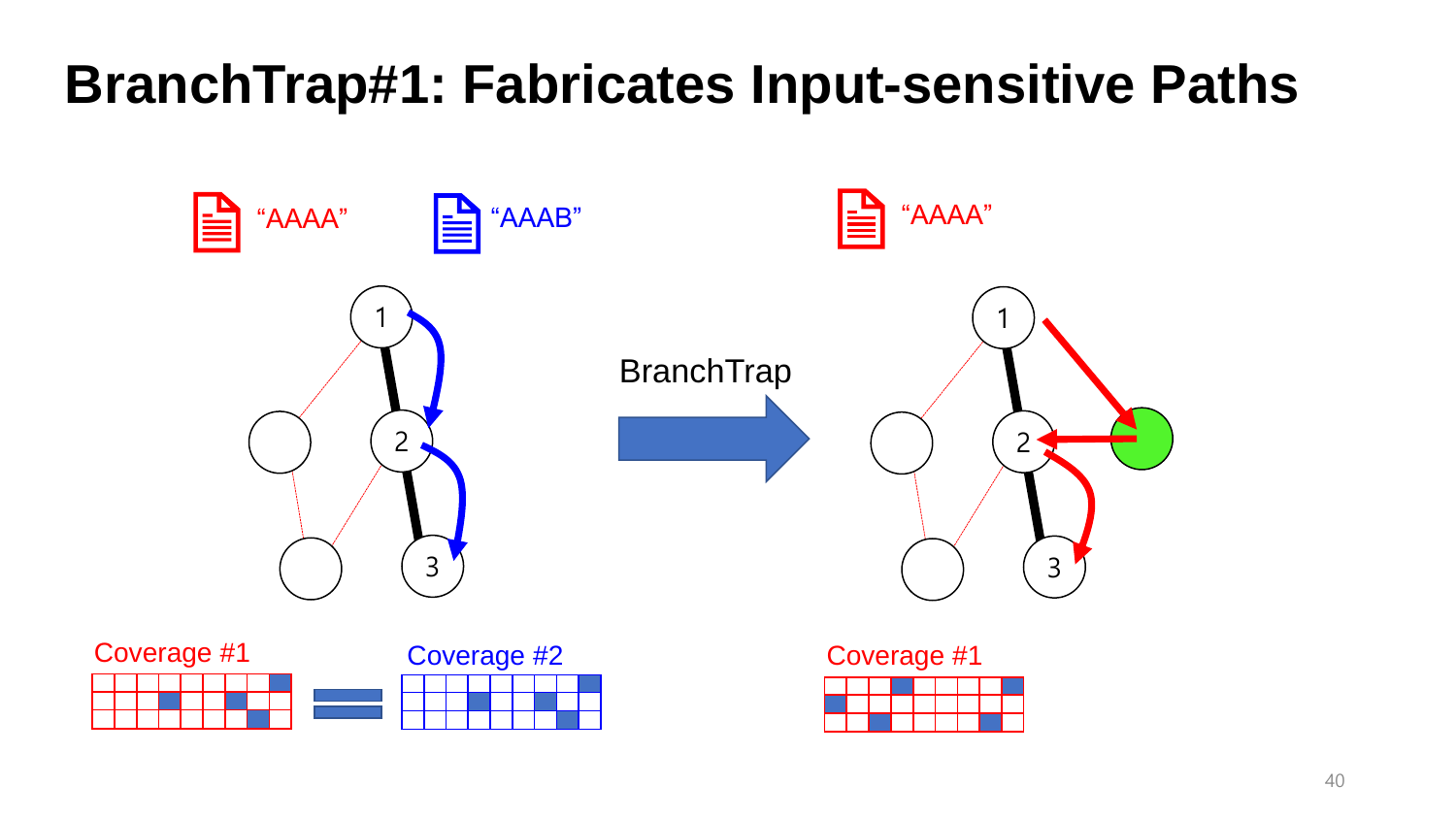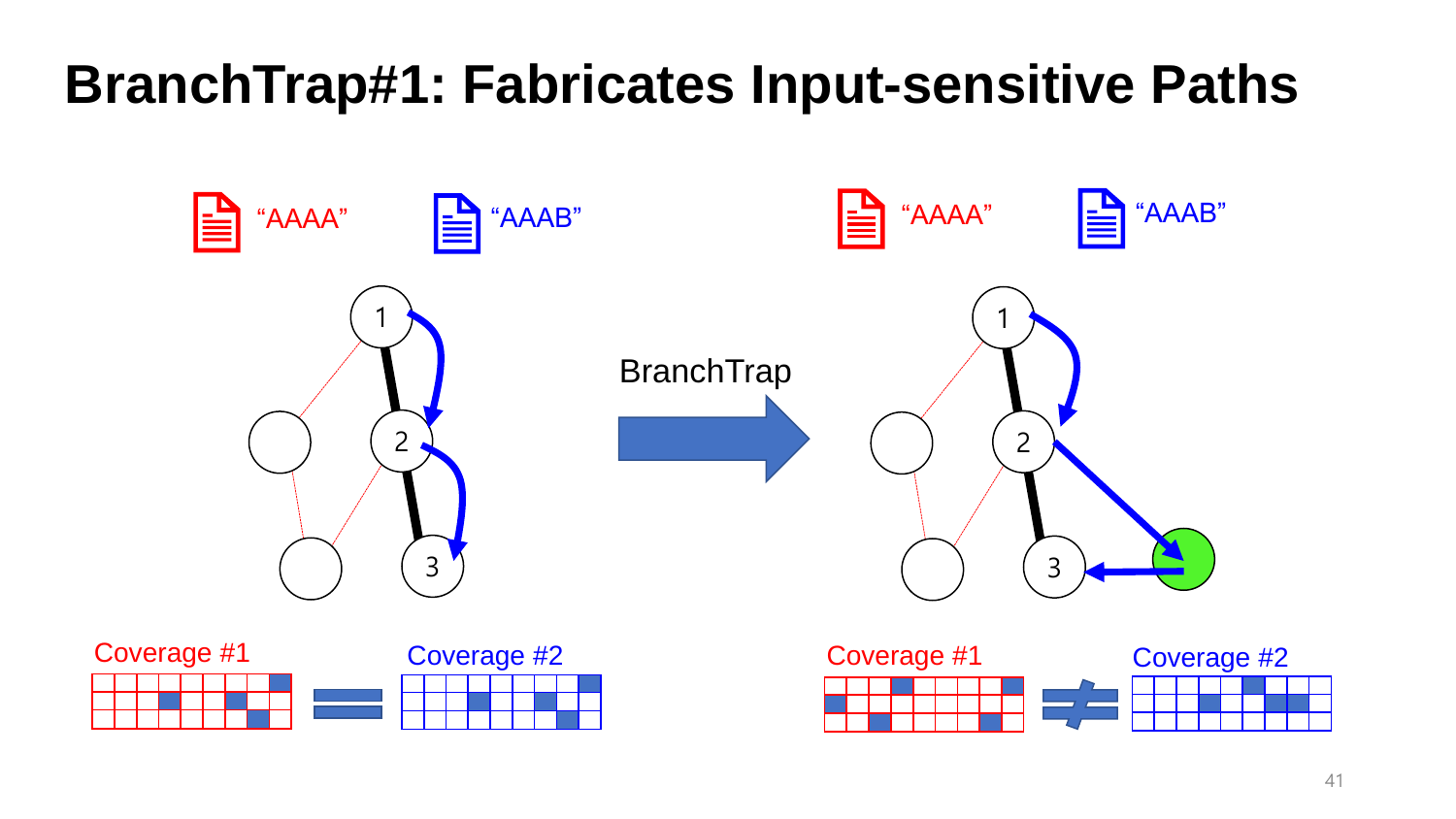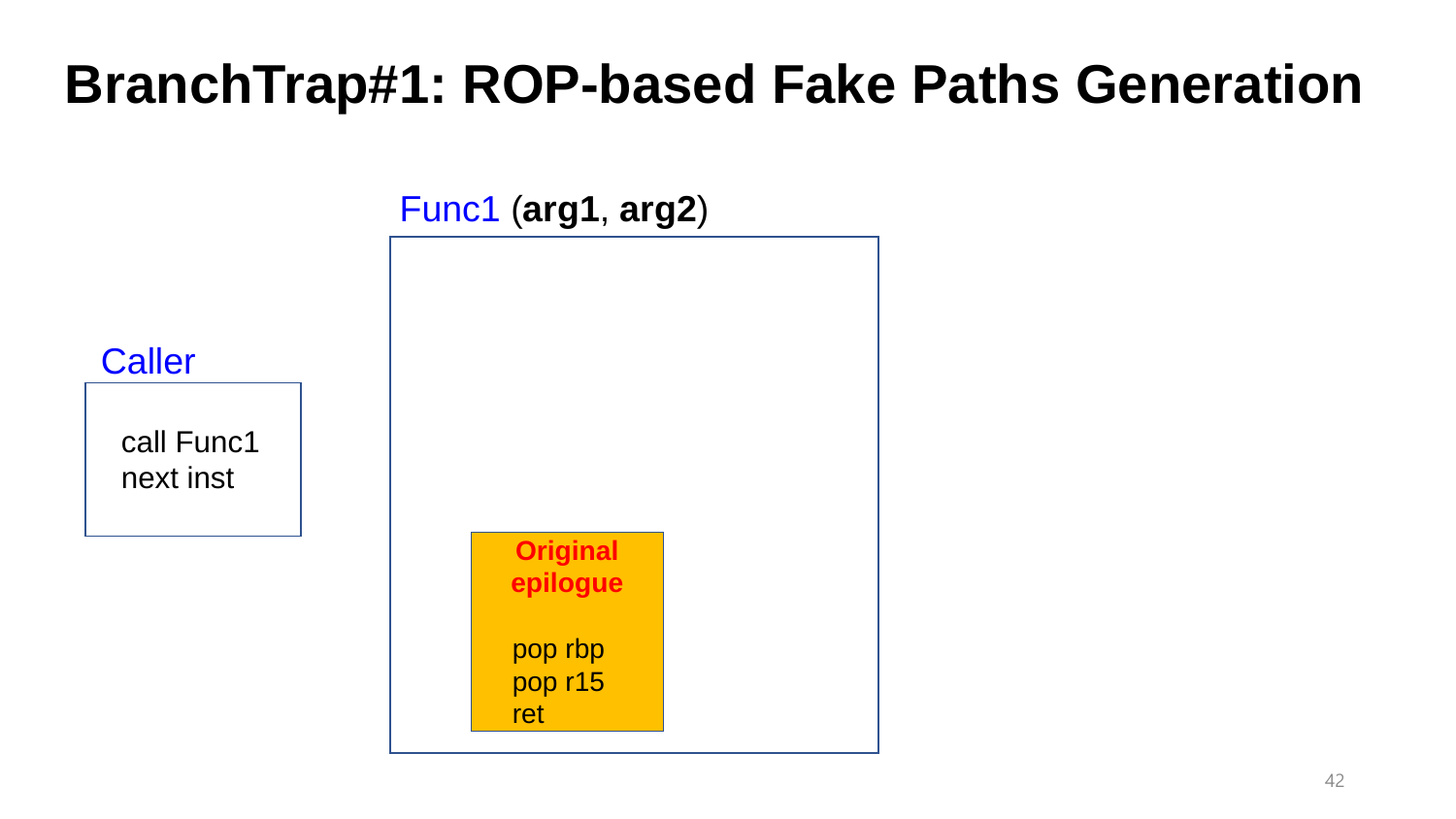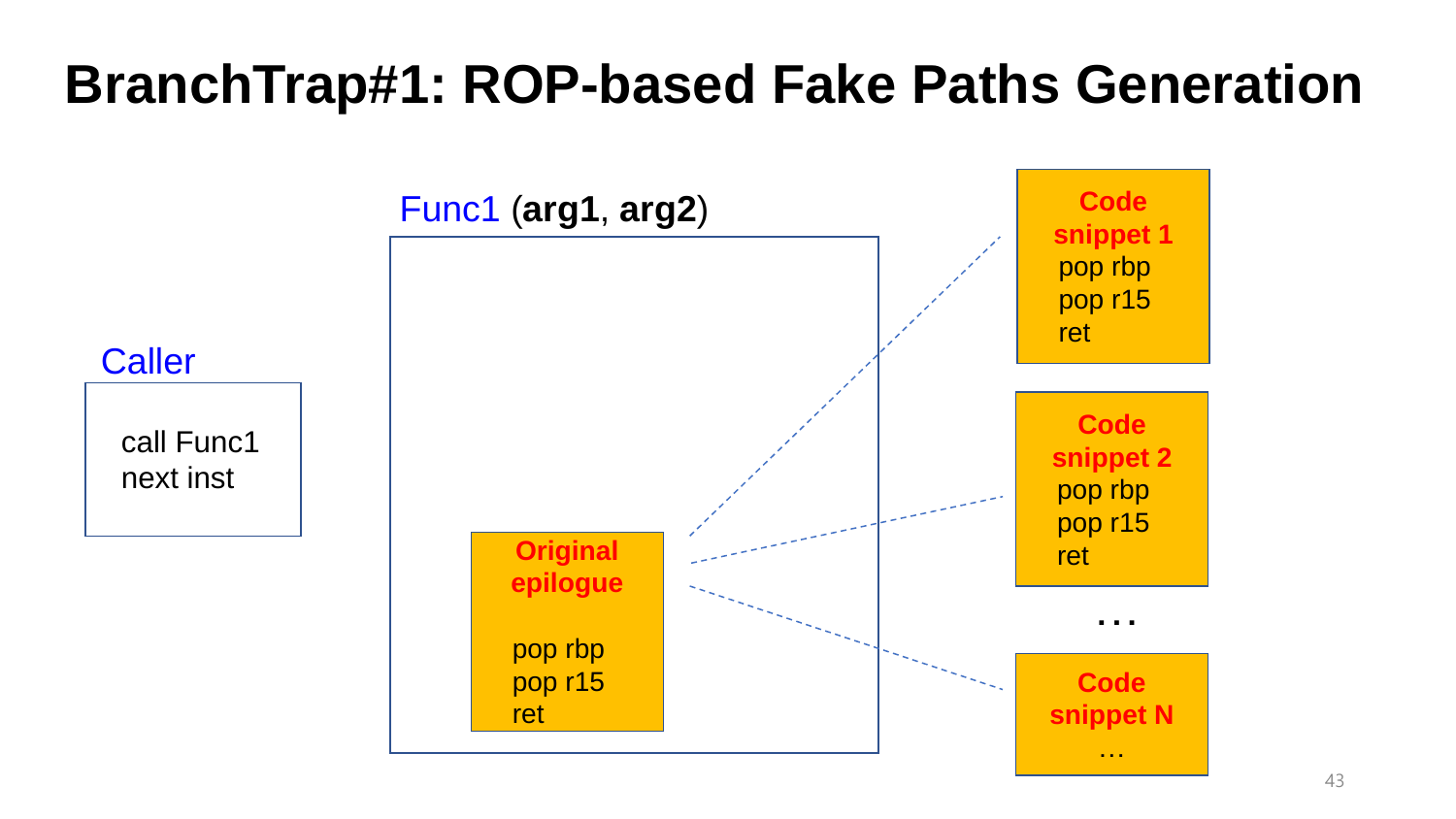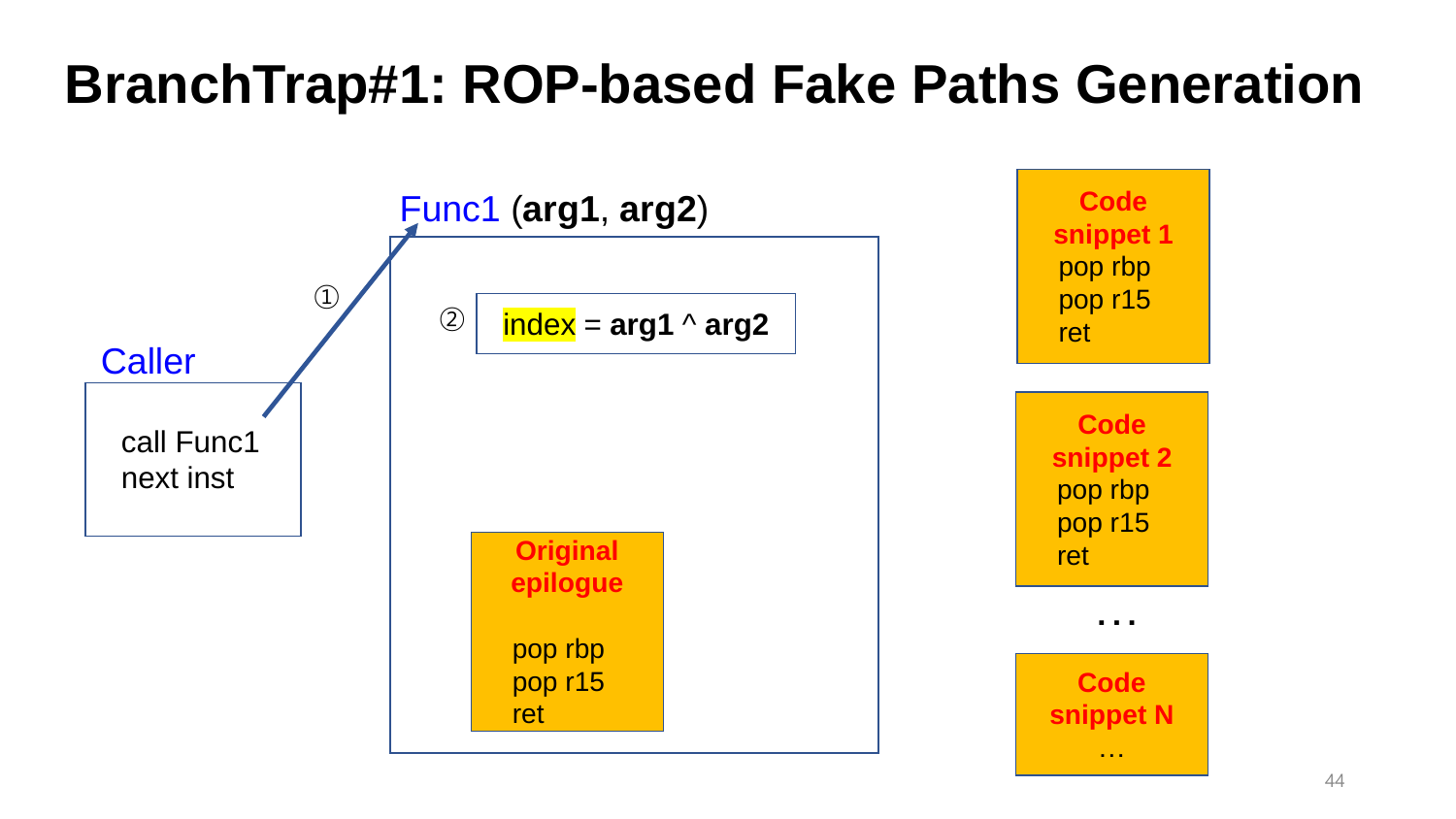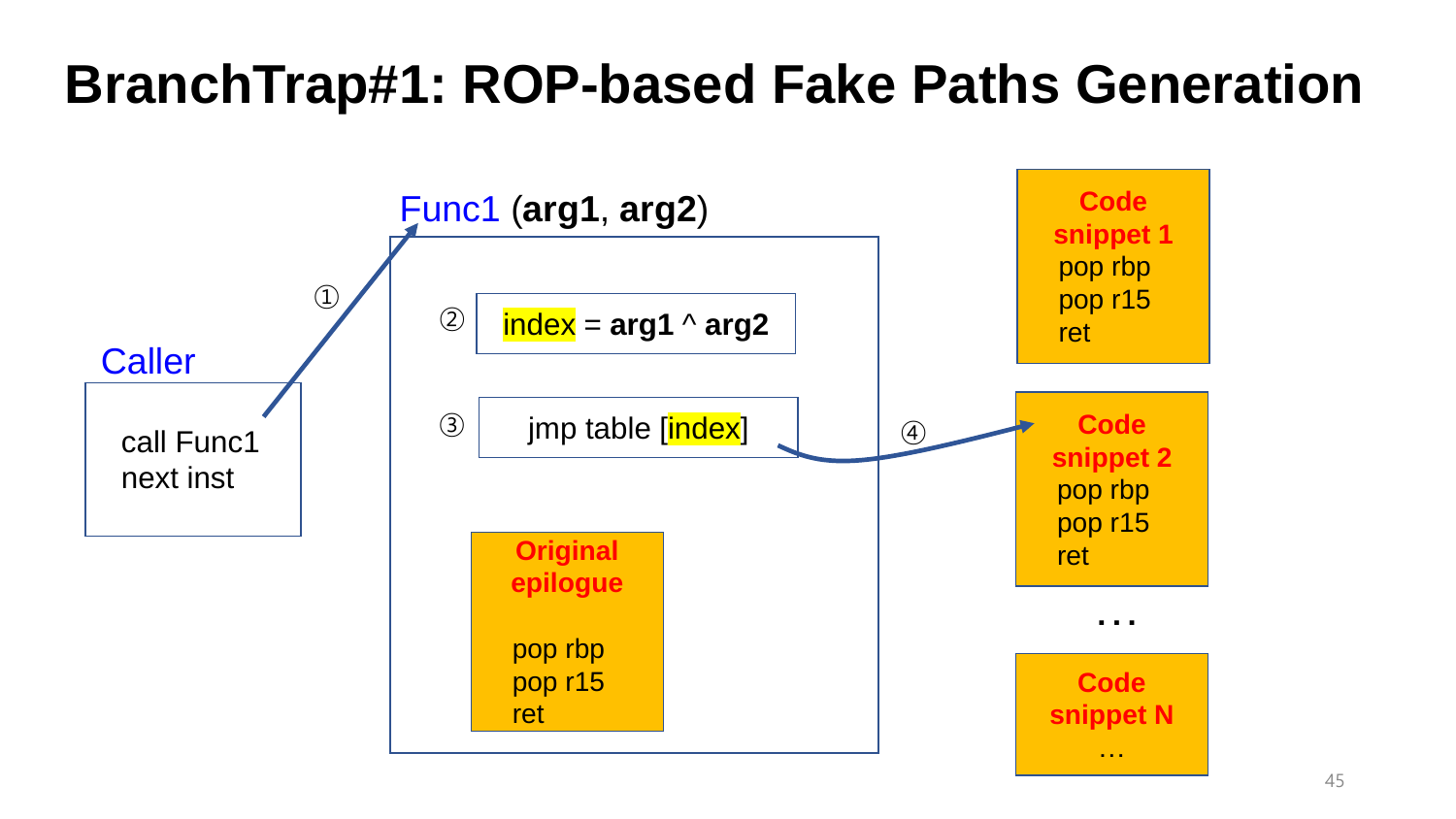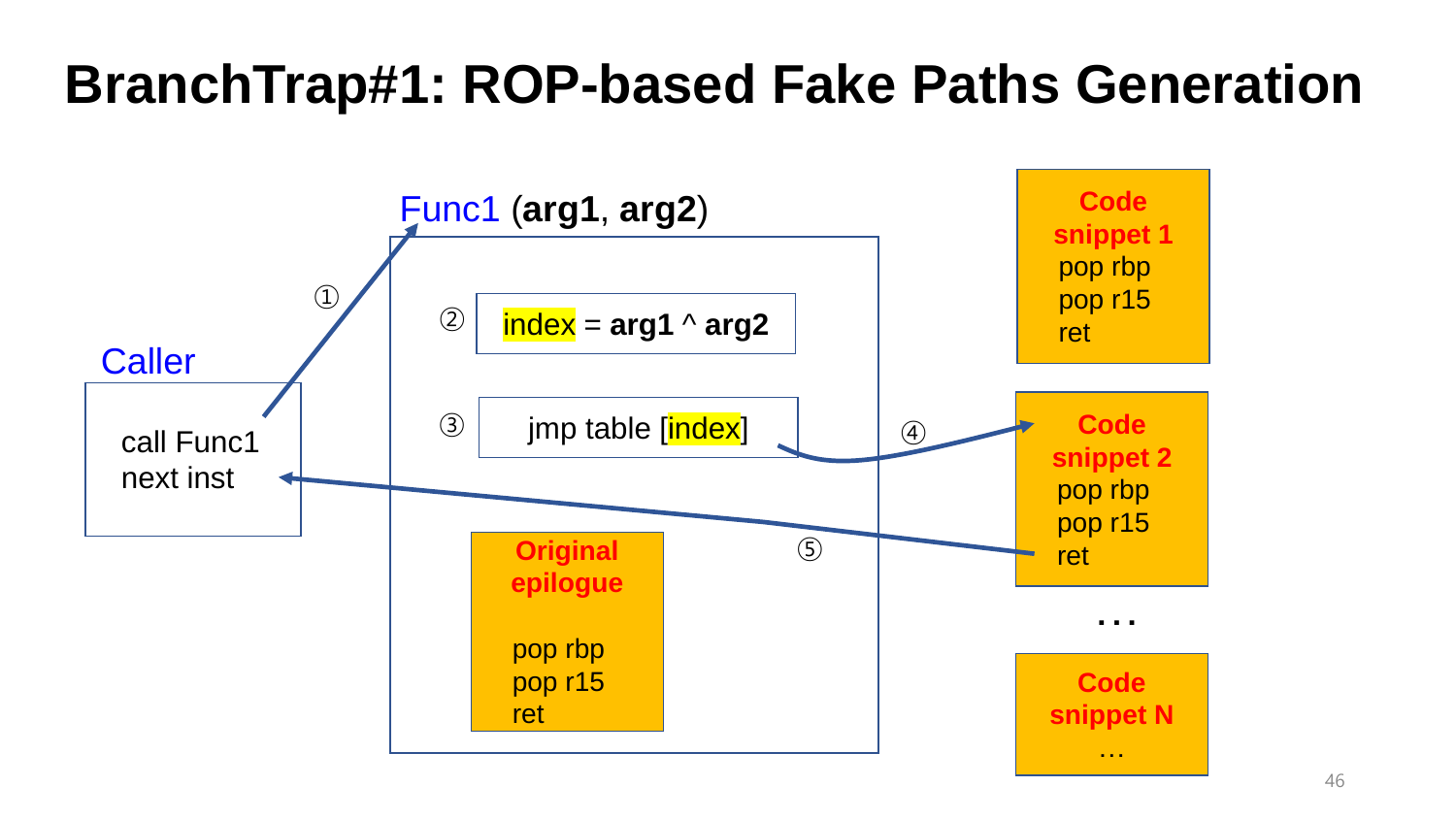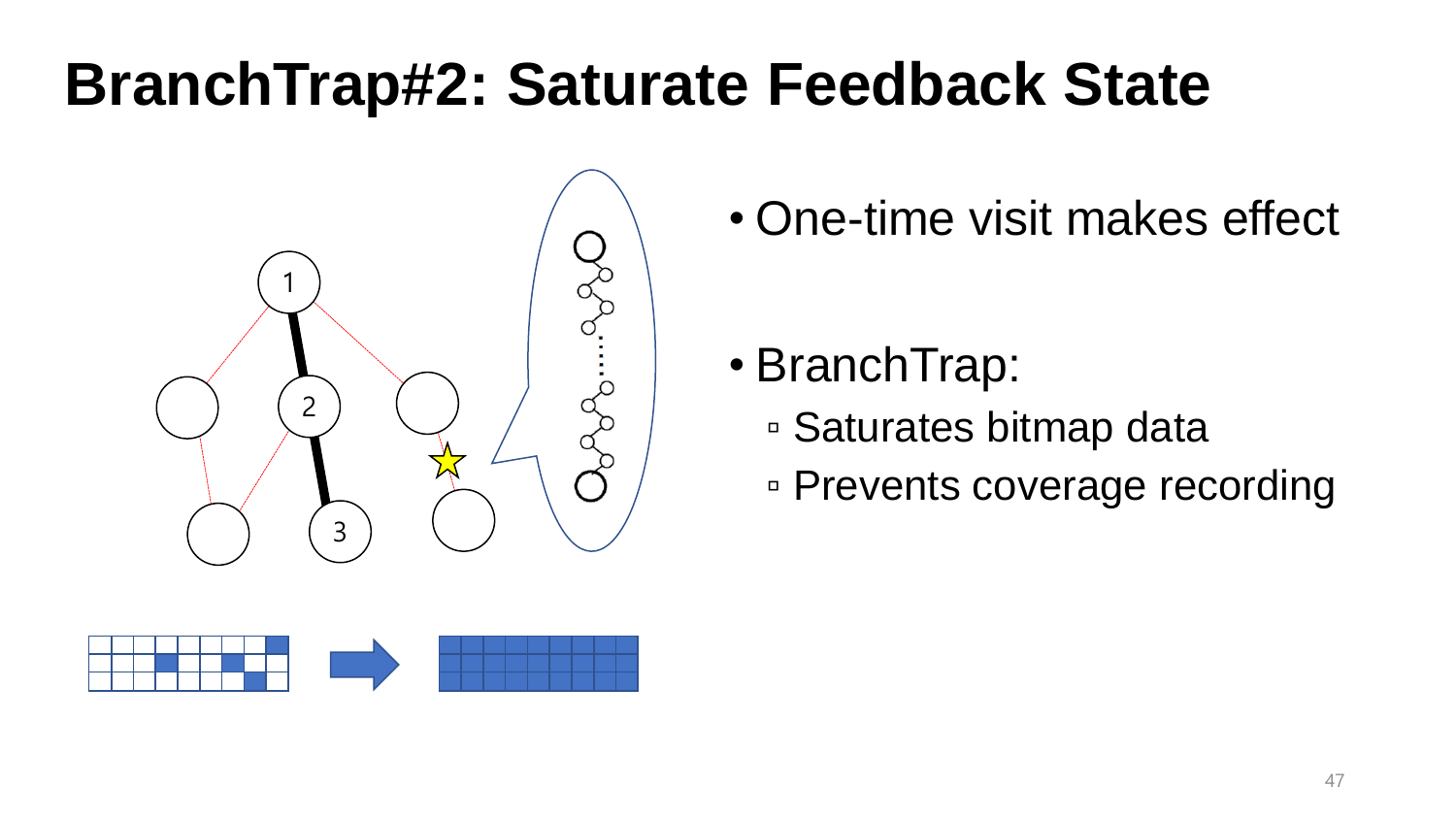## **BranchTrap#2: Saturate Feedback State**



• One-time visit makes effect

- BranchTrap:
	- Saturates bitmap data
	- Prevents coverage recording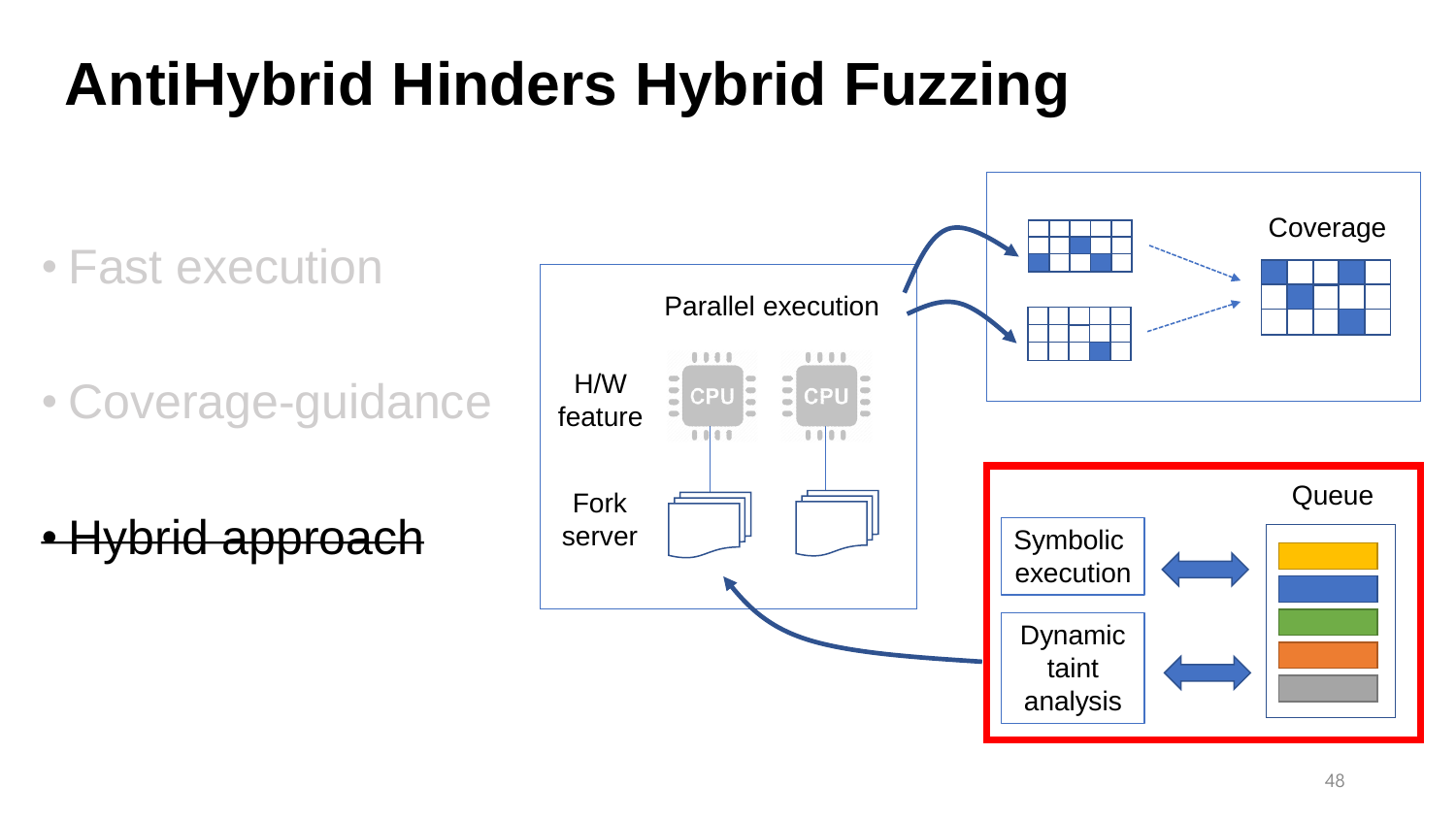## **AntiHybrid Hinders Hybrid Fuzzing**

• Fast execution

• Coverage-guidance

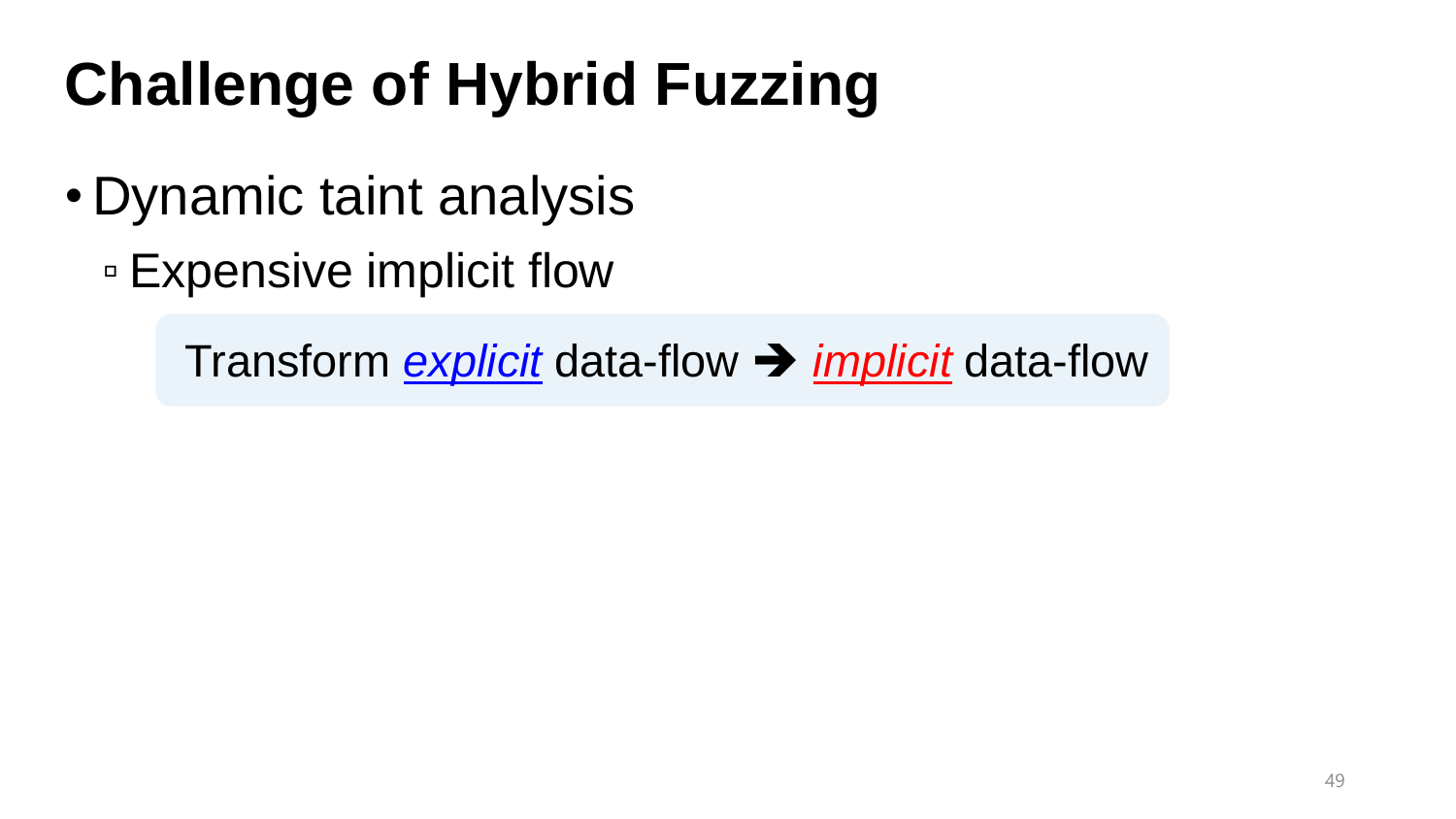# **Challenge of Hybrid Fuzzing**

- Dynamic taint analysis
	- Expensive implicit flow

Transform *explicit* data-flow ➔ *implicit* data-flow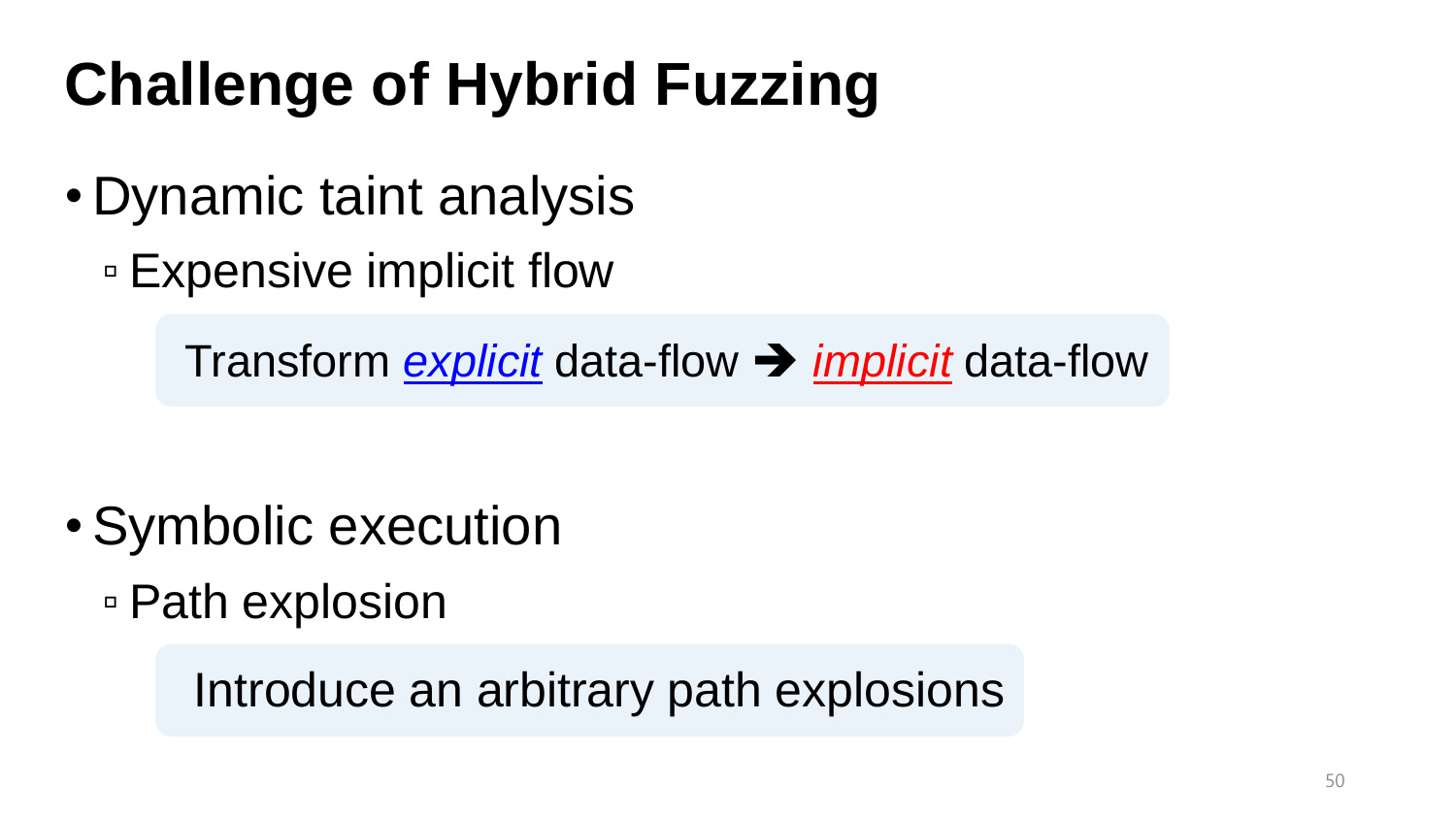# **Challenge of Hybrid Fuzzing**

- Dynamic taint analysis
	- Expensive implicit flow

Transform *explicit* data-flow ➔ *implicit* data-flow

- Symbolic execution
	- Path explosion

Introduce an arbitrary path explosions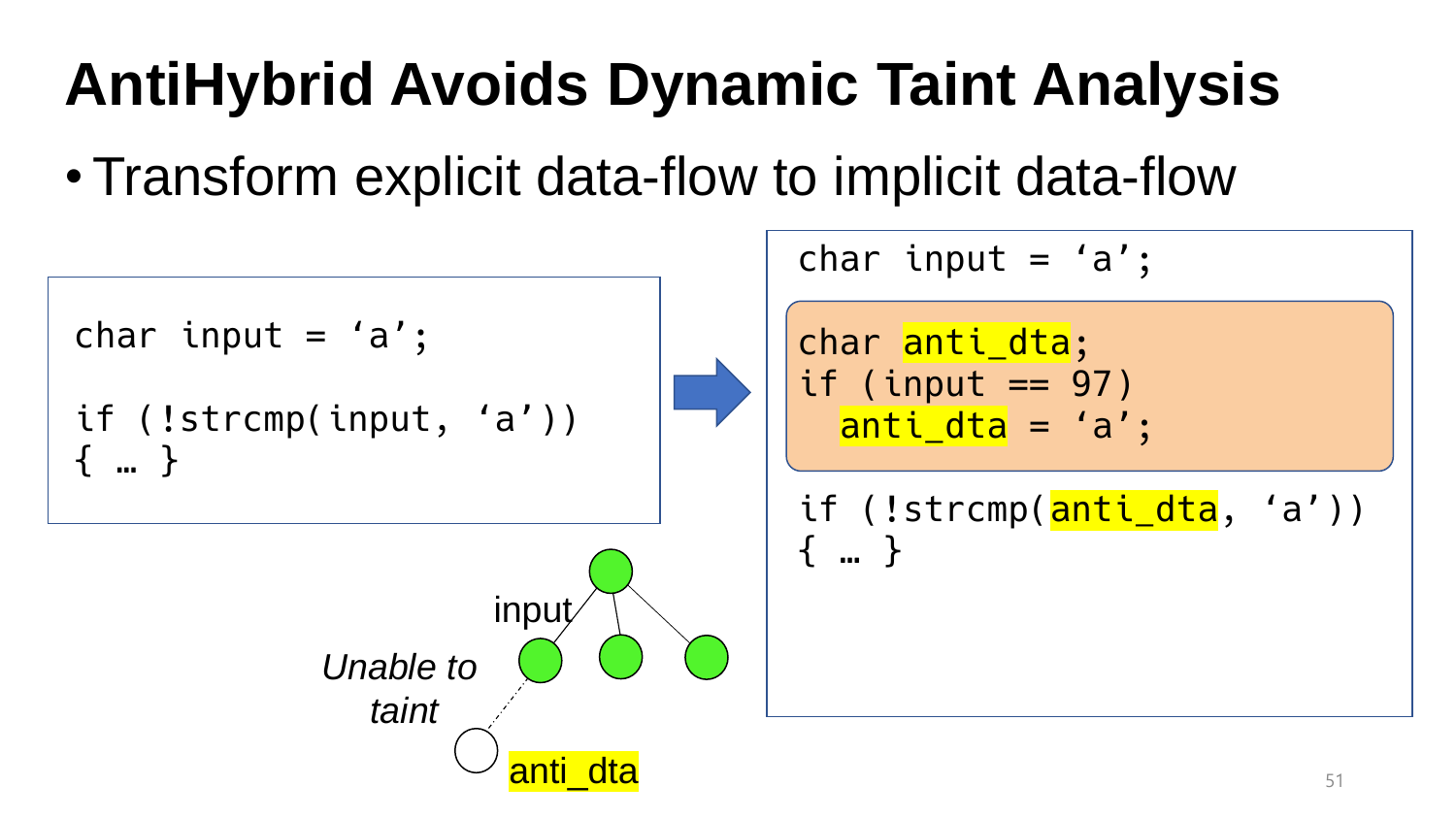## **AntiHybrid Avoids Dynamic Taint Analysis**

•Transform explicit data-flow to implicit data-flow

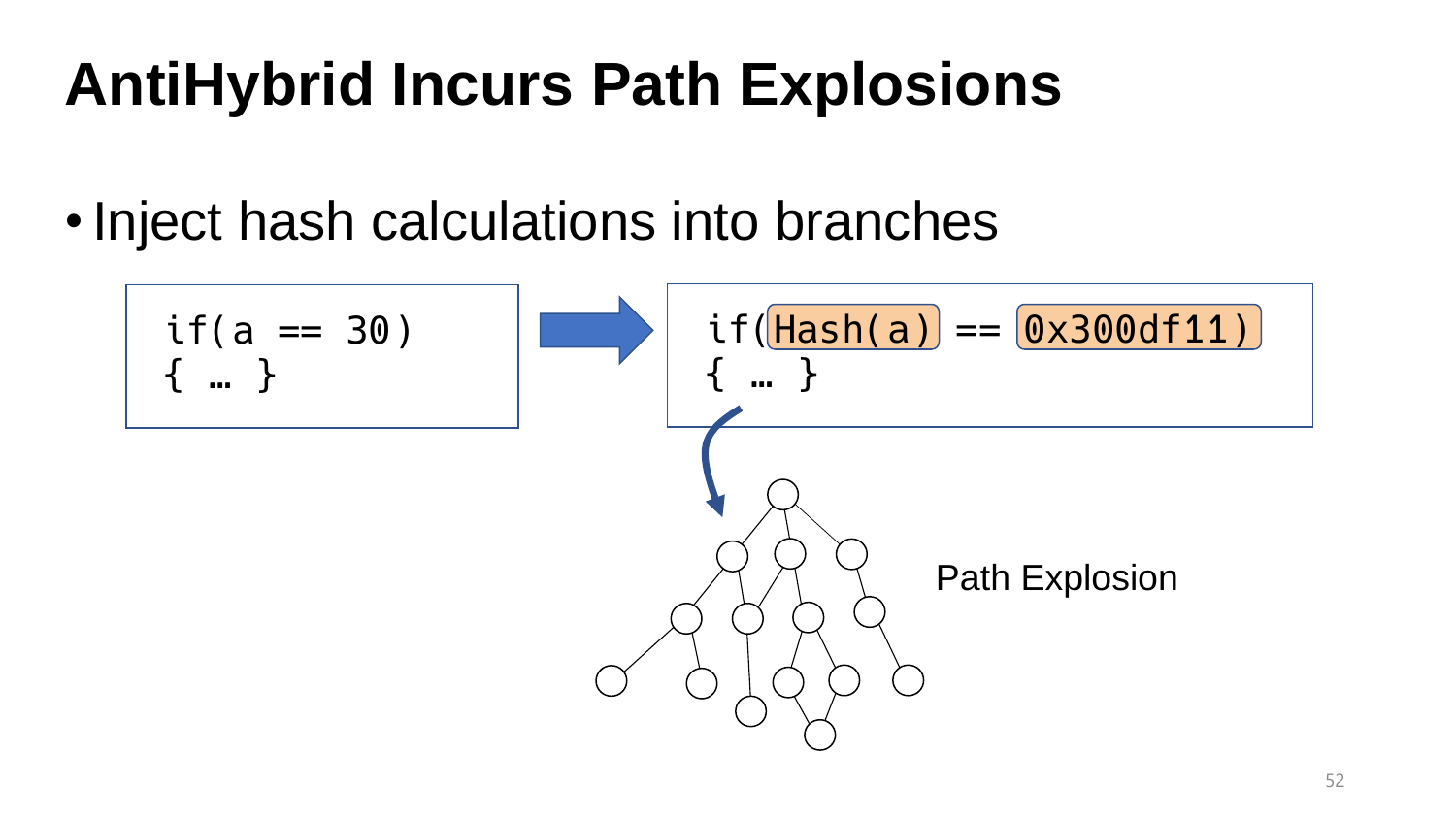## **AntiHybrid Incurs Path Explosions**

•Inject hash calculations into branches

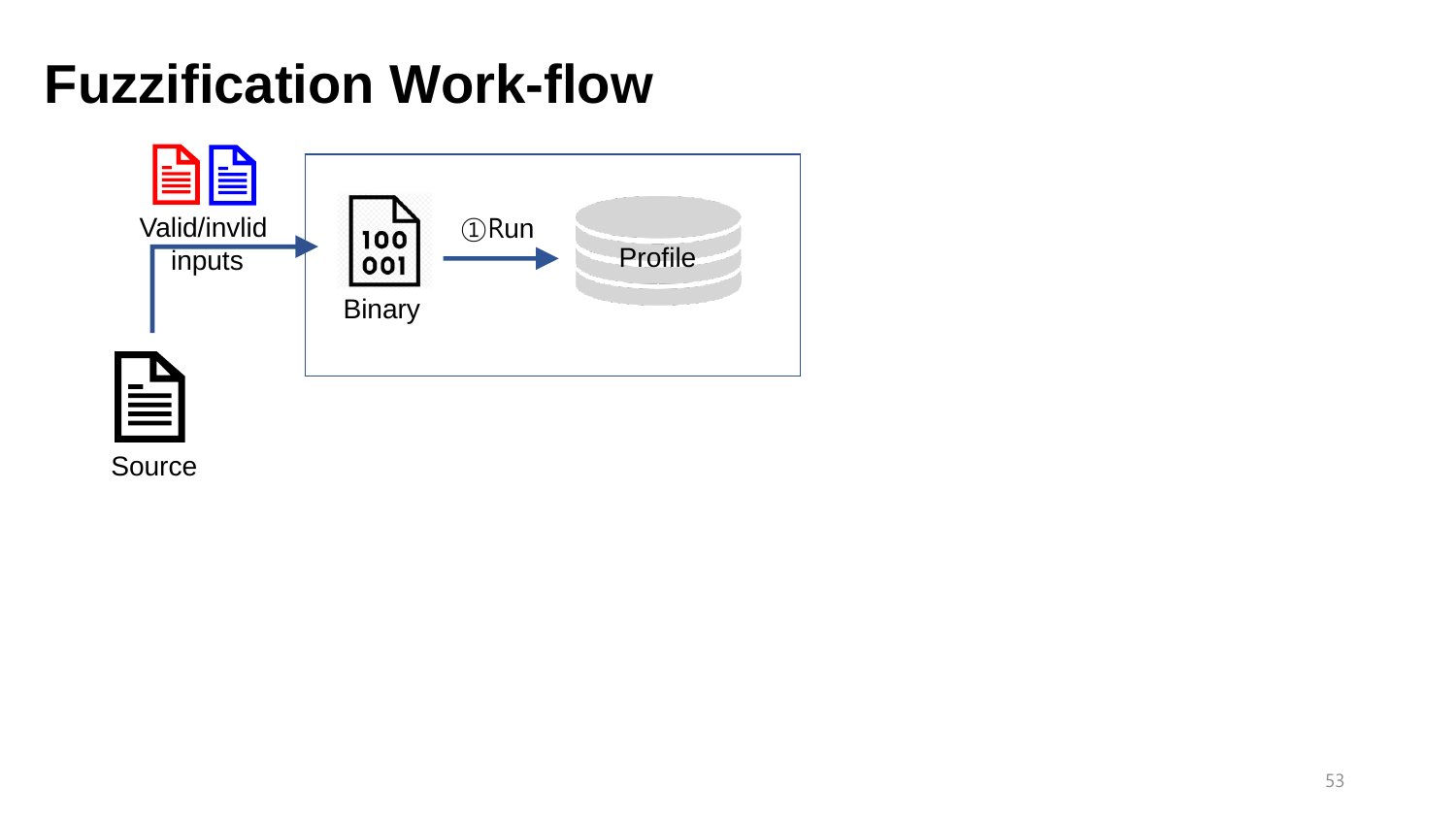

Source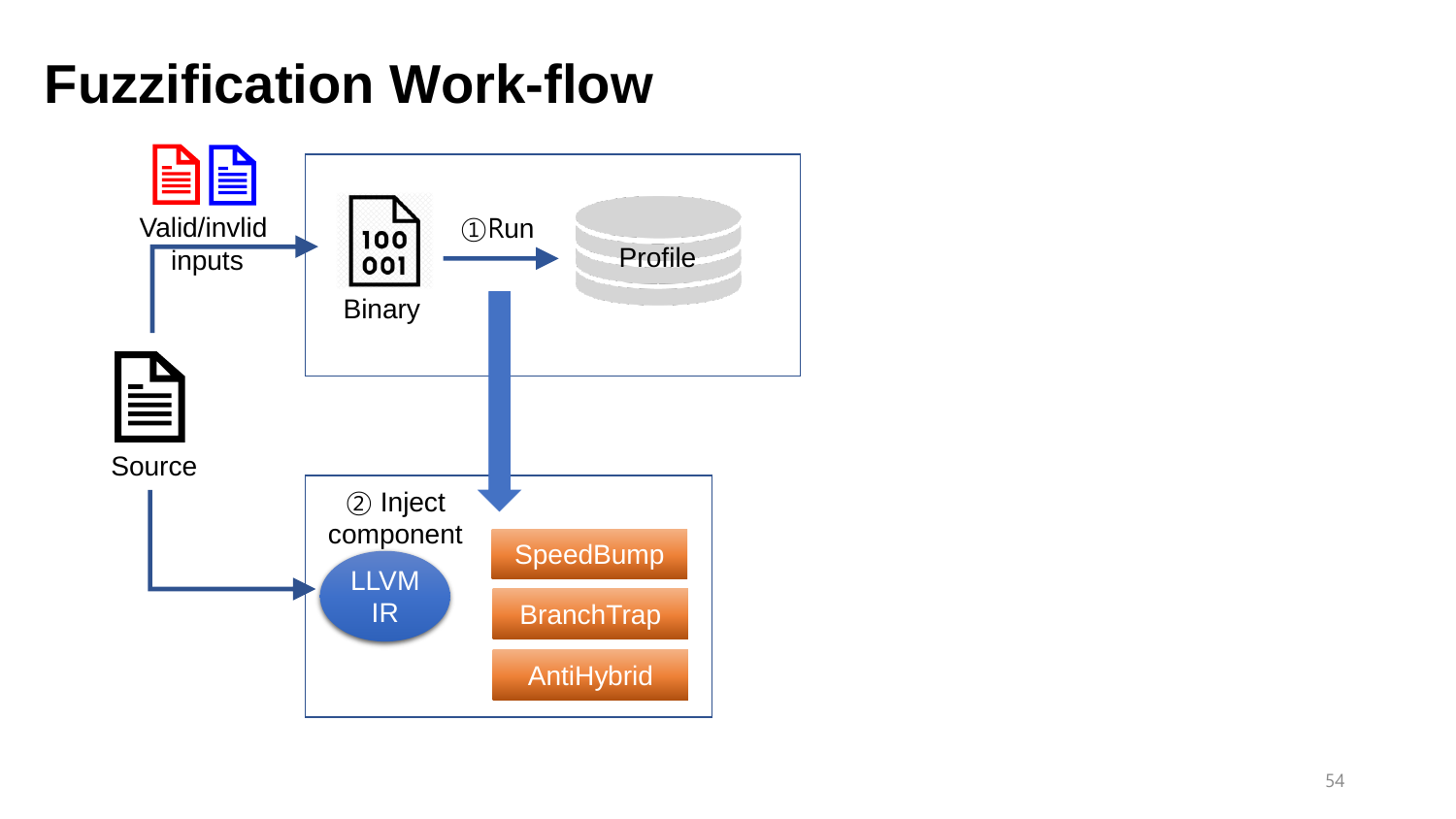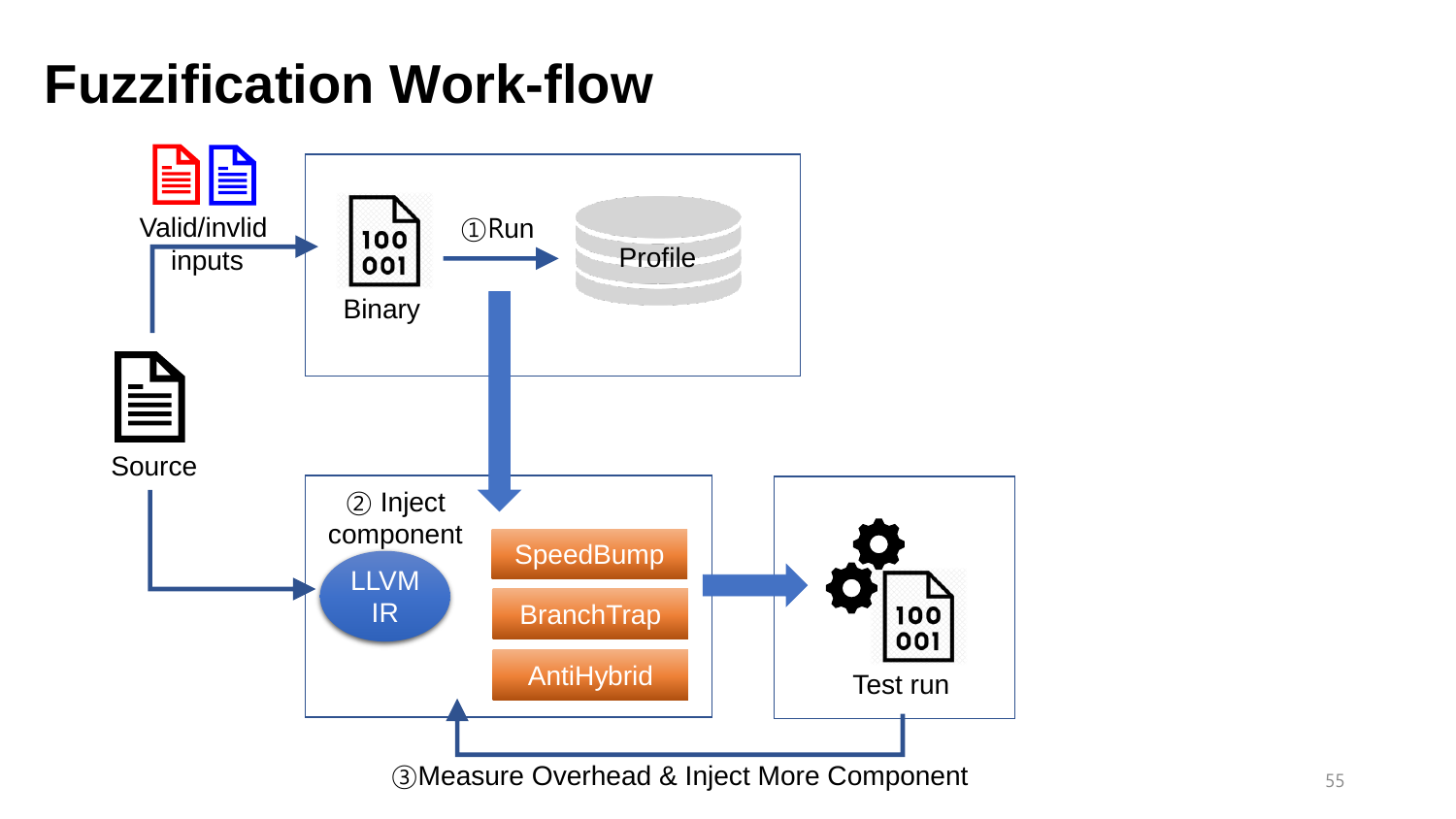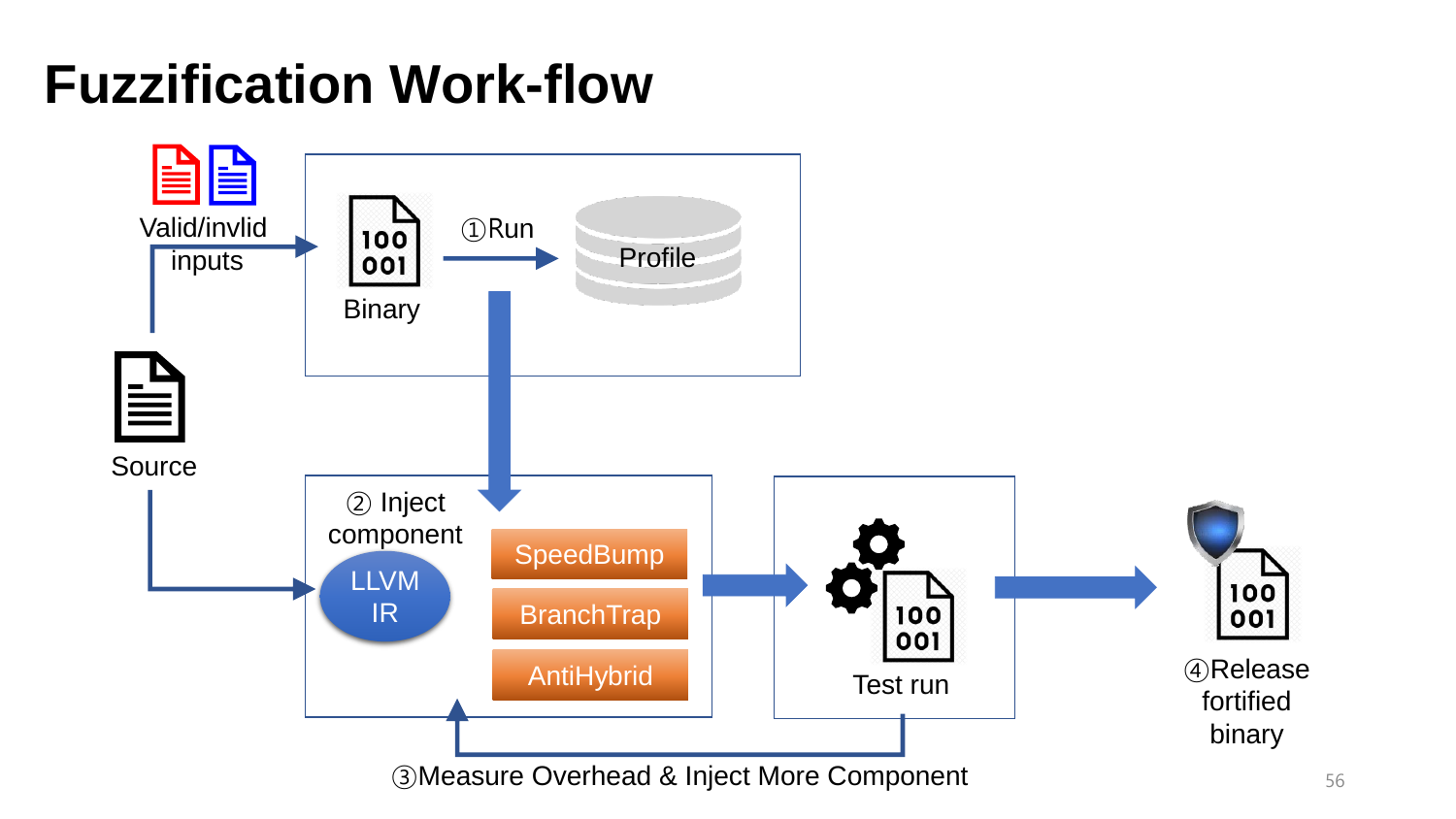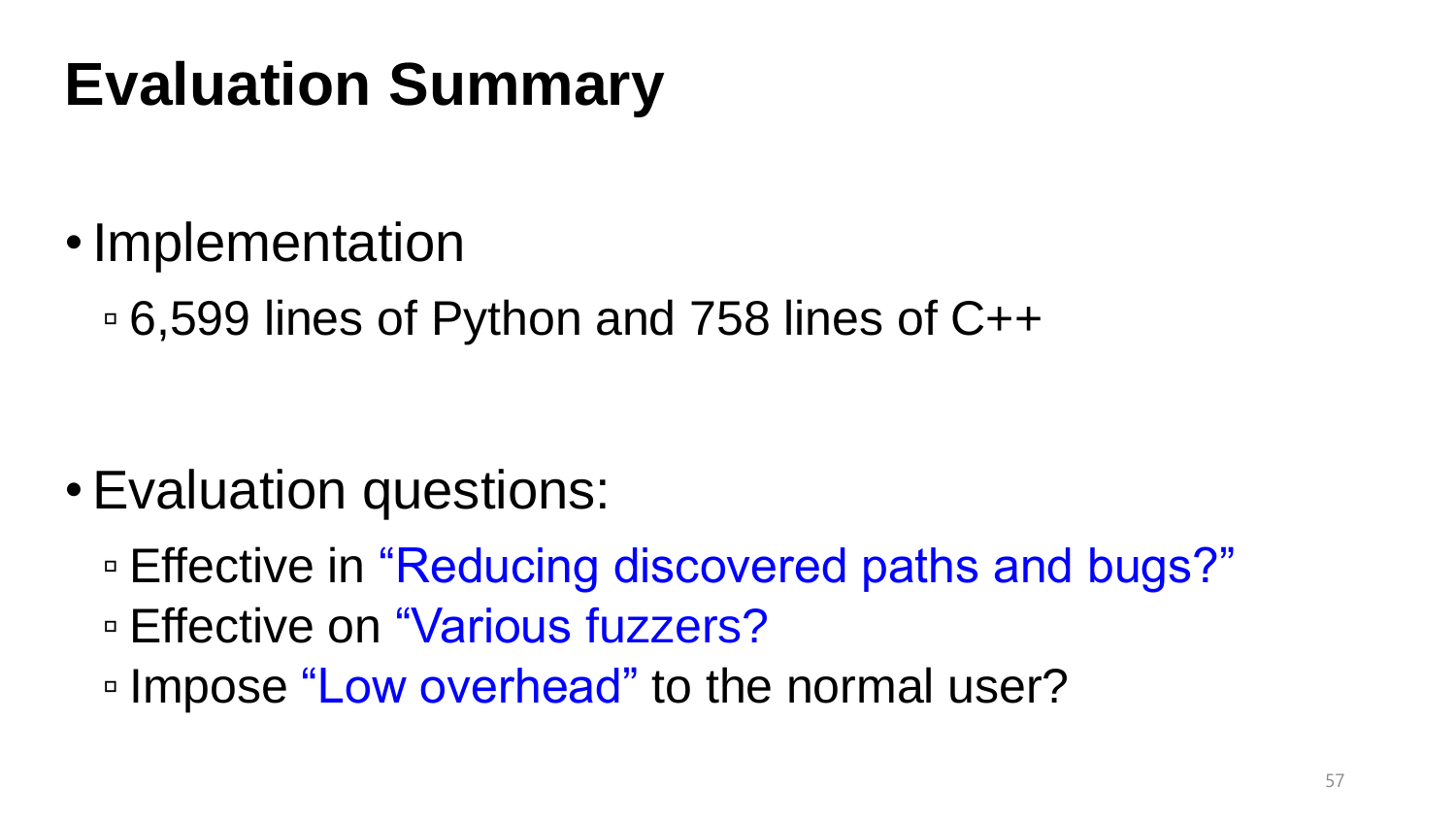## **Evaluation Summary**

- •Implementation
	- 6,599 lines of Python and 758 lines of C++

- •Evaluation questions:
	- □ Effective in "Reducing discovered paths and bugs?"
	- □ Effective on "Various fuzzers?
	- □ Impose "Low overhead" to the normal user?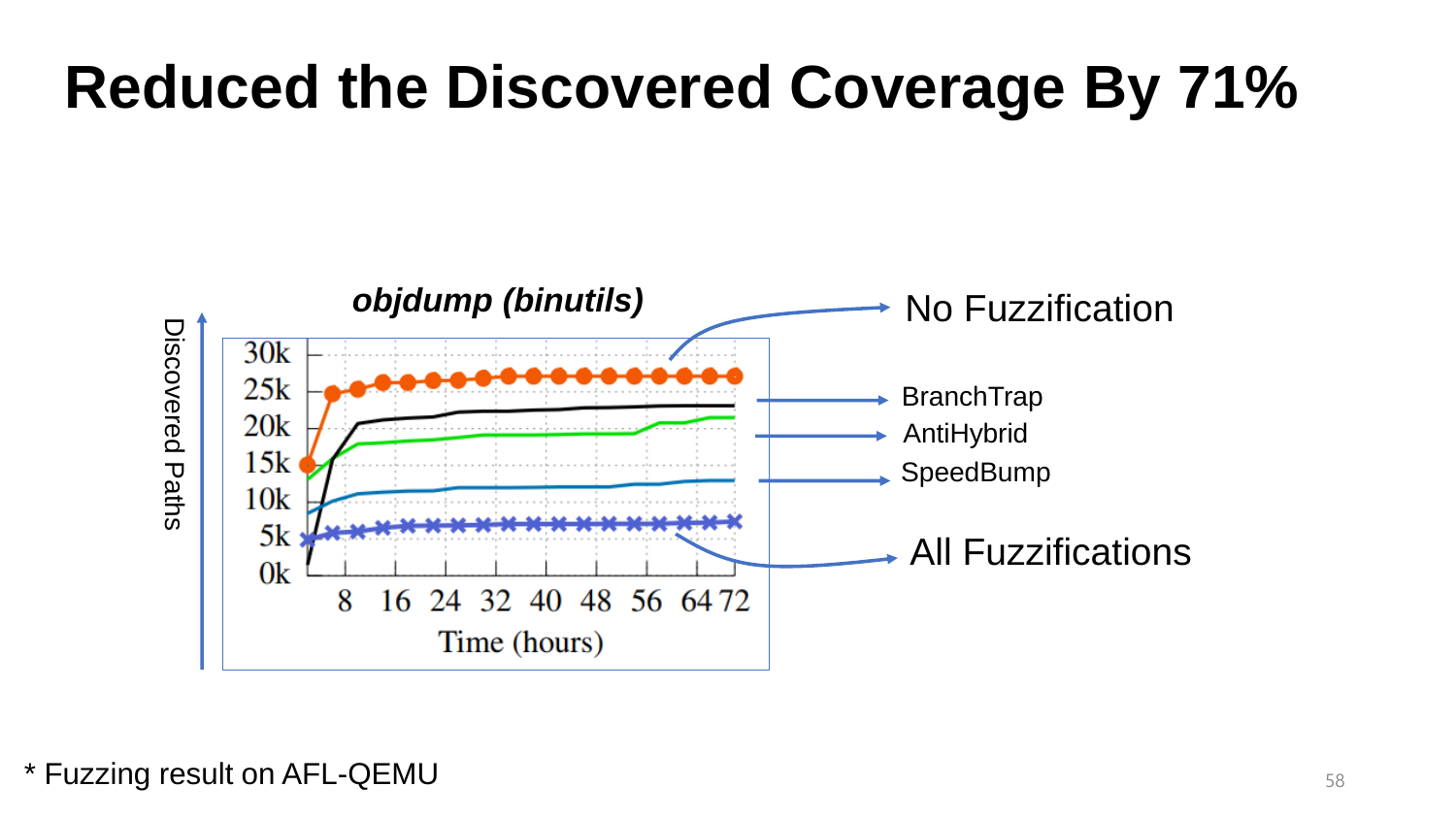### **Reduced the Discovered Coverage By 71%**



\* Fuzzing result on AFL-QEMU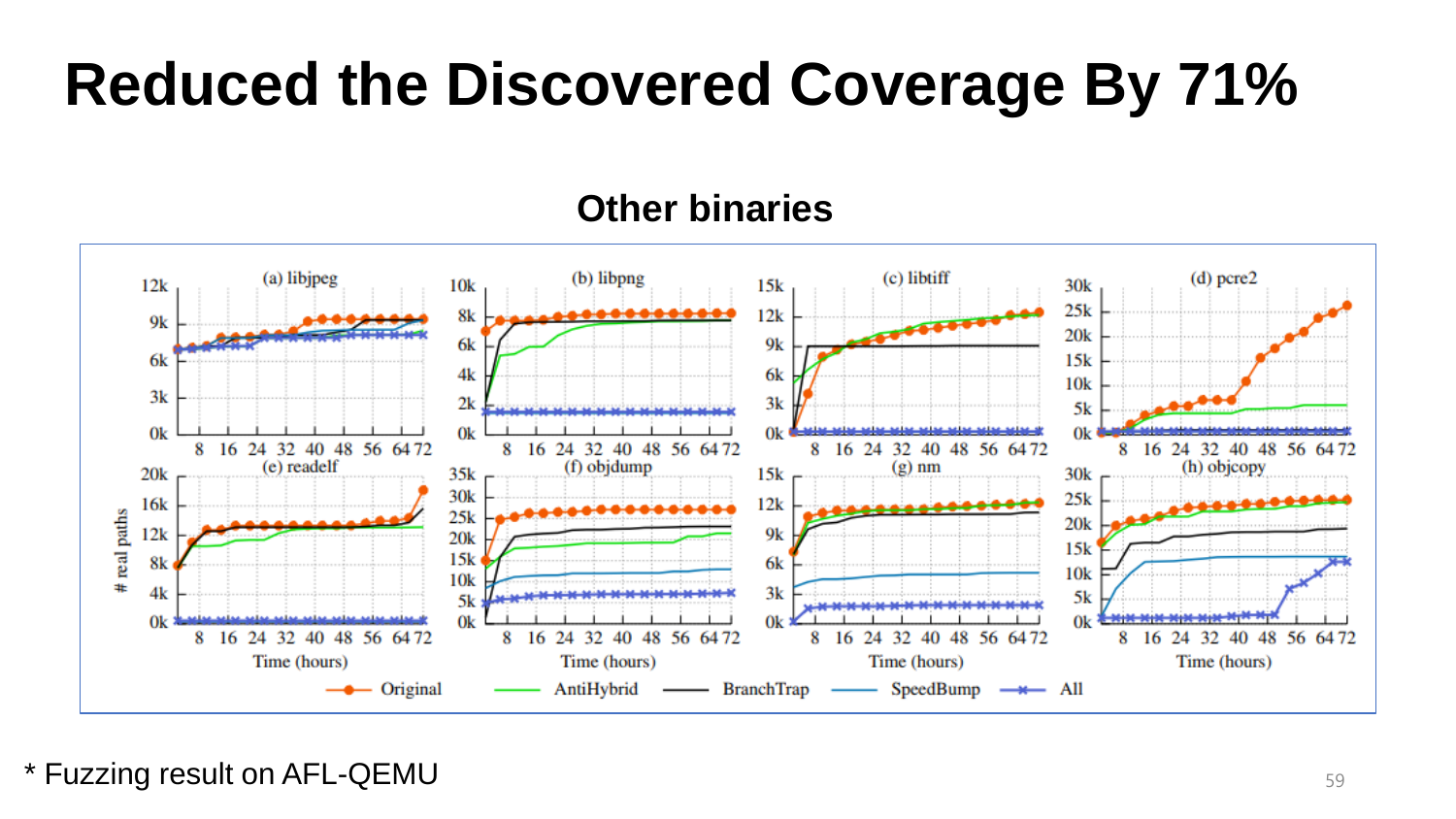## **Reduced the Discovered Coverage By 71%**

#### **Other binaries**



\* Fuzzing result on AFL-QEMU 59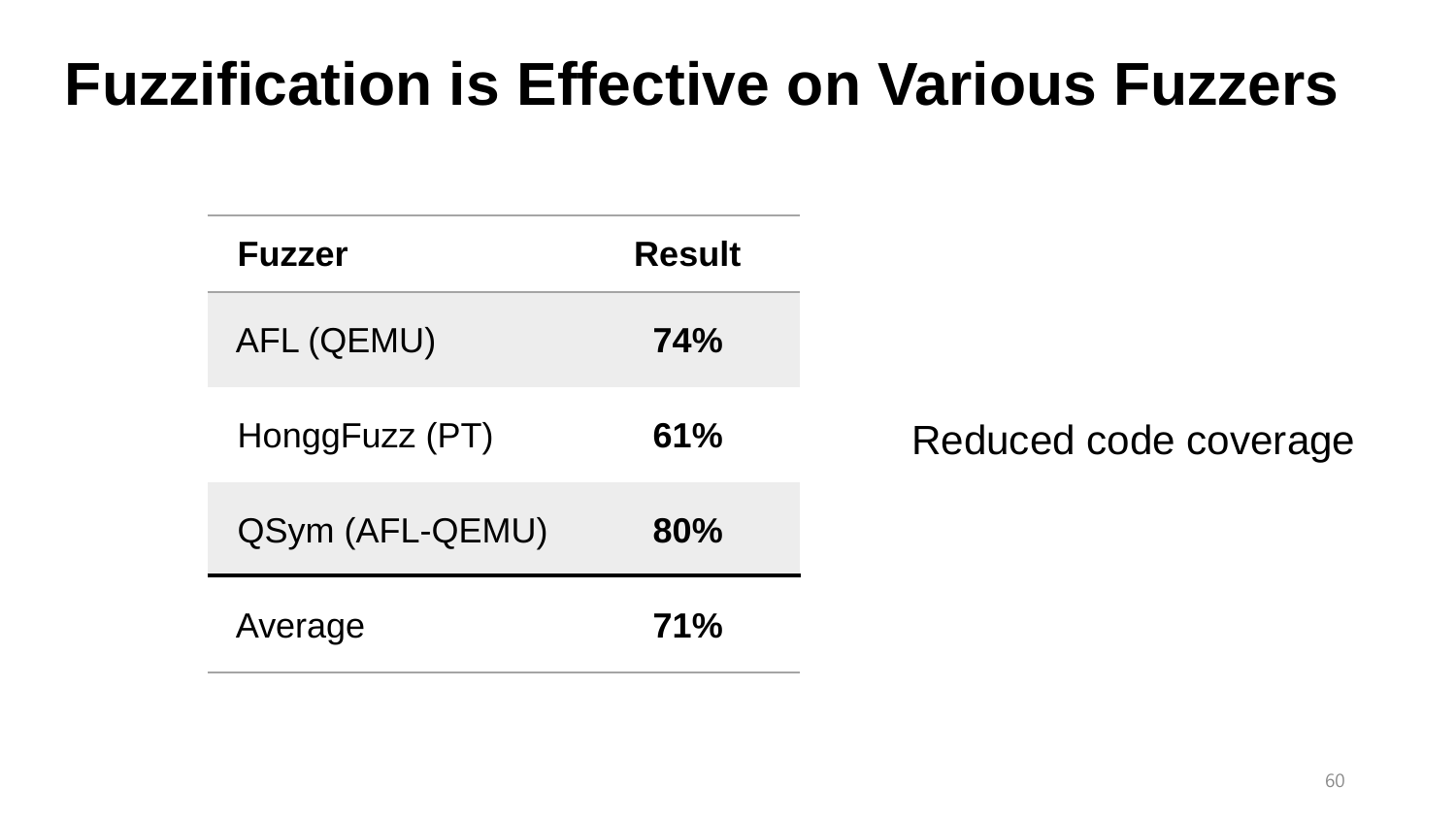#### **Fuzzification is Effective on Various Fuzzers**

| <b>Fuzzer</b>   | <b>Result</b> |                       |
|-----------------|---------------|-----------------------|
| AFL (QEMU)      | <b>74%</b>    |                       |
| HonggFuzz (PT)  | 61%           | Reduced code coverage |
| QSym (AFL-QEMU) | 80%           |                       |
| Average         | 71%           |                       |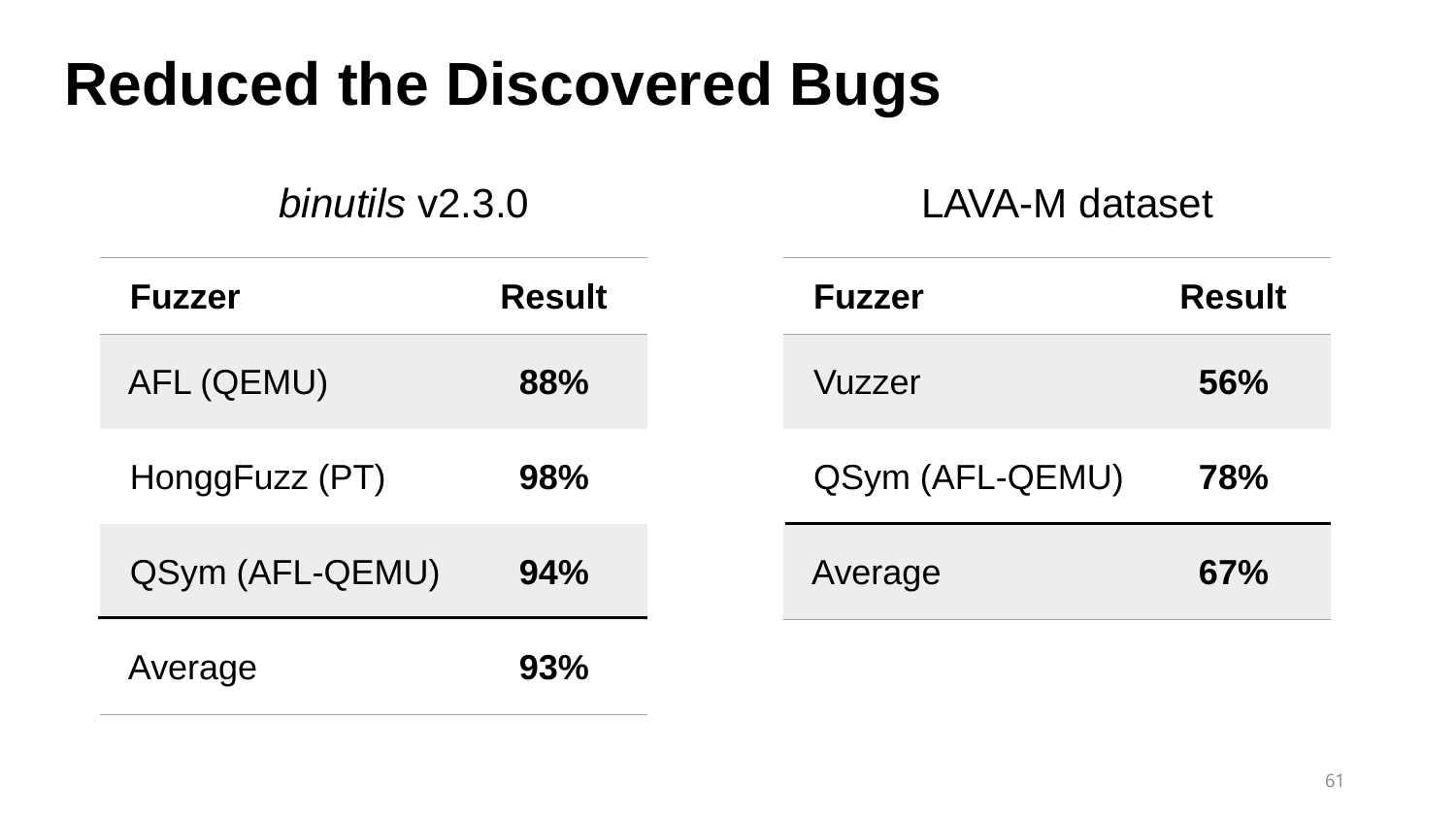#### **Reduced the Discovered Bugs**

*binutils* v2.3.0 LAVA-M dataset

| <b>Fuzzer</b>   | <b>Result</b> | <b>Fuzzer</b>   | <b>Result</b> |
|-----------------|---------------|-----------------|---------------|
| AFL (QEMU)      | 88%           | Vuzzer          | 56%           |
| HonggFuzz (PT)  | 98%           | QSym (AFL-QEMU) | 78%           |
| QSym (AFL-QEMU) | 94%           | Average         | 67%           |
| Average         | 93%           |                 |               |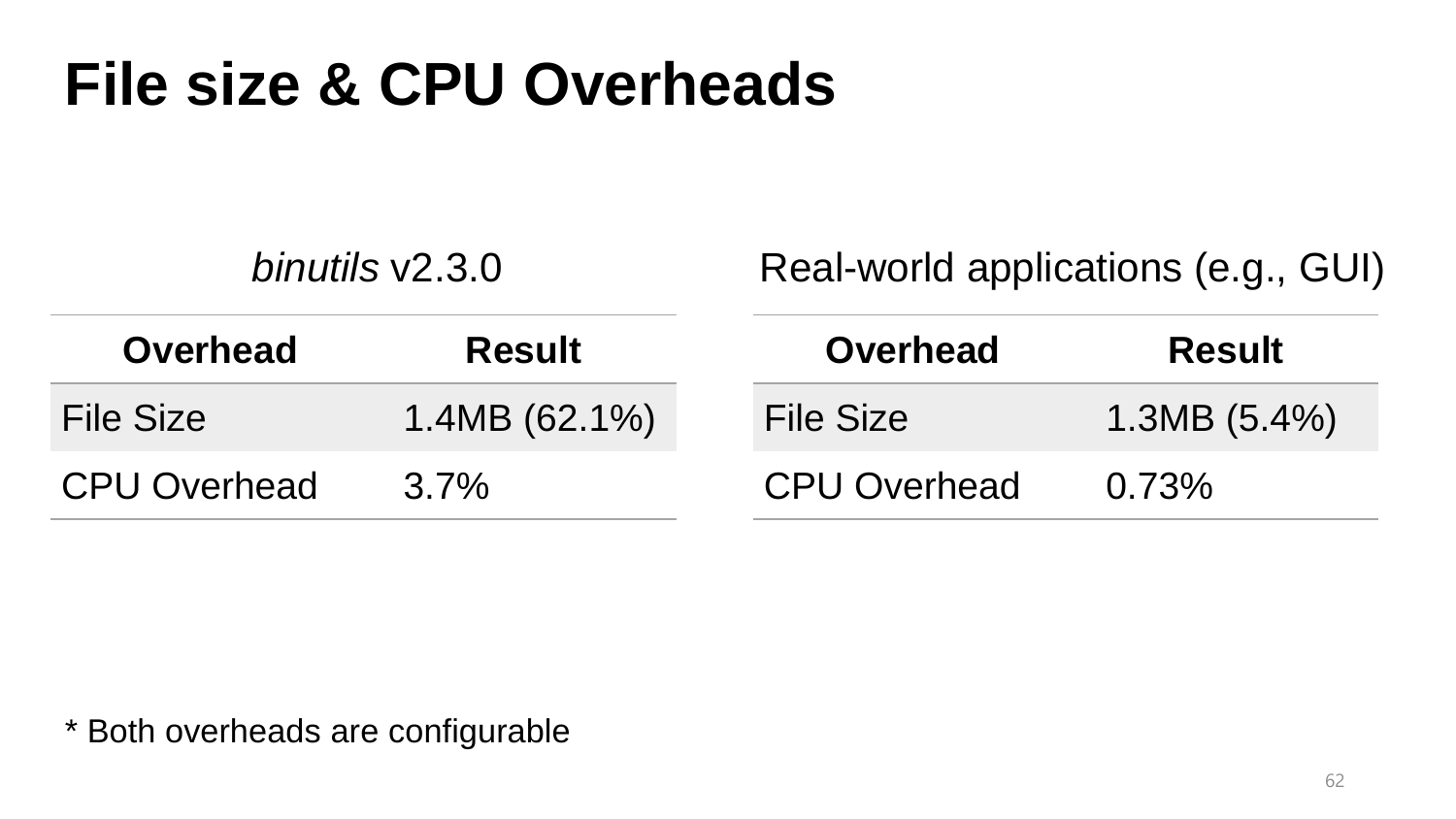#### **File size & CPU Overheads**

| binutils $v2.3.0$   |               | Real-world applications (e.g., GUI) |               |  |
|---------------------|---------------|-------------------------------------|---------------|--|
| <b>Overhead</b>     | <b>Result</b> | <b>Overhead</b>                     | <b>Result</b> |  |
| <b>File Size</b>    | 1.4MB(62.1%)  | <b>File Size</b>                    | 1.3MB(5.4%)   |  |
| <b>CPU Overhead</b> | $3.7\%$       | <b>CPU Overhead</b>                 | 0.73%         |  |

\* Both overheads are configurable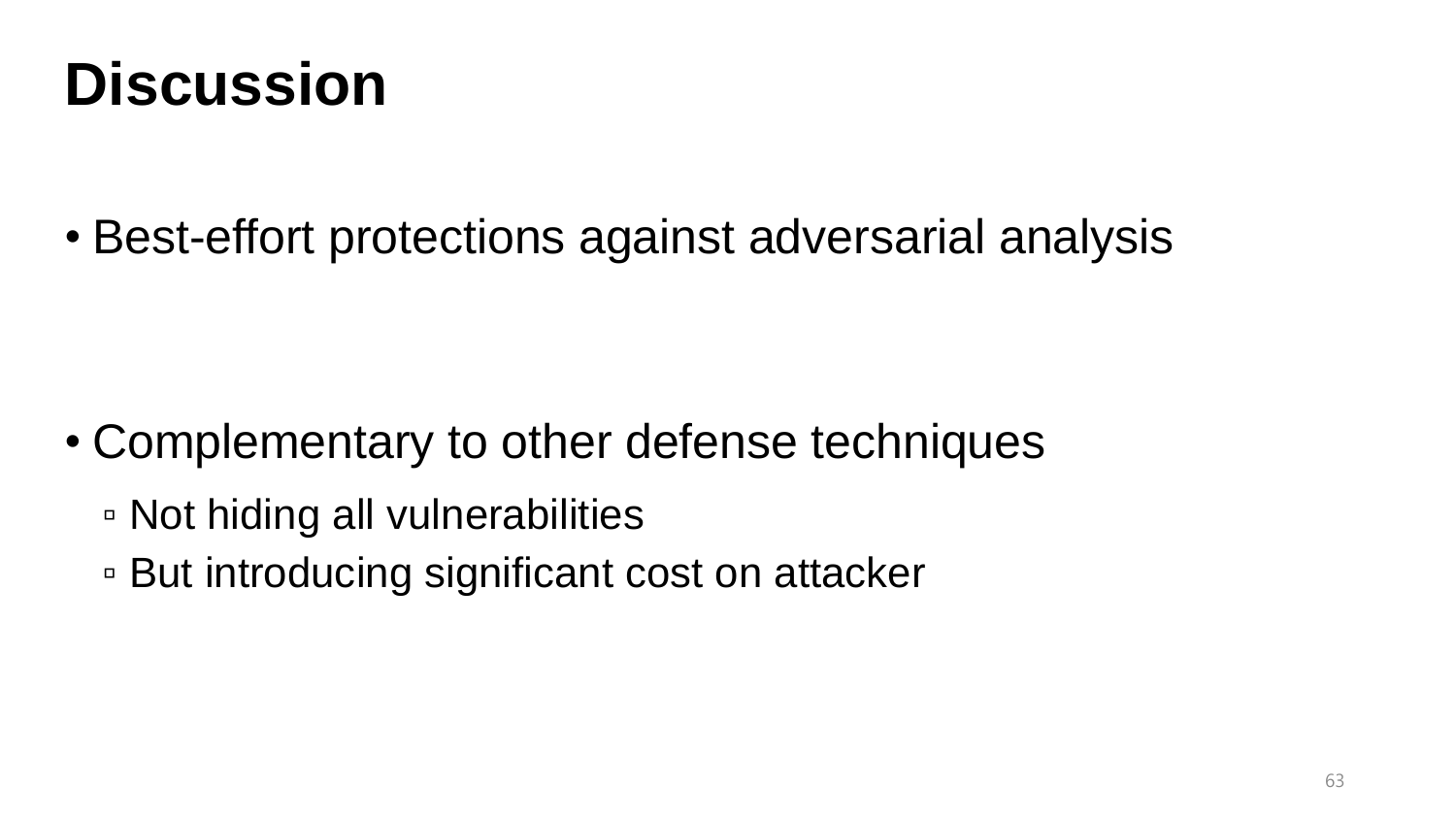#### **Discussion**

• Best-effort protections against adversarial analysis

- Complementary to other defense techniques
	- Not hiding all vulnerabilities
	- But introducing significant cost on attacker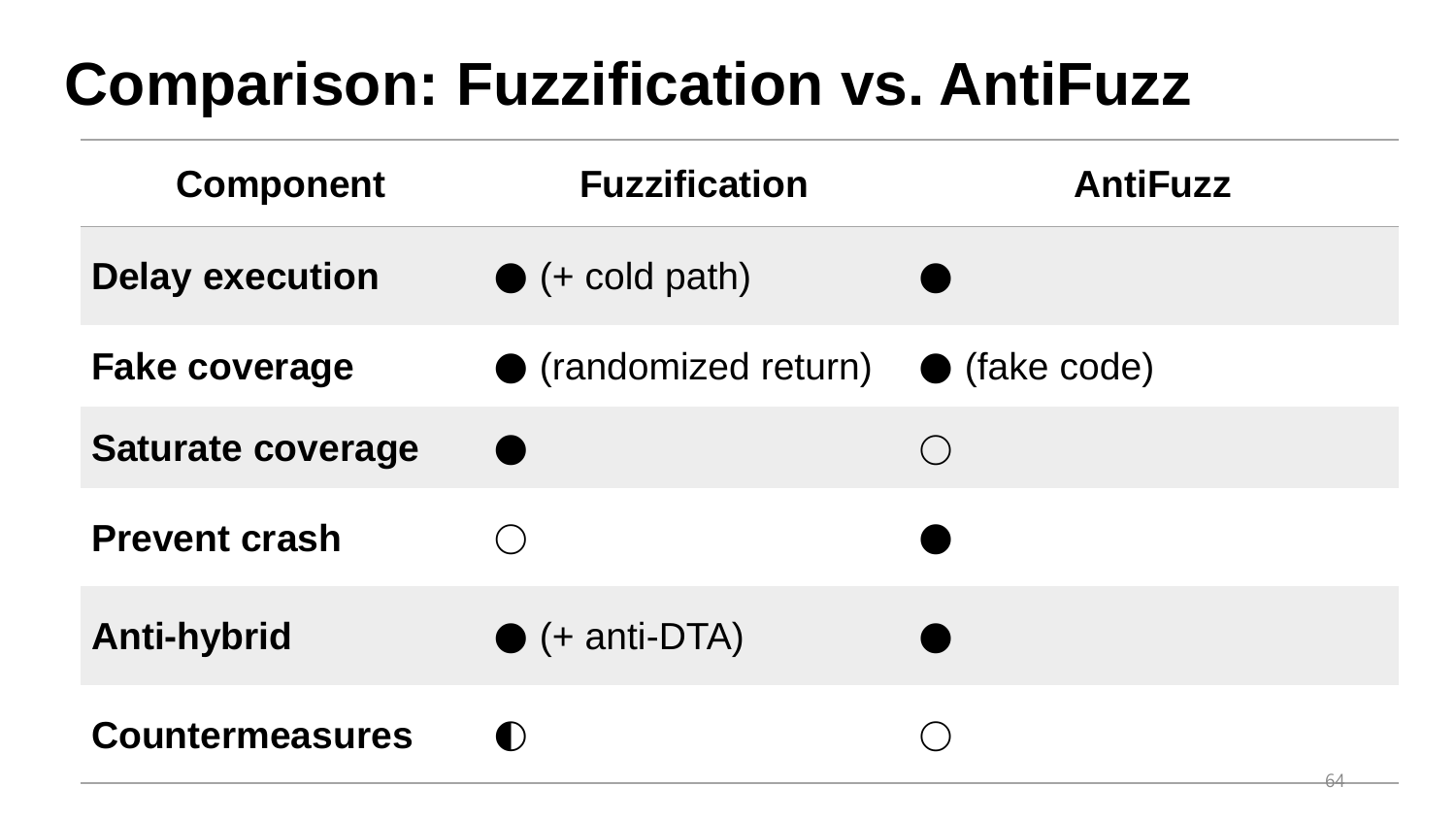## **Comparison: Fuzzification vs. AntiFuzz**

| <b>Component</b>         | <b>Fuzzification</b>          | <b>AntiFuzz</b> |
|--------------------------|-------------------------------|-----------------|
| <b>Delay execution</b>   | $\bullet$ (+ cold path)       |                 |
| <b>Fake coverage</b>     | $\bullet$ (randomized return) | • (fake code)   |
| <b>Saturate coverage</b> |                               |                 |
| <b>Prevent crash</b>     |                               |                 |
| <b>Anti-hybrid</b>       | $\bullet$ (+ anti-DTA)        |                 |
| <b>Countermeasures</b>   | $\blacksquare$                |                 |